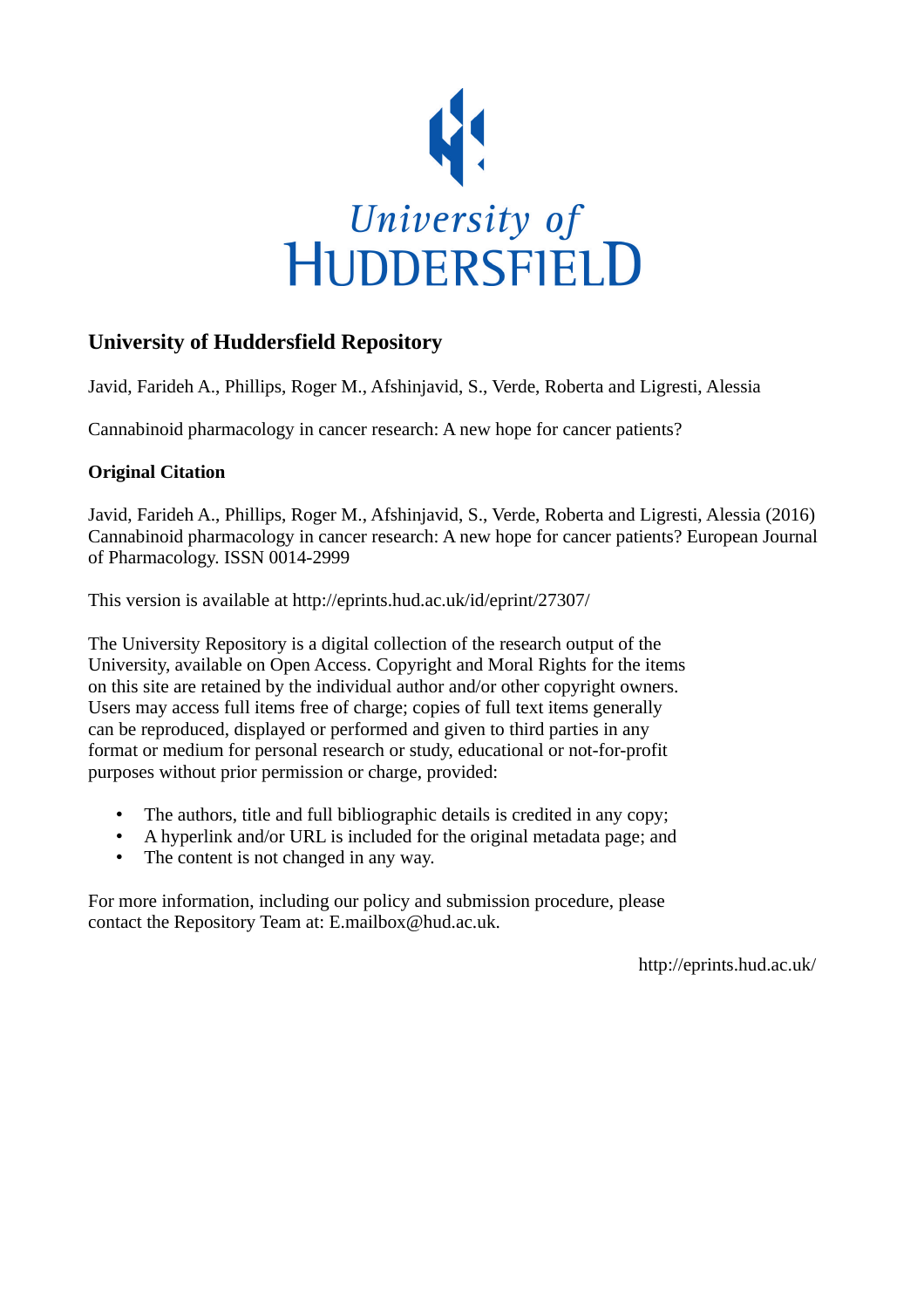

# **University of Huddersfield Repository**

Javid, Farideh A., Phillips, Roger M., Afshinjavid, S., Verde, Roberta and Ligresti, Alessia

Cannabinoid pharmacology in cancer research: A new hope for cancer patients?

# **Original Citation**

Javid, Farideh A., Phillips, Roger M., Afshinjavid, S., Verde, Roberta and Ligresti, Alessia (2016) Cannabinoid pharmacology in cancer research: A new hope for cancer patients? European Journal of Pharmacology. ISSN 0014-2999

This version is available at http://eprints.hud.ac.uk/id/eprint/27307/

The University Repository is a digital collection of the research output of the University, available on Open Access. Copyright and Moral Rights for the items on this site are retained by the individual author and/or other copyright owners. Users may access full items free of charge; copies of full text items generally can be reproduced, displayed or performed and given to third parties in any format or medium for personal research or study, educational or not-for-profit purposes without prior permission or charge, provided:

- The authors, title and full bibliographic details is credited in any copy;
- A hyperlink and/or URL is included for the original metadata page; and
- The content is not changed in any way.

For more information, including our policy and submission procedure, please contact the Repository Team at: E.mailbox@hud.ac.uk.

http://eprints.hud.ac.uk/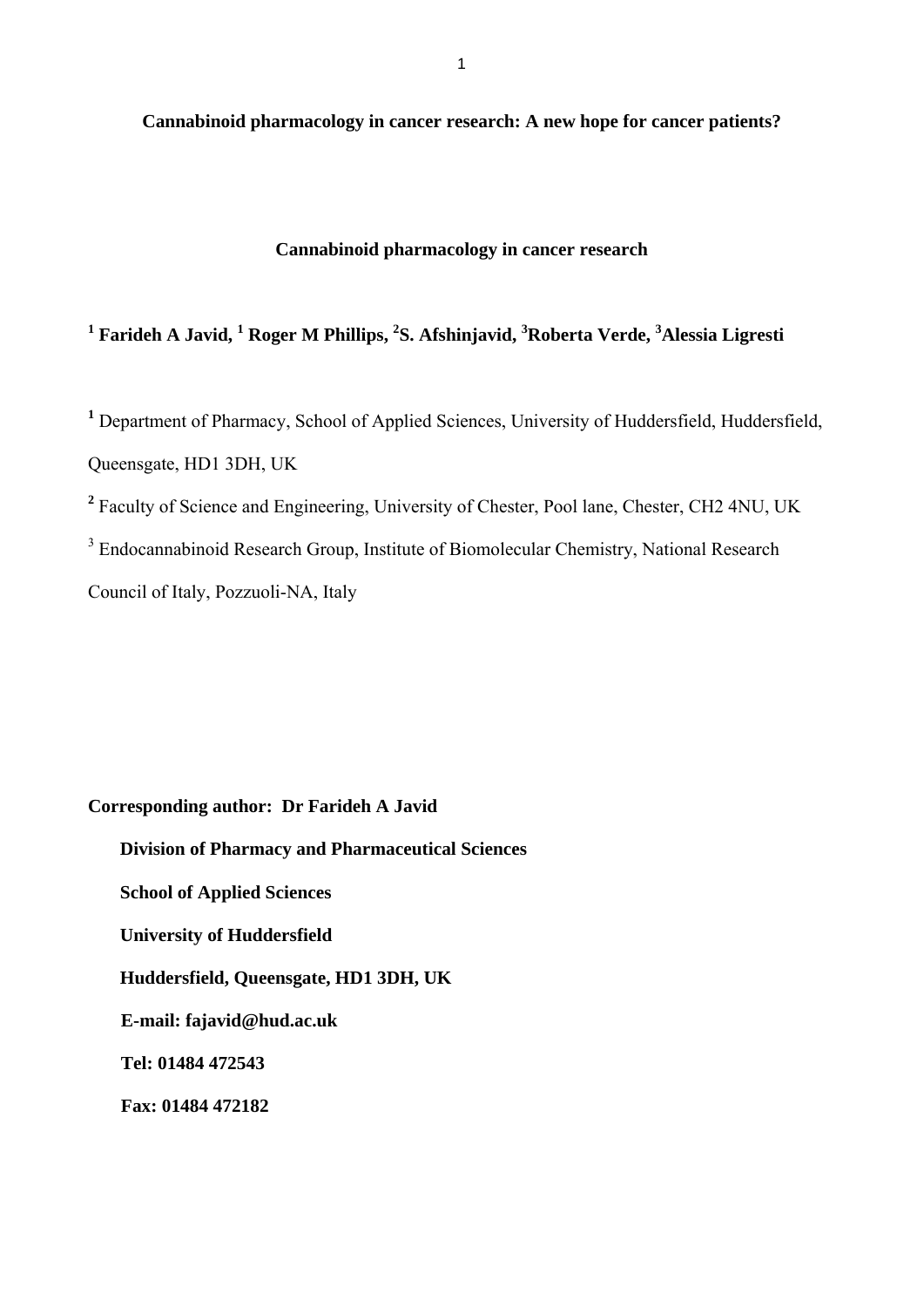**Cannabinoid pharmacology in cancer research: A new hope for cancer patients?** 

# **Cannabinoid pharmacology in cancer research**

# <sup>1</sup> Farideh A Javid, <sup>1</sup> Roger M Phillips, <sup>2</sup>S. Afshinjavid, <sup>3</sup>Roberta Verde, <sup>3</sup>Alessia Ligresti

**<sup>1</sup>** Department of Pharmacy, School of Applied Sciences, University of Huddersfield, Huddersfield, Queensgate, HD1 3DH, UK

<sup>2</sup> Faculty of Science and Engineering, University of Chester, Pool lane, Chester, CH2 4NU, UK

<sup>3</sup> Endocannabinoid Research Group, Institute of Biomolecular Chemistry, National Research

Council of Italy, Pozzuoli-NA, Italy

**Corresponding author: Dr Farideh A Javid** 

 **Division of Pharmacy and Pharmaceutical Sciences School of Applied Sciences University of Huddersfield Huddersfield, Queensgate, HD1 3DH, UK E-mail: fajavid@hud.ac.uk Tel: 01484 472543** 

**Fax: 01484 472182**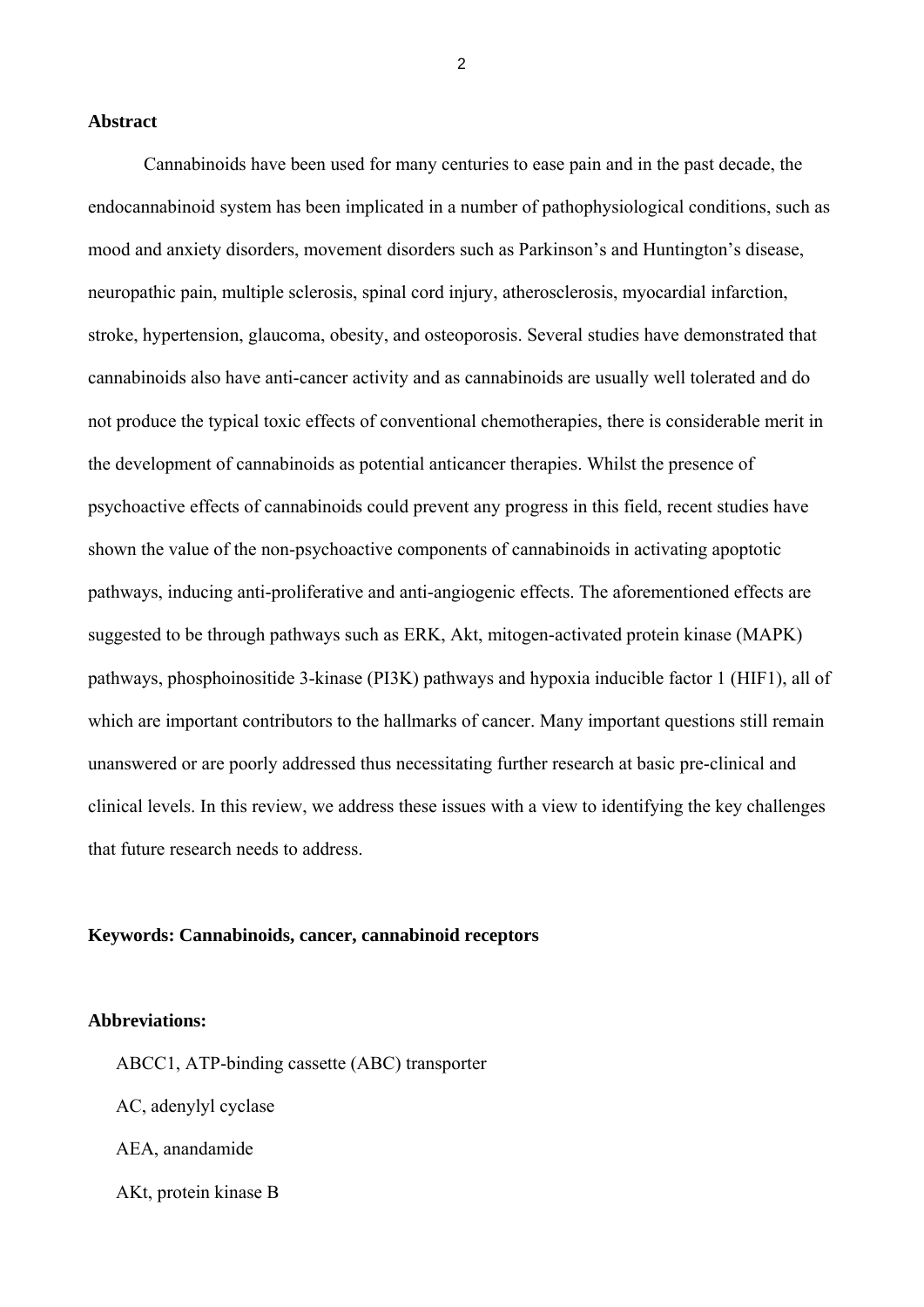#### **Abstract**

Cannabinoids have been used for many centuries to ease pain and in the past decade, the endocannabinoid system has been implicated in a number of pathophysiological conditions, such as mood and anxiety disorders, movement disorders such as Parkinson's and Huntington's disease, neuropathic pain, multiple sclerosis, spinal cord injury, atherosclerosis, myocardial infarction, stroke, hypertension, glaucoma, obesity, and osteoporosis. Several studies have demonstrated that cannabinoids also have anti-cancer activity and as cannabinoids are usually well tolerated and do not produce the typical toxic effects of conventional chemotherapies, there is considerable merit in the development of cannabinoids as potential anticancer therapies. Whilst the presence of psychoactive effects of cannabinoids could prevent any progress in this field, recent studies have shown the value of the non-psychoactive components of cannabinoids in activating apoptotic pathways, inducing anti-proliferative and anti-angiogenic effects. The aforementioned effects are suggested to be through pathways such as ERK, Akt, mitogen-activated protein kinase (MAPK) pathways, phosphoinositide 3-kinase (PI3K) pathways and hypoxia inducible factor 1 (HIF1), all of which are important contributors to the hallmarks of cancer. Many important questions still remain unanswered or are poorly addressed thus necessitating further research at basic pre-clinical and clinical levels. In this review, we address these issues with a view to identifying the key challenges that future research needs to address.

#### **Keywords: Cannabinoids, cancer, cannabinoid receptors**

# **Abbreviations:**

ABCC1, ATP-binding cassette (ABC) transporter AC, adenylyl cyclase AEA, anandamide AKt, protein kinase B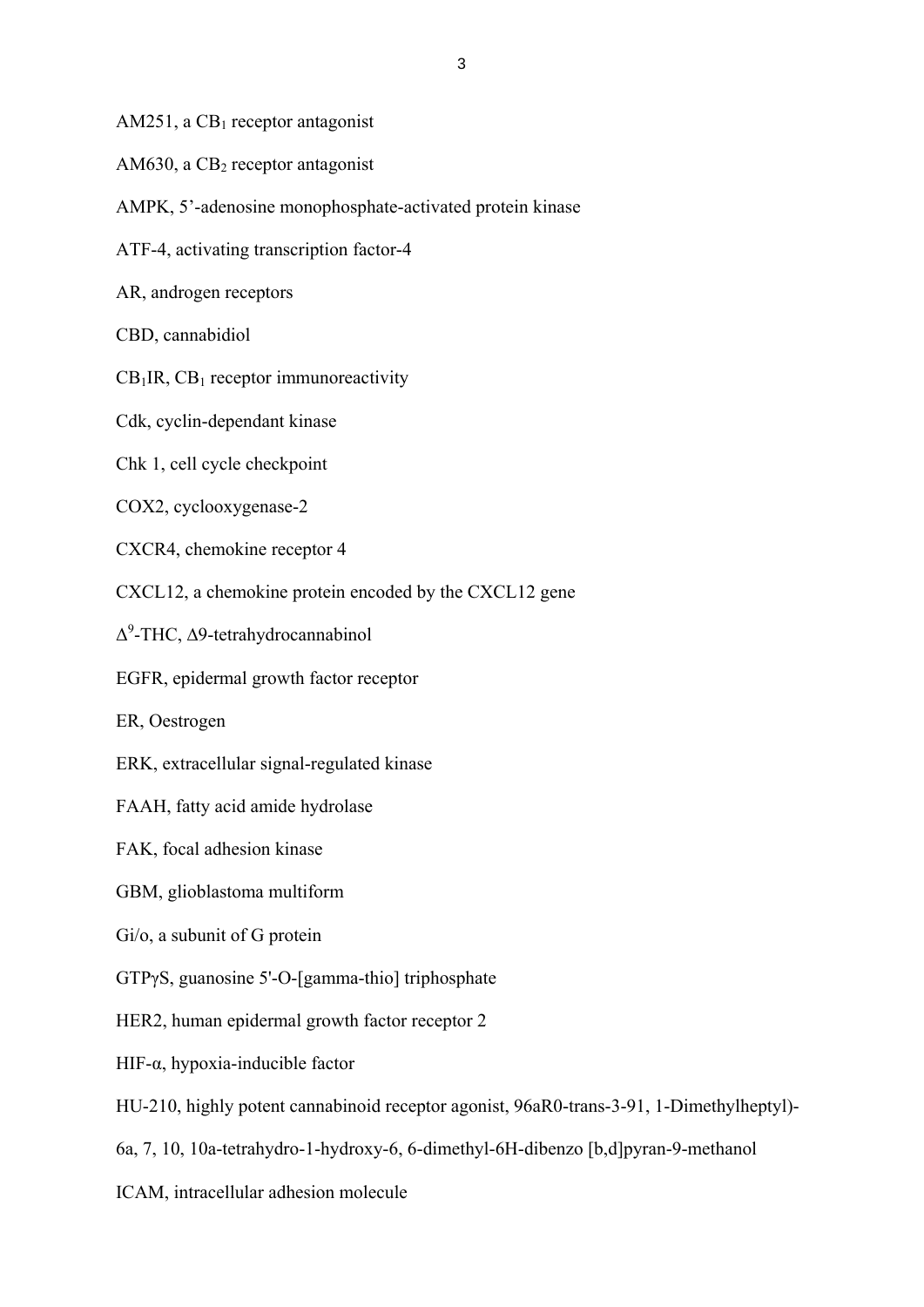AM251, a  $CB_1$  receptor antagonist

- AM630, a  $CB<sub>2</sub>$  receptor antagonist
- AMPK, 5'-adenosine monophosphate-activated protein kinase
- ATF-4, activating transcription factor-4
- AR, androgen receptors
- CBD, cannabidiol
- $CB<sub>1</sub>IR$ ,  $CB<sub>1</sub>$  receptor immunoreactivity
- Cdk, cyclin-dependant kinase
- Chk 1, cell cycle checkpoint
- COX2, cyclooxygenase-2
- CXCR4, chemokine receptor 4
- CXCL12, a chemokine protein encoded by the CXCL12 gene
- Δ9 -THC, ∆9-tetrahydrocannabinol
- EGFR, epidermal growth factor receptor
- ER, Oestrogen
- ERK, extracellular signal-regulated kinase
- FAAH, fatty acid amide hydrolase
- FAK, focal adhesion kinase
- GBM, glioblastoma multiform
- Gi/o, a subunit of G protein
- GTPγS, guanosine 5'-O-[gamma-thio] triphosphate
- HER2, human epidermal growth factor receptor 2
- HIF- $\alpha$ , hypoxia-inducible factor
- HU-210, highly potent cannabinoid receptor agonist, 96aR0-trans-3-91, 1-Dimethylheptyl)-
- 6a, 7, 10, 10a-tetrahydro-1-hydroxy-6, 6-dimethyl-6H-dibenzo [b,d]pyran-9-methanol
- ICAM, intracellular adhesion molecule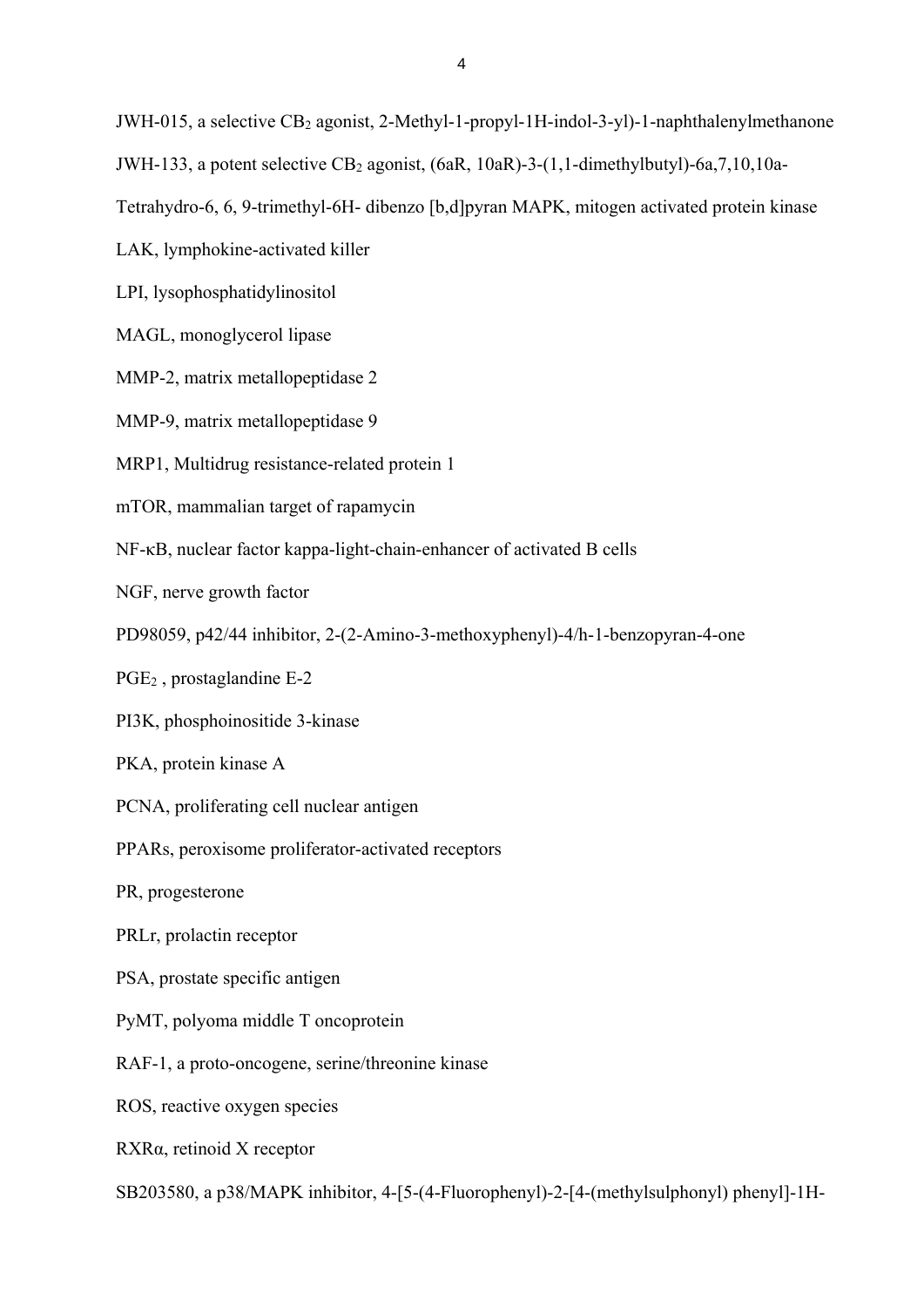JWH-015, a selective CB<sub>2</sub> agonist, 2-Methyl-1-propyl-1H-indol-3-yl)-1-naphthalenylmethanone

JWH-133, a potent selective  $CB_2$  agonist, (6aR, 10aR)-3-(1,1-dimethylbutyl)-6a,7,10,10a-

Tetrahydro-6, 6, 9-trimethyl-6H- dibenzo [b,d]pyran MAPK, mitogen activated protein kinase

LAK, lymphokine-activated killer

LPI, lysophosphatidylinositol

MAGL, monoglycerol lipase

MMP-2, matrix metallopeptidase 2

MMP-9, matrix metallopeptidase 9

MRP1, Multidrug resistance-related protein 1

mTOR, mammalian target of rapamycin

NF-κB, nuclear factor kappa-light-chain-enhancer of activated B cells

NGF, nerve growth factor

PD98059, p42/44 inhibitor, 2-(2-Amino-3-methoxyphenyl)-4/h-1-benzopyran-4-one

PGE2 , prostaglandine E-2

PI3K, phosphoinositide 3-kinase

PKA, protein kinase A

PCNA, proliferating cell nuclear antigen

PPARs, peroxisome proliferator-activated receptors

PR, progesterone

PRLr, prolactin receptor

PSA, prostate specific antigen

PyMT, polyoma middle T oncoprotein

RAF-1, a proto-oncogene, serine/threonine kinase

ROS, reactive oxygen species

RXRα, retinoid X receptor

SB203580, a p38/MAPK inhibitor, 4-[5-(4-Fluorophenyl)-2-[4-(methylsulphonyl) phenyl]-1H-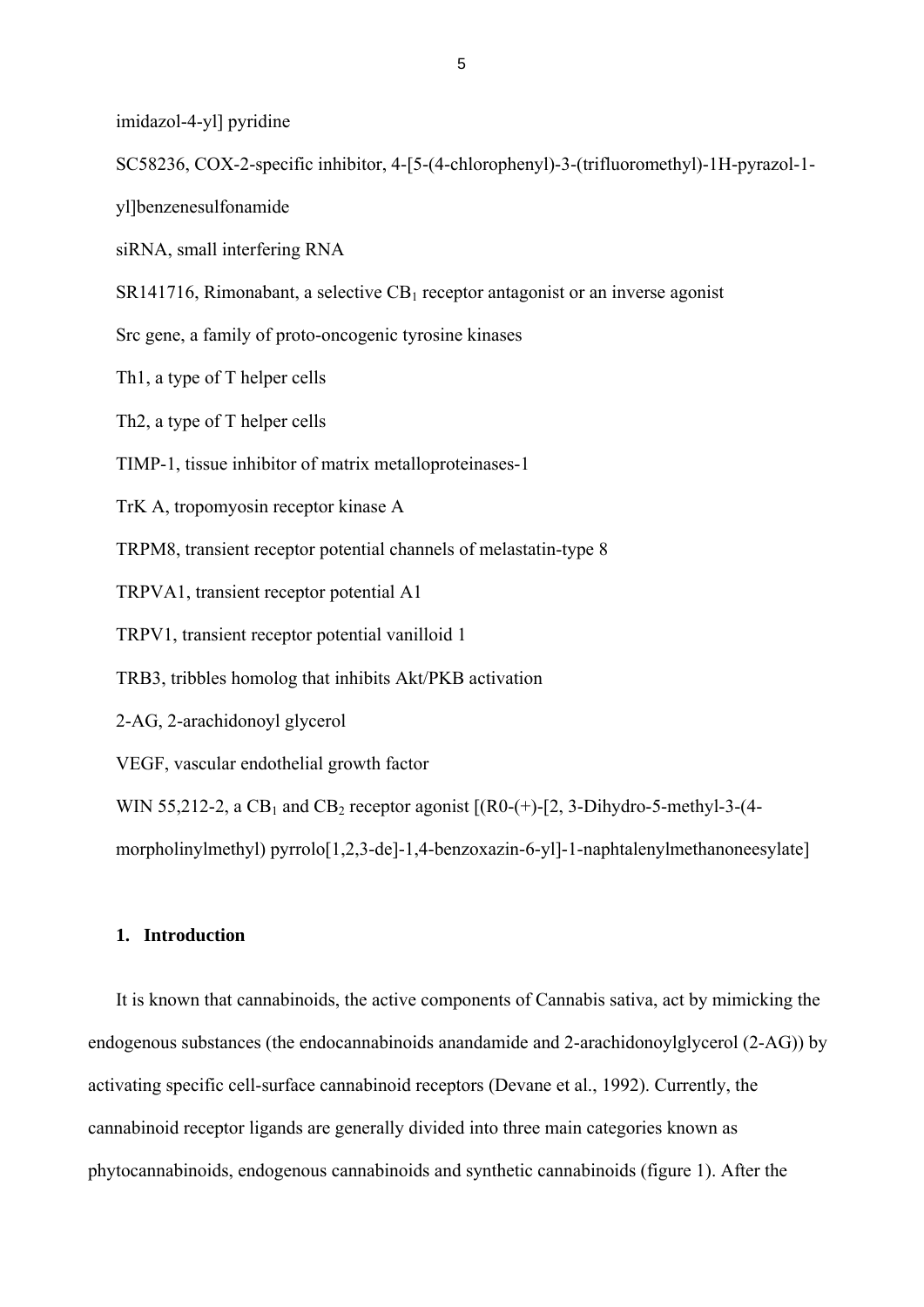imidazol-4-yl] pyridine

SC58236, COX-2-specific inhibitor, 4-[5-(4-chlorophenyl)-3-(trifluoromethyl)-1H-pyrazol-1-

yl]benzenesulfonamide

siRNA, small interfering RNA

 $SR141716$ , Rimonabant, a selective  $CB<sub>1</sub>$  receptor antagonist or an inverse agonist

Src gene, a family of proto-oncogenic tyrosine kinases

Th1, a type of T helper cells

Th2, a type of T helper cells

TIMP-1, tissue inhibitor of matrix metalloproteinases-1

TrK A, tropomyosin receptor kinase A

TRPM8, transient receptor potential channels of melastatin-type 8

TRPVA1, transient receptor potential A1

TRPV1, transient receptor potential vanilloid 1

TRB3, tribbles homolog that inhibits Akt/PKB activation

2-AG, 2-arachidonoyl glycerol

VEGF, vascular endothelial growth factor

WIN 55,212-2, a CB<sub>1</sub> and CB<sub>2</sub> receptor agonist  $[(R0-(+)$ - $[2, 3-Dihydro-5-methyl-3-(4-))$ 

morpholinylmethyl) pyrrolo[1,2,3-de]-1,4-benzoxazin-6-yl]-1-naphtalenylmethanoneesylate]

# **1. Introduction**

It is known that cannabinoids, the active components of Cannabis sativa, act by mimicking the endogenous substances (the endocannabinoids anandamide and 2-arachidonoylglycerol (2-AG)) by activating specific cell-surface cannabinoid receptors (Devane et al., 1992). Currently, the cannabinoid receptor ligands are generally divided into three main categories known as phytocannabinoids, endogenous cannabinoids and synthetic cannabinoids (figure 1). After the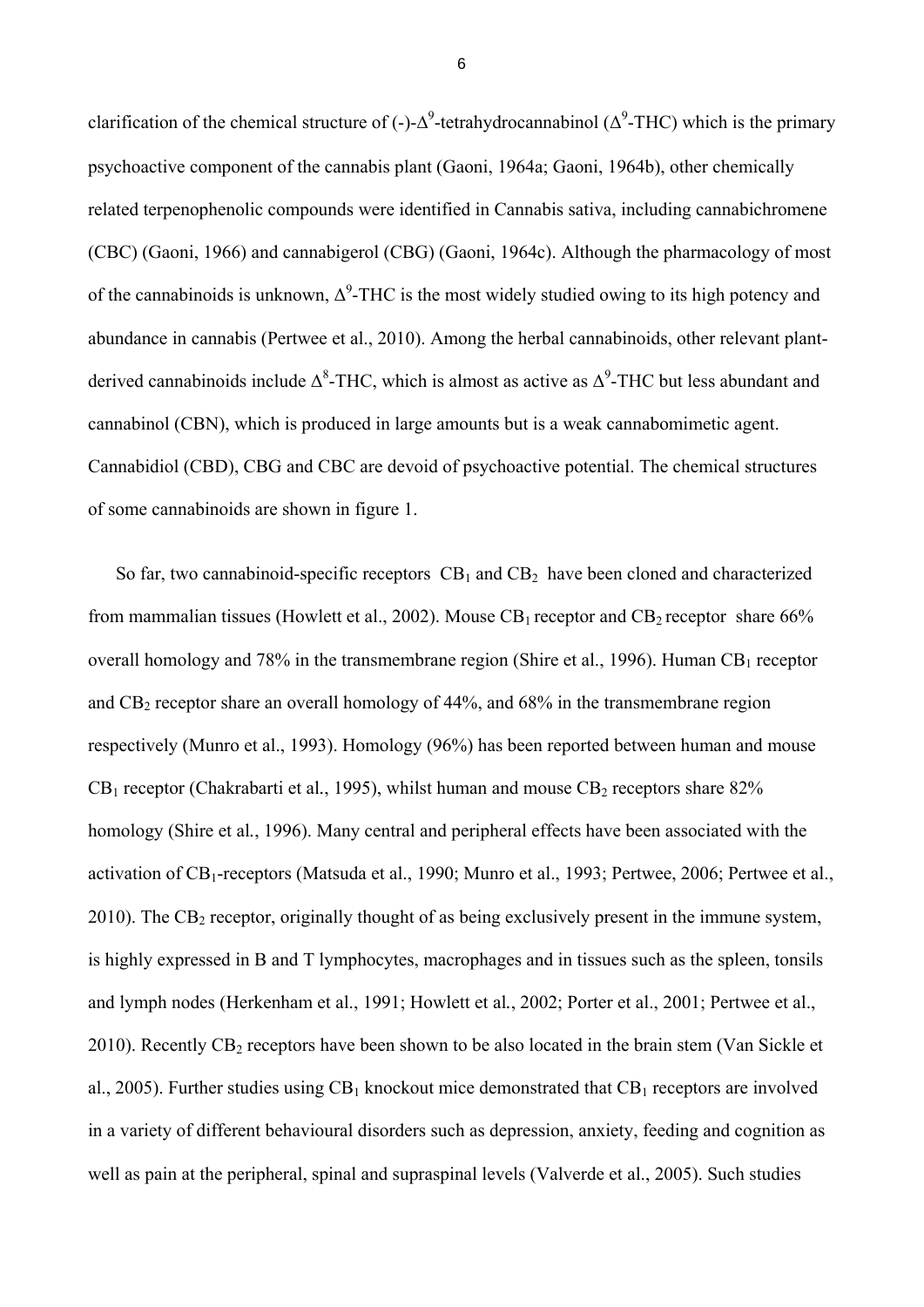clarification of the chemical structure of (-)- $\Delta^9$ -tetrahydrocannabinol ( $\Delta^9$ -THC) which is the primary psychoactive component of the cannabis plant (Gaoni, 1964a; Gaoni, 1964b), other chemically related terpenophenolic compounds were identified in Cannabis sativa, including cannabichromene (CBC) (Gaoni, 1966) and cannabigerol (CBG) (Gaoni, 1964c). Although the pharmacology of most of the cannabinoids is unknown,  $\Delta^9$ -THC is the most widely studied owing to its high potency and abundance in cannabis (Pertwee et al., 2010). Among the herbal cannabinoids, other relevant plantderived cannabinoids include  $\Delta^8$ -THC, which is almost as active as  $\Delta^9$ -THC but less abundant and cannabinol (CBN), which is produced in large amounts but is a weak cannabomimetic agent. Cannabidiol (CBD), CBG and CBC are devoid of psychoactive potential. The chemical structures of some cannabinoids are shown in figure 1.

So far, two cannabinoid-specific receptors  $CB_1$  and  $CB_2$  have been cloned and characterized from mammalian tissues (Howlett et al., 2002). Mouse  $CB_1$  receptor and  $CB_2$  receptor share 66% overall homology and 78% in the transmembrane region (Shire et al., 1996). Human  $CB_1$  receptor and  $CB_2$  receptor share an overall homology of 44%, and 68% in the transmembrane region respectively (Munro et al., 1993). Homology (96%) has been reported between human and mouse  $CB_1$  receptor (Chakrabarti et al., 1995), whilst human and mouse  $CB_2$  receptors share  $82\%$ homology (Shire et al*.*, 1996). Many central and peripheral effects have been associated with the activation of CB1-receptors (Matsuda et al., 1990; Munro et al., 1993; Pertwee, 2006; Pertwee et al.,  $2010$ ). The CB<sub>2</sub> receptor, originally thought of as being exclusively present in the immune system, is highly expressed in B and T lymphocytes, macrophages and in tissues such as the spleen, tonsils and lymph nodes (Herkenham et al., 1991; Howlett et al*.*, 2002; Porter et al., 2001; Pertwee et al., 2010). Recently  $CB_2$  receptors have been shown to be also located in the brain stem (Van Sickle et al., 2005). Further studies using  $CB_1$  knockout mice demonstrated that  $CB_1$  receptors are involved in a variety of different behavioural disorders such as depression, anxiety, feeding and cognition as well as pain at the peripheral, spinal and supraspinal levels (Valverde et al., 2005). Such studies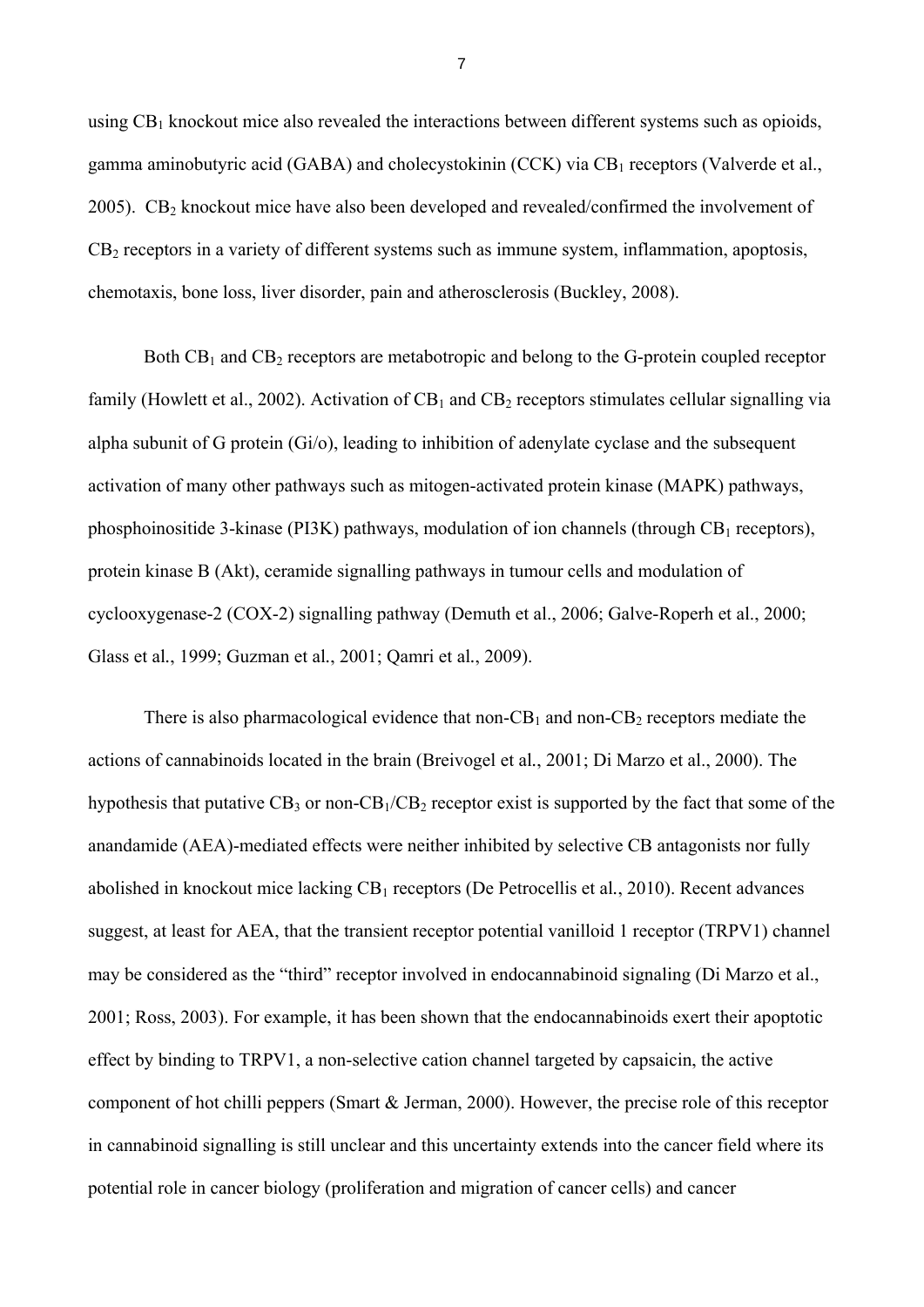using  $CB_1$  knockout mice also revealed the interactions between different systems such as opioids, gamma aminobutyric acid (GABA) and cholecystokinin (CCK) via  $CB<sub>1</sub>$  receptors (Valverde et al., 2005).  $CB<sub>2</sub>$  knockout mice have also been developed and revealed/confirmed the involvement of  $CB<sub>2</sub>$  receptors in a variety of different systems such as immune system, inflammation, apoptosis, chemotaxis, bone loss, liver disorder, pain and atherosclerosis (Buckley, 2008).

Both  $CB_1$  and  $CB_2$  receptors are metabotropic and belong to the G-protein coupled receptor family (Howlett et al., 2002). Activation of  $CB_1$  and  $CB_2$  receptors stimulates cellular signalling via alpha subunit of G protein (Gi/o), leading to inhibition of adenylate cyclase and the subsequent activation of many other pathways such as mitogen-activated protein kinase (MAPK) pathways, phosphoinositide 3-kinase (PI3K) pathways, modulation of ion channels (through  $CB<sub>1</sub>$  receptors), protein kinase B (Akt), ceramide signalling pathways in tumour cells and modulation of cyclooxygenase-2 (COX-2) signalling pathway (Demuth et al., 2006; Galve-Roperh et al., 2000; Glass et al*.*, 1999; Guzman et al*.*, 2001; Qamri et al*.*, 2009).

There is also pharmacological evidence that non- $CB_1$  and non- $CB_2$  receptors mediate the actions of cannabinoids located in the brain (Breivogel et al*.*, 2001; Di Marzo et al., 2000). The hypothesis that putative  $CB_3$  or non- $CB_1/CB_2$  receptor exist is supported by the fact that some of the anandamide (AEA)-mediated effects were neither inhibited by selective CB antagonists nor fully abolished in knockout mice lacking CB<sub>1</sub> receptors (De Petrocellis et al., 2010). Recent advances suggest, at least for AEA, that the transient receptor potential vanilloid 1 receptor (TRPV1) channel may be considered as the "third" receptor involved in endocannabinoid signaling (Di Marzo et al., 2001; Ross, 2003). For example, it has been shown that the endocannabinoids exert their apoptotic effect by binding to TRPV1, a non-selective cation channel targeted by capsaicin, the active component of hot chilli peppers (Smart & Jerman, 2000). However, the precise role of this receptor in cannabinoid signalling is still unclear and this uncertainty extends into the cancer field where its potential role in cancer biology (proliferation and migration of cancer cells) and cancer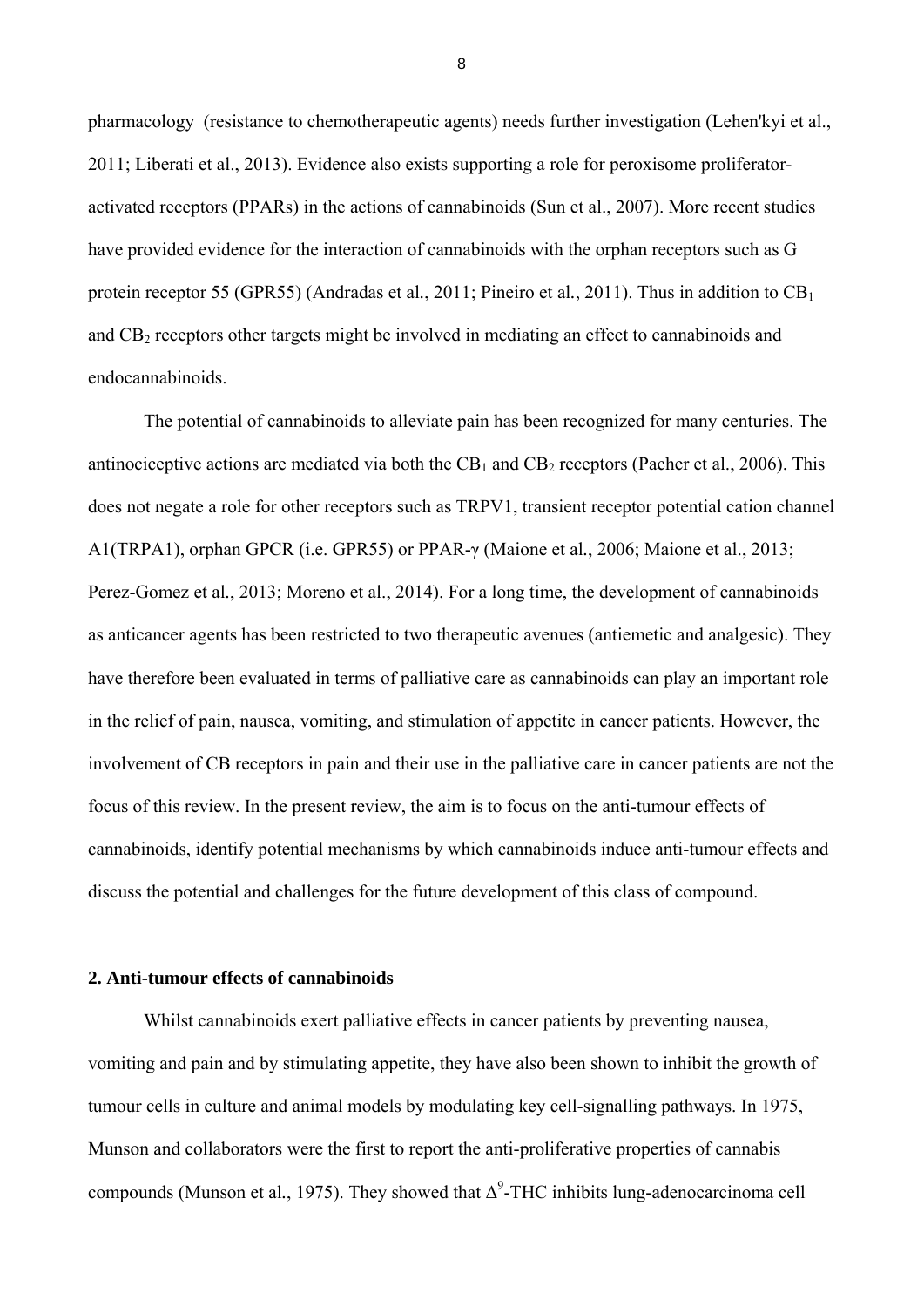pharmacology (resistance to chemotherapeutic agents) needs further investigation (Lehen'kyi et al., 2011; Liberati et al., 2013). Evidence also exists supporting a role for peroxisome proliferatoractivated receptors (PPARs) in the actions of cannabinoids (Sun et al., 2007). More recent studies have provided evidence for the interaction of cannabinoids with the orphan receptors such as G protein receptor 55 (GPR55) (Andradas et al., 2011; Pineiro et al., 2011). Thus in addition to CB<sub>1</sub> and  $CB<sub>2</sub>$  receptors other targets might be involved in mediating an effect to cannabinoids and endocannabinoids.

The potential of cannabinoids to alleviate pain has been recognized for many centuries. The antinociceptive actions are mediated via both the  $CB_1$  and  $CB_2$  receptors (Pacher et al., 2006). This does not negate a role for other receptors such as TRPV1, transient receptor potential cation channel A1(TRPA1), orphan GPCR (i.e. GPR55) or PPAR-γ (Maione et al*.*, 2006; Maione et al., 2013; Perez-Gomez et al*.*, 2013; Moreno et al., 2014). For a long time, the development of cannabinoids as anticancer agents has been restricted to two therapeutic avenues (antiemetic and analgesic). They have therefore been evaluated in terms of palliative care as cannabinoids can play an important role in the relief of pain, nausea, vomiting, and stimulation of appetite in cancer patients. However, the involvement of CB receptors in pain and their use in the palliative care in cancer patients are not the focus of this review. In the present review, the aim is to focus on the anti-tumour effects of cannabinoids, identify potential mechanisms by which cannabinoids induce anti-tumour effects and discuss the potential and challenges for the future development of this class of compound.

## **2. Anti-tumour effects of cannabinoids**

Whilst cannabinoids exert palliative effects in cancer patients by preventing nausea, vomiting and pain and by stimulating appetite, they have also been shown to inhibit the growth of tumour cells in culture and animal models by modulating key cell-signalling pathways. In 1975, Munson and collaborators were the first to report the anti-proliferative properties of cannabis compounds (Munson et al., 1975). They showed that  $\Delta^9$ -THC inhibits lung-adenocarcinoma cell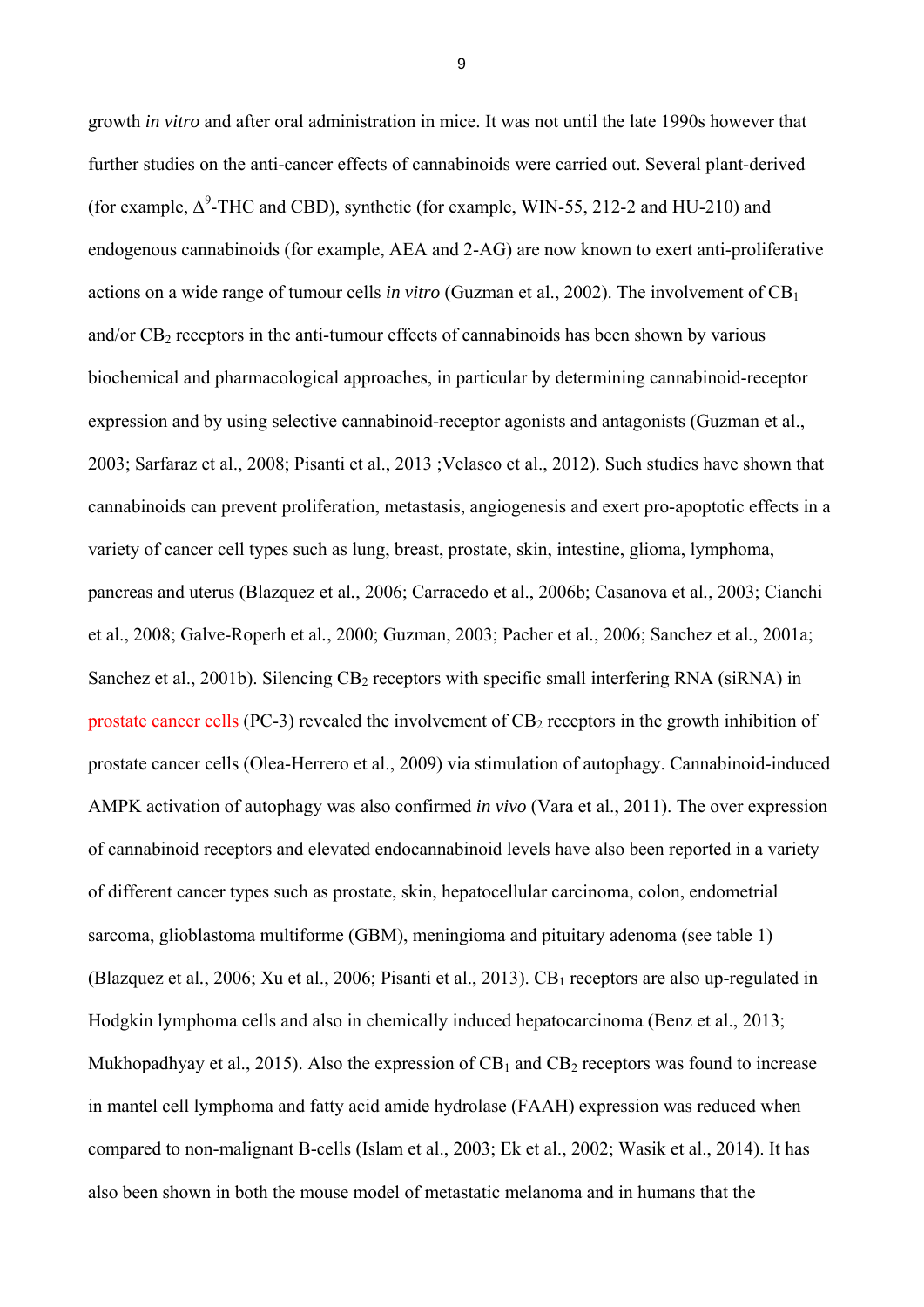growth *in vitro* and after oral administration in mice. It was not until the late 1990s however that further studies on the anti-cancer effects of cannabinoids were carried out. Several plant-derived (for example,  $\Delta^9$ -THC and CBD), synthetic (for example, WIN-55, 212-2 and HU-210) and endogenous cannabinoids (for example, AEA and 2-AG) are now known to exert anti-proliferative actions on a wide range of tumour cells *in vitro* (Guzman et al., 2002). The involvement of CB1 and/or  $CB<sub>2</sub>$  receptors in the anti-tumour effects of cannabinoids has been shown by various biochemical and pharmacological approaches, in particular by determining cannabinoid-receptor expression and by using selective cannabinoid-receptor agonists and antagonists (Guzman et al., 2003; Sarfaraz et al., 2008; Pisanti et al., 2013 ;Velasco et al., 2012). Such studies have shown that cannabinoids can prevent proliferation, metastasis, angiogenesis and exert pro-apoptotic effects in a variety of cancer cell types such as lung, breast, prostate, skin, intestine, glioma, lymphoma, pancreas and uterus (Blazquez et al*.*, 2006; Carracedo et al., 2006b; Casanova et al*.*, 2003; Cianchi et al., 2008; Galve-Roperh et al*.*, 2000; Guzman, 2003; Pacher et al*.*, 2006; Sanchez et al*.*, 2001a; Sanchez et al., 2001b). Silencing  $CB_2$  receptors with specific small interfering RNA (siRNA) in prostate cancer cells (PC-3) revealed the involvement of  $CB<sub>2</sub>$  receptors in the growth inhibition of prostate cancer cells (Olea-Herrero et al., 2009) via stimulation of autophagy. Cannabinoid-induced AMPK activation of autophagy was also confirmed *in vivo* (Vara et al., 2011). The over expression of cannabinoid receptors and elevated endocannabinoid levels have also been reported in a variety of different cancer types such as prostate, skin, hepatocellular carcinoma, colon, endometrial sarcoma, glioblastoma multiforme (GBM), meningioma and pituitary adenoma (see table 1) (Blazquez et al., 2006; Xu et al., 2006; Pisanti et al., 2013).  $CB<sub>1</sub>$  receptors are also up-regulated in Hodgkin lymphoma cells and also in chemically induced hepatocarcinoma (Benz et al., 2013; Mukhopadhyay et al., 2015). Also the expression of  $CB_1$  and  $CB_2$  receptors was found to increase in mantel cell lymphoma and fatty acid amide hydrolase (FAAH) expression was reduced when compared to non-malignant B-cells (Islam et al., 2003; Ek et al., 2002; Wasik et al., 2014). It has also been shown in both the mouse model of metastatic melanoma and in humans that the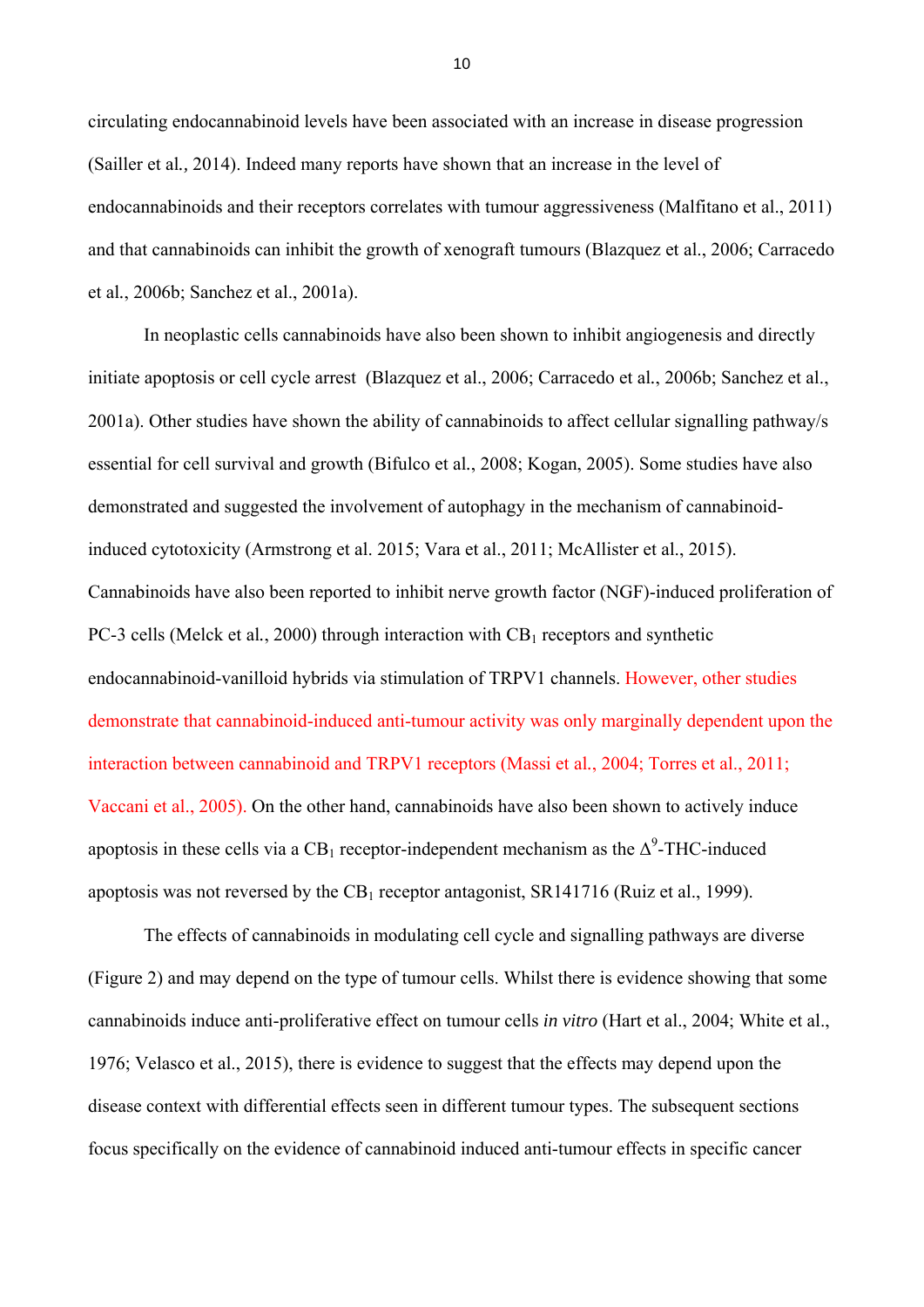circulating endocannabinoid levels have been associated with an increase in disease progression (Sailler et al*.,* 2014). Indeed many reports have shown that an increase in the level of endocannabinoids and their receptors correlates with tumour aggressiveness (Malfitano et al., 2011) and that cannabinoids can inhibit the growth of xenograft tumours (Blazquez et al., 2006; Carracedo et al*.*, 2006b; Sanchez et al., 2001a).

In neoplastic cells cannabinoids have also been shown to inhibit angiogenesis and directly initiate apoptosis or cell cycle arrest (Blazquez et al., 2006; Carracedo et al*.*, 2006b; Sanchez et al., 2001a). Other studies have shown the ability of cannabinoids to affect cellular signalling pathway/s essential for cell survival and growth (Bifulco et al*.*, 2008; Kogan, 2005). Some studies have also demonstrated and suggested the involvement of autophagy in the mechanism of cannabinoidinduced cytotoxicity (Armstrong et al. 2015; Vara et al., 2011; McAllister et al., 2015). Cannabinoids have also been reported to inhibit nerve growth factor (NGF)-induced proliferation of PC-3 cells (Melck et al., 2000) through interaction with  $CB<sub>1</sub>$  receptors and synthetic endocannabinoid-vanilloid hybrids via stimulation of TRPV1 channels. However, other studies demonstrate that cannabinoid-induced anti-tumour activity was only marginally dependent upon the interaction between cannabinoid and TRPV1 receptors (Massi et al*.*, 2004; Torres et al., 2011; Vaccani et al., 2005). On the other hand, cannabinoids have also been shown to actively induce apoptosis in these cells via a CB<sub>1</sub> receptor-independent mechanism as the  $\Delta^9$ -THC-induced apoptosis was not reversed by the  $CB_1$  receptor antagonist,  $SR141716$  (Ruiz et al., 1999).

The effects of cannabinoids in modulating cell cycle and signalling pathways are diverse (Figure 2) and may depend on the type of tumour cells. Whilst there is evidence showing that some cannabinoids induce anti-proliferative effect on tumour cells *in vitro* (Hart et al., 2004; White et al., 1976; Velasco et al., 2015), there is evidence to suggest that the effects may depend upon the disease context with differential effects seen in different tumour types. The subsequent sections focus specifically on the evidence of cannabinoid induced anti-tumour effects in specific cancer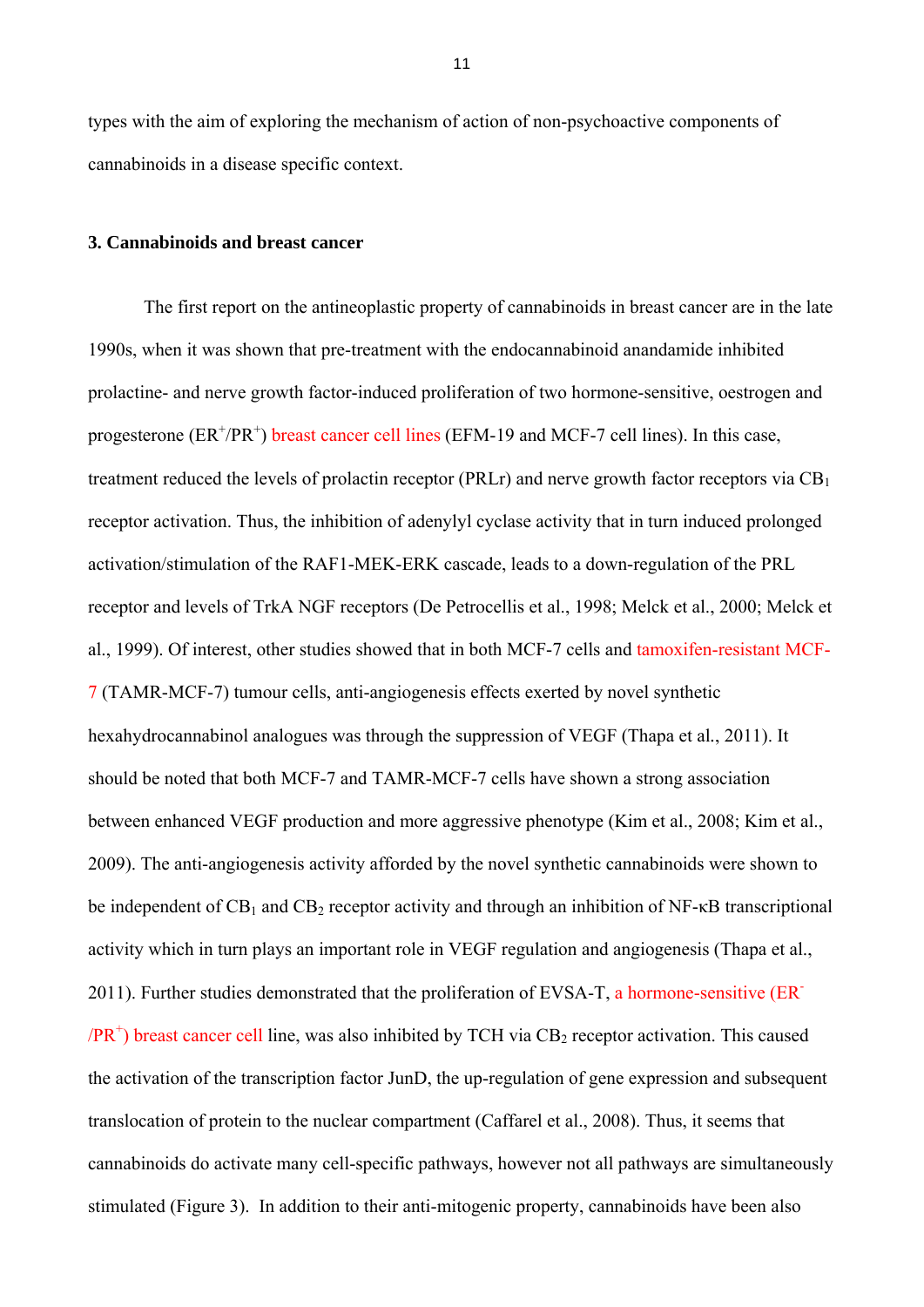types with the aim of exploring the mechanism of action of non-psychoactive components of cannabinoids in a disease specific context.

#### **3. Cannabinoids and breast cancer**

The first report on the antineoplastic property of cannabinoids in breast cancer are in the late 1990s, when it was shown that pre-treatment with the endocannabinoid anandamide inhibited prolactine- and nerve growth factor-induced proliferation of two hormone-sensitive, oestrogen and progesterone (ER<sup>+</sup>/PR<sup>+</sup>) breast cancer cell lines (EFM-19 and MCF-7 cell lines). In this case, treatment reduced the levels of prolactin receptor (PRLr) and nerve growth factor receptors via  $CB<sub>1</sub>$ receptor activation. Thus, the inhibition of adenylyl cyclase activity that in turn induced prolonged activation/stimulation of the RAF1-MEK-ERK cascade, leads to a down-regulation of the PRL receptor and levels of TrkA NGF receptors (De Petrocellis et al., 1998; Melck et al., 2000; Melck et al., 1999). Of interest, other studies showed that in both MCF-7 cells and tamoxifen-resistant MCF-7 (TAMR-MCF-7) tumour cells, anti-angiogenesis effects exerted by novel synthetic hexahydrocannabinol analogues was through the suppression of VEGF (Thapa et al*.*, 2011). It should be noted that both MCF-7 and TAMR-MCF-7 cells have shown a strong association between enhanced VEGF production and more aggressive phenotype (Kim et al., 2008; Kim et al., 2009). The anti-angiogenesis activity afforded by the novel synthetic cannabinoids were shown to be independent of  $CB_1$  and  $CB_2$  receptor activity and through an inhibition of NF- $\kappa$ B transcriptional activity which in turn plays an important role in VEGF regulation and angiogenesis (Thapa et al., 2011). Further studies demonstrated that the proliferation of EVSA-T, a hormone-sensitive (ER<sup>-</sup>  $/PR^+$ ) breast cancer cell line, was also inhibited by TCH via  $CB_2$  receptor activation. This caused the activation of the transcription factor JunD, the up-regulation of gene expression and subsequent translocation of protein to the nuclear compartment (Caffarel et al., 2008). Thus, it seems that cannabinoids do activate many cell-specific pathways, however not all pathways are simultaneously stimulated (Figure 3). In addition to their anti-mitogenic property, cannabinoids have been also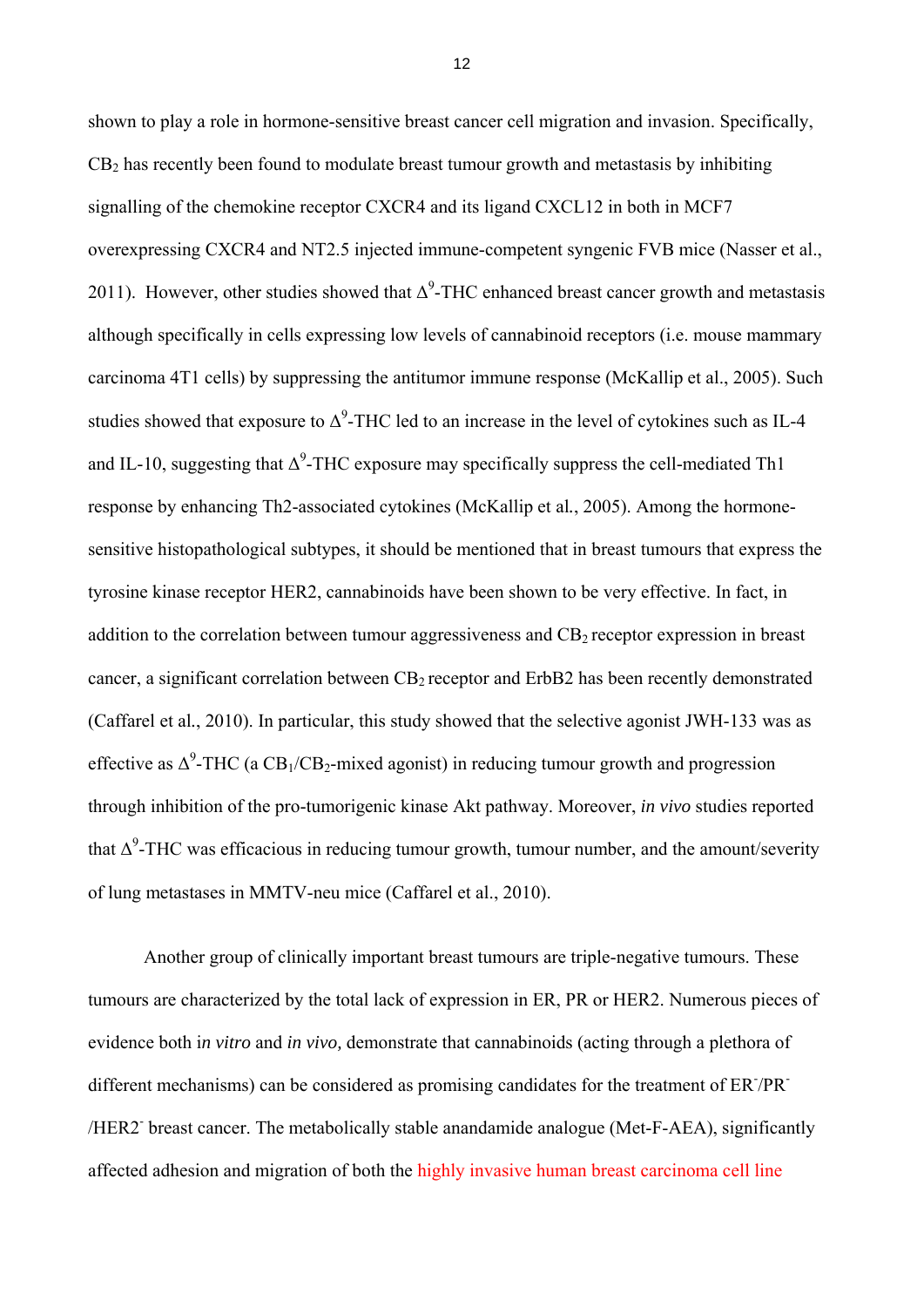shown to play a role in hormone-sensitive breast cancer cell migration and invasion. Specifically,  $CB<sub>2</sub>$  has recently been found to modulate breast tumour growth and metastasis by inhibiting signalling of the chemokine receptor CXCR4 and its ligand CXCL12 in both in MCF7 overexpressing CXCR4 and NT2.5 injected immune-competent syngenic FVB mice (Nasser et al., 2011). However, other studies showed that  $\Delta^9$ -THC enhanced breast cancer growth and metastasis although specifically in cells expressing low levels of cannabinoid receptors (i.e. mouse mammary carcinoma 4T1 cells) by suppressing the antitumor immune response (McKallip et al., 2005). Such studies showed that exposure to  $\Delta^9$ -THC led to an increase in the level of cytokines such as IL-4 and IL-10, suggesting that  $\Delta^9$ -THC exposure may specifically suppress the cell-mediated Th1 response by enhancing Th2-associated cytokines (McKallip et al*.*, 2005). Among the hormonesensitive histopathological subtypes, it should be mentioned that in breast tumours that express the tyrosine kinase receptor HER2, cannabinoids have been shown to be very effective. In fact, in addition to the correlation between tumour aggressiveness and  $CB<sub>2</sub>$  receptor expression in breast cancer, a significant correlation between  $CB_2$  receptor and ErbB2 has been recently demonstrated (Caffarel et al*.*, 2010). In particular, this study showed that the selective agonist JWH-133 was as effective as  $\Delta^9$ -THC (a CB<sub>1</sub>/CB<sub>2</sub>-mixed agonist) in reducing tumour growth and progression through inhibition of the pro-tumorigenic kinase Akt pathway. Moreover, *in vivo* studies reported that  $\Delta^9$ -THC was efficacious in reducing tumour growth, tumour number, and the amount/severity of lung metastases in MMTV-neu mice (Caffarel et al., 2010).

Another group of clinically important breast tumours are triple-negative tumours. These tumours are characterized by the total lack of expression in ER, PR or HER2. Numerous pieces of evidence both i*n vitro* and *in vivo,* demonstrate that cannabinoids (acting through a plethora of different mechanisms) can be considered as promising candidates for the treatment of ER7PR /HER2<sup>-</sup> breast cancer. The metabolically stable anandamide analogue (Met-F-AEA), significantly affected adhesion and migration of both the highly invasive human breast carcinoma cell line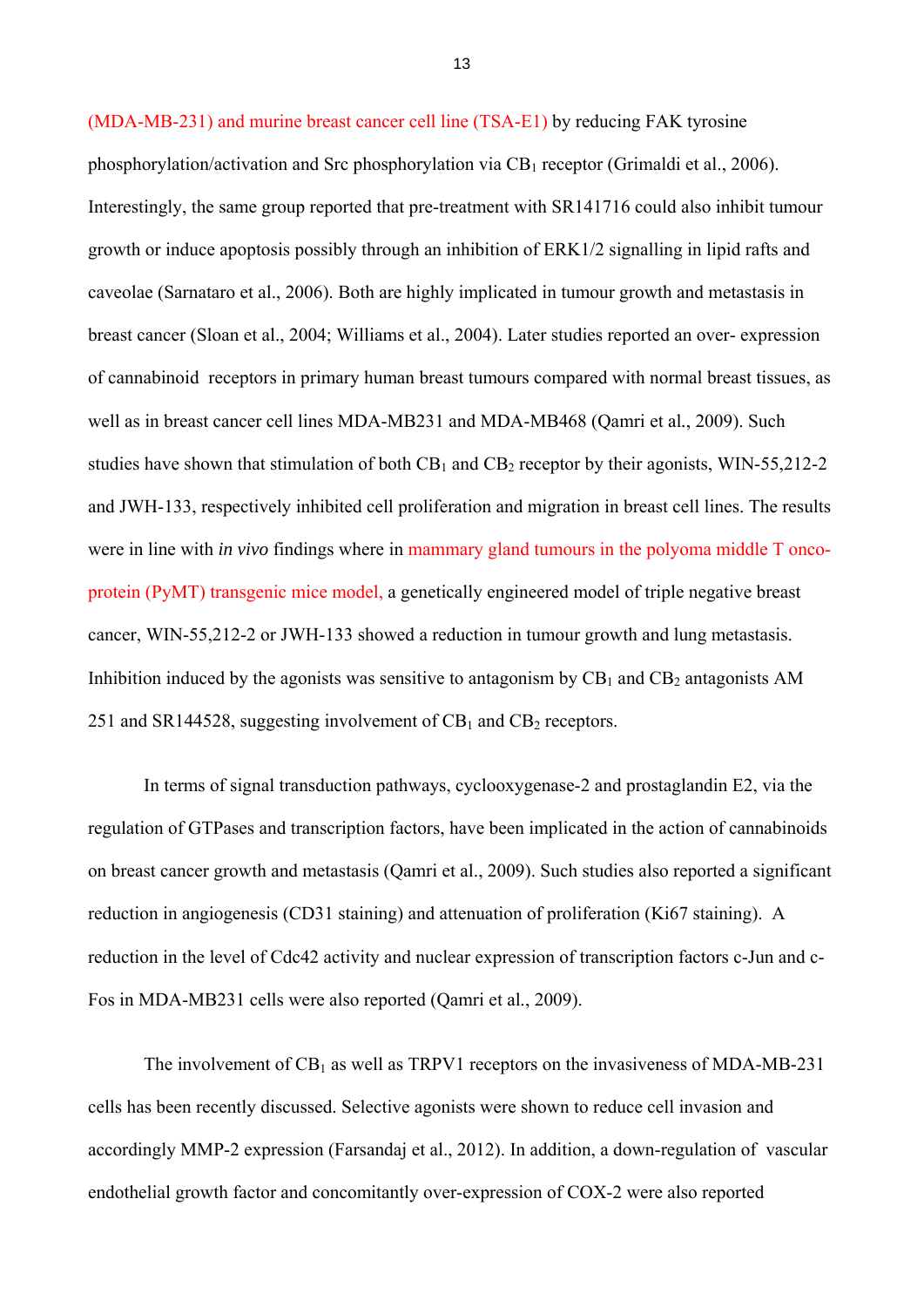(MDA-MB-231) and murine breast cancer cell line (TSA-E1) by reducing FAK tyrosine phosphorylation/activation and Src phosphorylation via  $CB_1$  receptor (Grimaldi et al., 2006). Interestingly, the same group reported that pre-treatment with SR141716 could also inhibit tumour growth or induce apoptosis possibly through an inhibition of ERK1/2 signalling in lipid rafts and caveolae (Sarnataro et al., 2006). Both are highly implicated in tumour growth and metastasis in breast cancer (Sloan et al., 2004; Williams et al., 2004). Later studies reported an over- expression of cannabinoid receptors in primary human breast tumours compared with normal breast tissues, as well as in breast cancer cell lines MDA-MB231 and MDA-MB468 (Qamri et al*.*, 2009). Such studies have shown that stimulation of both  $CB_1$  and  $CB_2$  receptor by their agonists, WIN-55,212-2 and JWH-133, respectively inhibited cell proliferation and migration in breast cell lines. The results were in line with *in vivo* findings where in mammary gland tumours in the polyoma middle T oncoprotein (PyMT) transgenic mice model, a genetically engineered model of triple negative breast cancer, WIN-55,212-2 or JWH-133 showed a reduction in tumour growth and lung metastasis. Inhibition induced by the agonists was sensitive to antagonism by  $CB_1$  and  $CB_2$  antagonists AM 251 and SR144528, suggesting involvement of  $CB<sub>1</sub>$  and  $CB<sub>2</sub>$  receptors.

In terms of signal transduction pathways, cyclooxygenase-2 and prostaglandin E2, via the regulation of GTPases and transcription factors, have been implicated in the action of cannabinoids on breast cancer growth and metastasis (Qamri et al., 2009). Such studies also reported a significant reduction in angiogenesis (CD31 staining) and attenuation of proliferation (Ki67 staining). A reduction in the level of Cdc42 activity and nuclear expression of transcription factors c-Jun and c-Fos in MDA-MB231 cells were also reported (Qamri et al*.*, 2009).

The involvement of  $CB<sub>1</sub>$  as well as TRPV1 receptors on the invasiveness of MDA-MB-231 cells has been recently discussed. Selective agonists were shown to reduce cell invasion and accordingly MMP-2 expression (Farsandaj et al., 2012). In addition, a down-regulation of vascular endothelial growth factor and concomitantly over-expression of COX-2 were also reported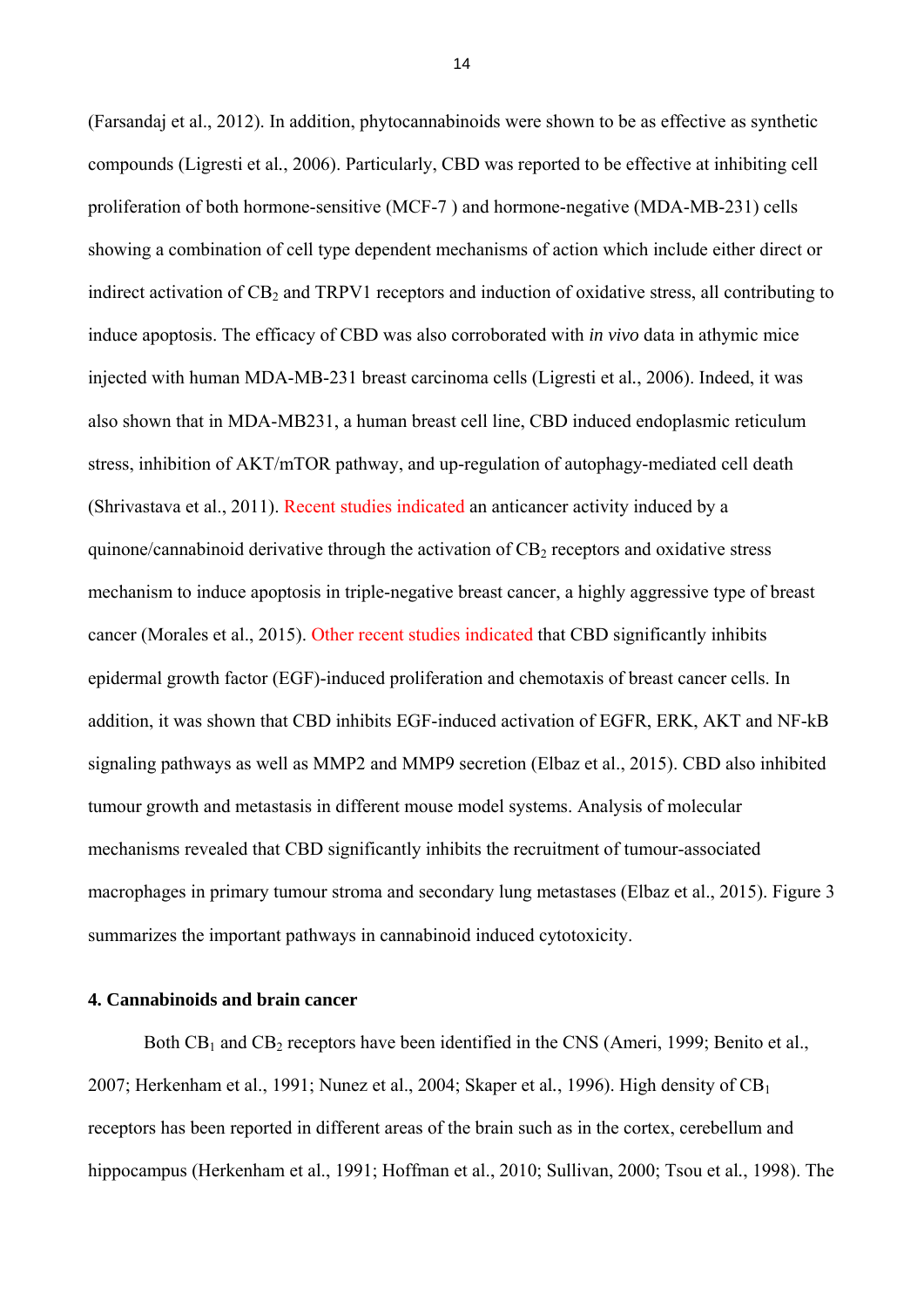(Farsandaj et al., 2012). In addition, phytocannabinoids were shown to be as effective as synthetic compounds (Ligresti et al*.*, 2006). Particularly, CBD was reported to be effective at inhibiting cell proliferation of both hormone-sensitive (MCF-7 ) and hormone-negative (MDA-MB-231) cells showing a combination of cell type dependent mechanisms of action which include either direct or indirect activation of CB<sub>2</sub> and TRPV1 receptors and induction of oxidative stress, all contributing to induce apoptosis. The efficacy of CBD was also corroborated with *in vivo* data in athymic mice injected with human MDA-MB-231 breast carcinoma cells (Ligresti et al*.*, 2006). Indeed, it was also shown that in MDA-MB231, a human breast cell line, CBD induced endoplasmic reticulum stress, inhibition of AKT/mTOR pathway, and up-regulation of autophagy-mediated cell death (Shrivastava et al., 2011). Recent studies indicated an anticancer activity induced by a quinone/cannabinoid derivative through the activation of  $CB_2$  receptors and oxidative stress mechanism to induce apoptosis in triple-negative breast cancer, a highly aggressive type of breast cancer (Morales et al., 2015). Other recent studies indicated that CBD significantly inhibits epidermal growth factor (EGF)-induced proliferation and chemotaxis of breast cancer cells. In addition, it was shown that CBD inhibits EGF-induced activation of EGFR, ERK, AKT and NF-kB signaling pathways as well as MMP2 and MMP9 secretion (Elbaz et al., 2015). CBD also inhibited tumour growth and metastasis in different mouse model systems. Analysis of molecular mechanisms revealed that CBD significantly inhibits the recruitment of tumour-associated macrophages in primary tumour stroma and secondary lung metastases (Elbaz et al., 2015). Figure 3 summarizes the important pathways in cannabinoid induced cytotoxicity.

#### **4. Cannabinoids and brain cancer**

Both  $CB_1$  and  $CB_2$  receptors have been identified in the CNS (Ameri, 1999; Benito et al., 2007; Herkenham et al., 1991; Nunez et al., 2004; Skaper et al., 1996). High density of CB<sub>1</sub> receptors has been reported in different areas of the brain such as in the cortex, cerebellum and hippocampus (Herkenham et al., 1991; Hoffman et al., 2010; Sullivan, 2000; Tsou et al*.*, 1998). The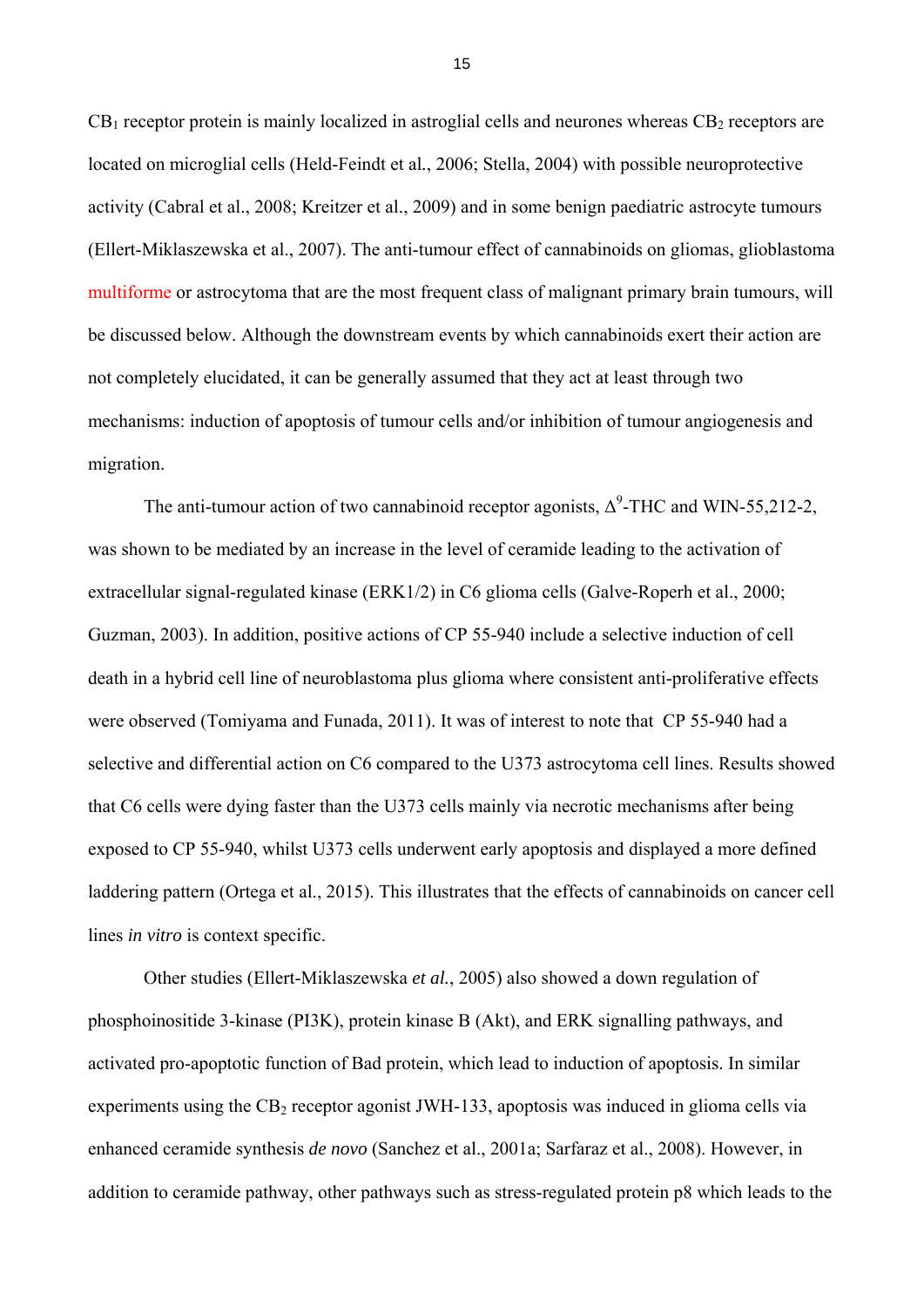$CB_1$  receptor protein is mainly localized in astroglial cells and neurones whereas  $CB_2$  receptors are located on microglial cells (Held-Feindt et al*.*, 2006; Stella, 2004) with possible neuroprotective activity (Cabral et al., 2008; Kreitzer et al., 2009) and in some benign paediatric astrocyte tumours (Ellert-Miklaszewska et al., 2007). The anti-tumour effect of cannabinoids on gliomas, glioblastoma multiforme or astrocytoma that are the most frequent class of malignant primary brain tumours, will be discussed below. Although the downstream events by which cannabinoids exert their action are not completely elucidated, it can be generally assumed that they act at least through two mechanisms: induction of apoptosis of tumour cells and/or inhibition of tumour angiogenesis and migration.

The anti-tumour action of two cannabinoid receptor agonists,  $\Delta^9$ -THC and WIN-55,212-2, was shown to be mediated by an increase in the level of ceramide leading to the activation of extracellular signal-regulated kinase (ERK1/2) in C6 glioma cells (Galve-Roperh et al., 2000; Guzman, 2003). In addition, positive actions of CP 55-940 include a selective induction of cell death in a hybrid cell line of neuroblastoma plus glioma where consistent anti-proliferative effects were observed (Tomiyama and Funada, 2011). It was of interest to note that CP 55-940 had a selective and differential action on C6 compared to the U373 astrocytoma cell lines. Results showed that C6 cells were dying faster than the U373 cells mainly via necrotic mechanisms after being exposed to CP 55-940, whilst U373 cells underwent early apoptosis and displayed a more defined laddering pattern (Ortega et al., 2015). This illustrates that the effects of cannabinoids on cancer cell lines *in vitro* is context specific.

Other studies (Ellert-Miklaszewska *et al.*, 2005) also showed a down regulation of phosphoinositide 3-kinase (PI3K), protein kinase B (Akt), and ERK signalling pathways, and activated pro-apoptotic function of Bad protein, which lead to induction of apoptosis. In similar experiments using the  $CB_2$  receptor agonist JWH-133, apoptosis was induced in glioma cells via enhanced ceramide synthesis *de novo* (Sanchez et al., 2001a; Sarfaraz et al., 2008). However, in addition to ceramide pathway, other pathways such as stress-regulated protein p8 which leads to the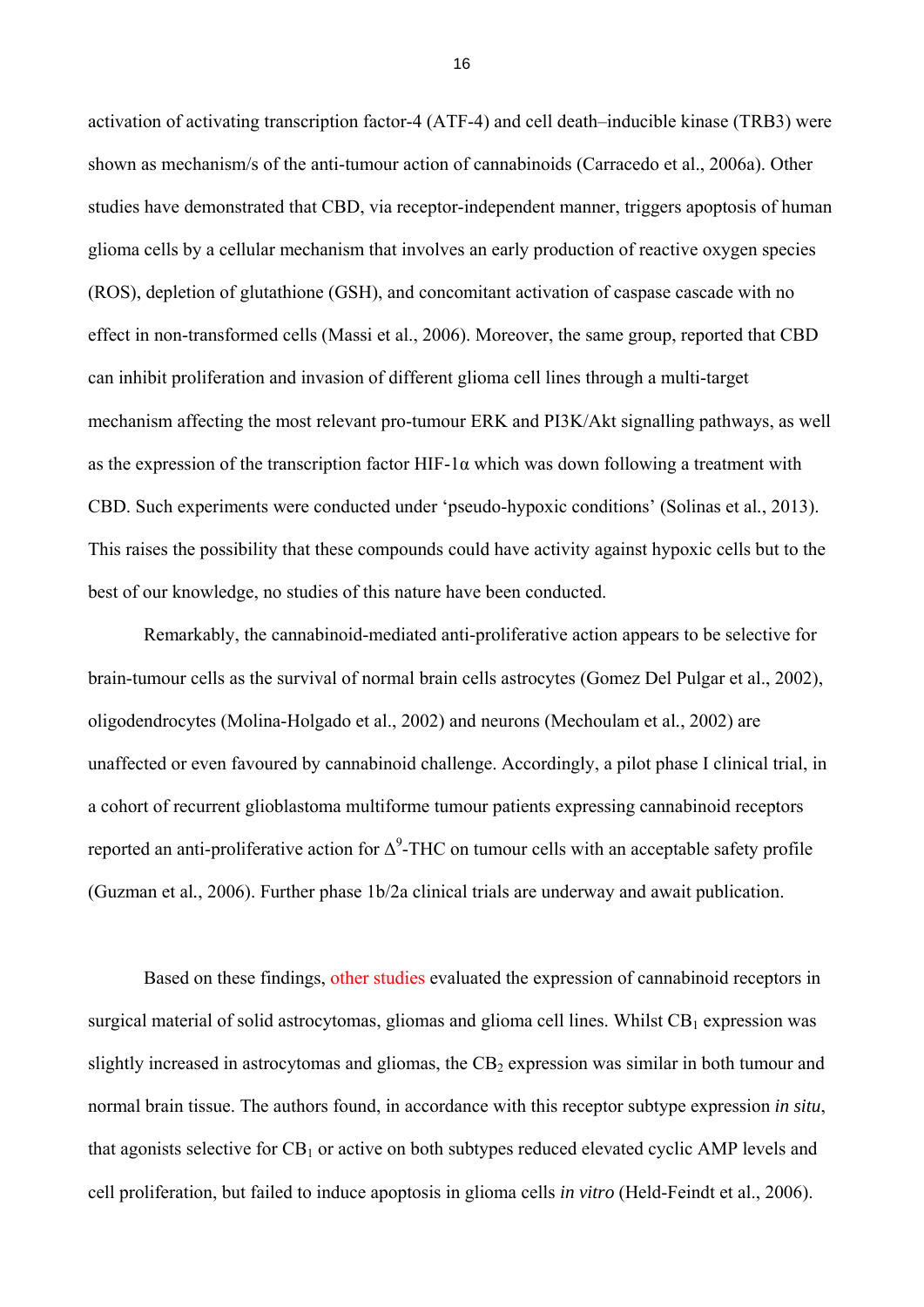activation of activating transcription factor-4 (ATF-4) and cell death–inducible kinase (TRB3) were shown as mechanism/s of the anti-tumour action of cannabinoids (Carracedo et al., 2006a). Other studies have demonstrated that CBD, via receptor-independent manner, triggers apoptosis of human glioma cells by a cellular mechanism that involves an early production of reactive oxygen species (ROS), depletion of glutathione (GSH), and concomitant activation of caspase cascade with no effect in non-transformed cells (Massi et al., 2006). Moreover, the same group, reported that CBD can inhibit proliferation and invasion of different glioma cell lines through a multi-target mechanism affecting the most relevant pro-tumour ERK and PI3K/Akt signalling pathways, as well as the expression of the transcription factor HIF-1 $\alpha$  which was down following a treatment with CBD. Such experiments were conducted under 'pseudo-hypoxic conditions' (Solinas et al*.*, 2013). This raises the possibility that these compounds could have activity against hypoxic cells but to the best of our knowledge, no studies of this nature have been conducted.

Remarkably, the cannabinoid-mediated anti-proliferative action appears to be selective for brain-tumour cells as the survival of normal brain cells astrocytes (Gomez Del Pulgar et al., 2002), oligodendrocytes (Molina-Holgado et al., 2002) and neurons (Mechoulam et al*.*, 2002) are unaffected or even favoured by cannabinoid challenge. Accordingly, a pilot phase I clinical trial, in a cohort of recurrent glioblastoma multiforme tumour patients expressing cannabinoid receptors reported an anti-proliferative action for  $\Delta^9$ -THC on tumour cells with an acceptable safety profile (Guzman et al*.*, 2006). Further phase 1b/2a clinical trials are underway and await publication.

Based on these findings, other studies evaluated the expression of cannabinoid receptors in surgical material of solid astrocytomas, gliomas and glioma cell lines. Whilst  $CB_1$  expression was slightly increased in astrocytomas and gliomas, the  $CB<sub>2</sub>$  expression was similar in both tumour and normal brain tissue. The authors found, in accordance with this receptor subtype expression *in situ*, that agonists selective for  $CB<sub>1</sub>$  or active on both subtypes reduced elevated cyclic AMP levels and cell proliferation, but failed to induce apoptosis in glioma cells *in vitro* (Held-Feindt et al., 2006).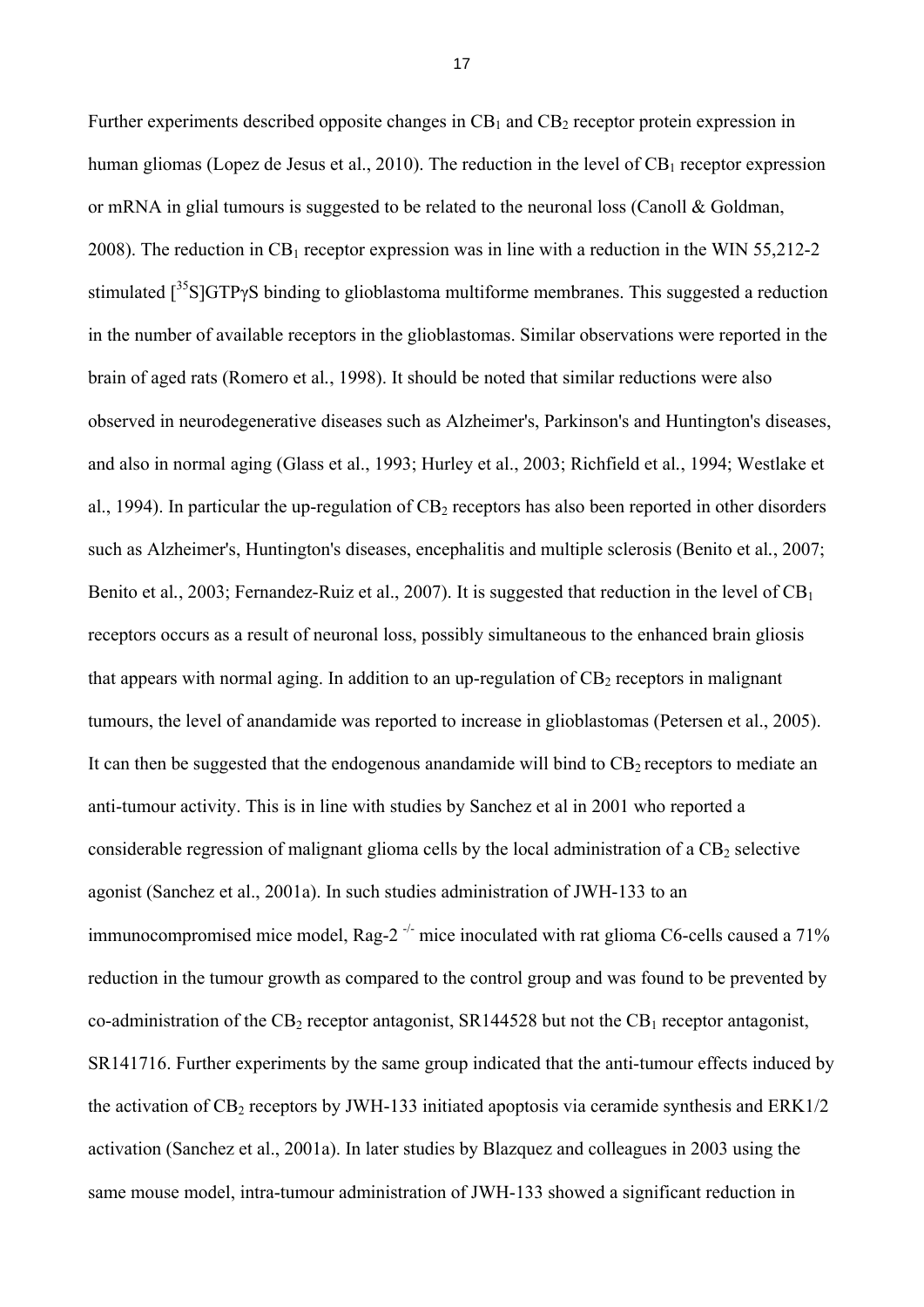Further experiments described opposite changes in  $CB_1$  and  $CB_2$  receptor protein expression in human gliomas (Lopez de Jesus et al., 2010). The reduction in the level of  $CB<sub>1</sub>$  receptor expression or mRNA in glial tumours is suggested to be related to the neuronal loss (Canoll & Goldman, 2008). The reduction in  $CB_1$  receptor expression was in line with a reduction in the WIN 55,212-2 stimulated  $\int^{35} S \cdot S \cdot G \cdot T$  binding to glioblastoma multiforme membranes. This suggested a reduction in the number of available receptors in the glioblastomas. Similar observations were reported in the brain of aged rats (Romero et al*.*, 1998). It should be noted that similar reductions were also observed in neurodegenerative diseases such as Alzheimer's, Parkinson's and Huntington's diseases, and also in normal aging (Glass et al., 1993; Hurley et al., 2003; Richfield et al*.*, 1994; Westlake et al., 1994). In particular the up-regulation of  $CB_2$  receptors has also been reported in other disorders such as Alzheimer's, Huntington's diseases, encephalitis and multiple sclerosis (Benito et al*.*, 2007; Benito et al., 2003; Fernandez-Ruiz et al., 2007). It is suggested that reduction in the level of CB<sub>1</sub> receptors occurs as a result of neuronal loss, possibly simultaneous to the enhanced brain gliosis that appears with normal aging. In addition to an up-regulation of  $CB<sub>2</sub>$  receptors in malignant tumours, the level of anandamide was reported to increase in glioblastomas (Petersen et al., 2005). It can then be suggested that the endogenous anandamide will bind to  $CB<sub>2</sub>$  receptors to mediate an anti-tumour activity. This is in line with studies by Sanchez et al in 2001 who reported a considerable regression of malignant glioma cells by the local administration of a  $CB<sub>2</sub>$  selective agonist (Sanchez et al., 2001a). In such studies administration of JWH-133 to an immunocompromised mice model, Rag- $2^{-/-}$  mice inoculated with rat glioma C6-cells caused a 71% reduction in the tumour growth as compared to the control group and was found to be prevented by co-administration of the  $CB_2$  receptor antagonist, SR144528 but not the  $CB_1$  receptor antagonist, SR141716. Further experiments by the same group indicated that the anti-tumour effects induced by the activation of  $CB_2$  receptors by JWH-133 initiated apoptosis via ceramide synthesis and  $ERK1/2$ activation (Sanchez et al., 2001a). In later studies by Blazquez and colleagues in 2003 using the same mouse model, intra-tumour administration of JWH-133 showed a significant reduction in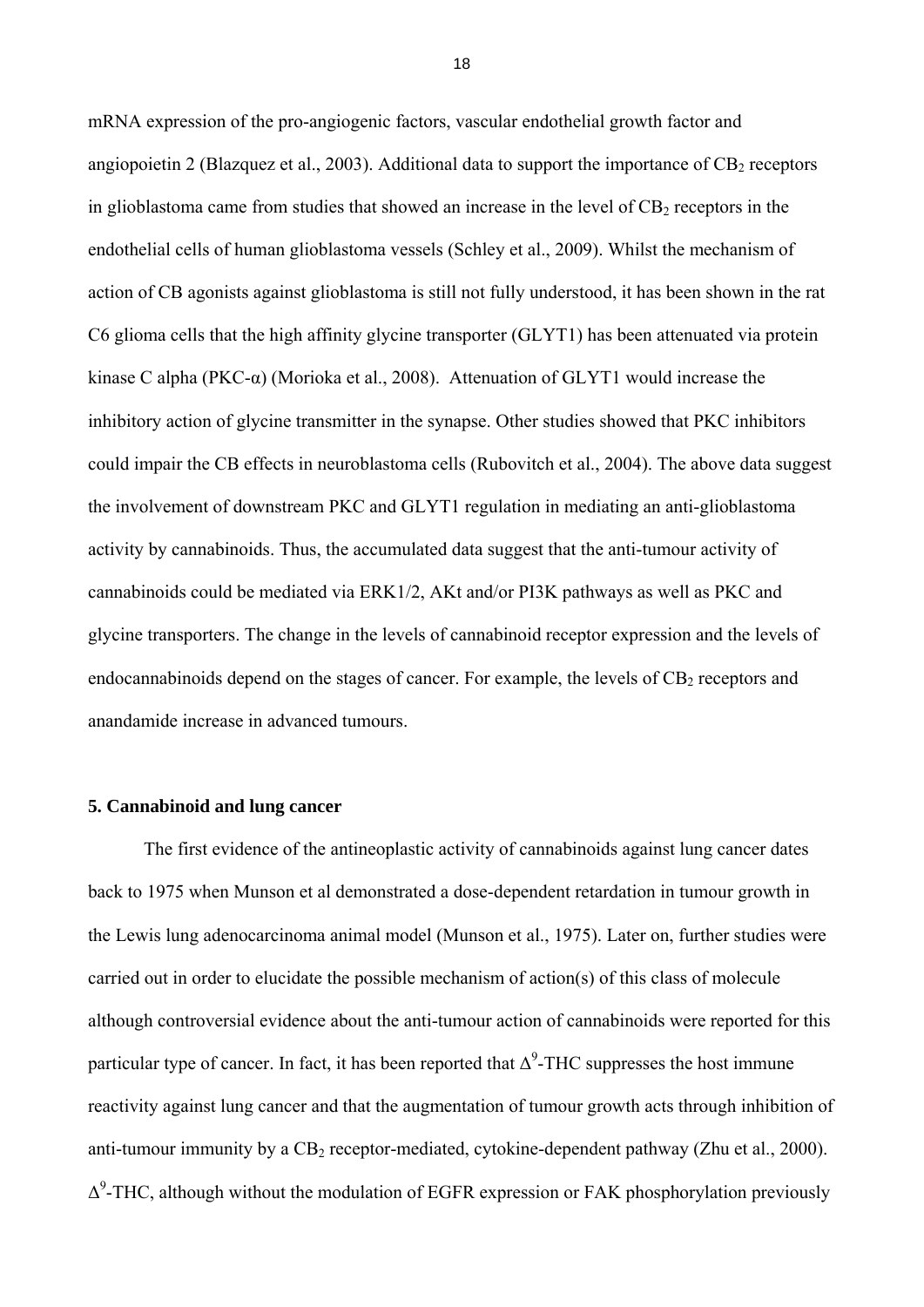mRNA expression of the pro-angiogenic factors, vascular endothelial growth factor and angiopoietin 2 (Blazquez et al., 2003). Additional data to support the importance of  $CB<sub>2</sub>$  receptors in glioblastoma came from studies that showed an increase in the level of  $CB<sub>2</sub>$  receptors in the endothelial cells of human glioblastoma vessels (Schley et al., 2009). Whilst the mechanism of action of CB agonists against glioblastoma is still not fully understood, it has been shown in the rat C6 glioma cells that the high affinity glycine transporter (GLYT1) has been attenuated via protein kinase C alpha (PKC-α) (Morioka et al., 2008). Attenuation of GLYT1 would increase the inhibitory action of glycine transmitter in the synapse. Other studies showed that PKC inhibitors could impair the CB effects in neuroblastoma cells (Rubovitch et al., 2004). The above data suggest the involvement of downstream PKC and GLYT1 regulation in mediating an anti-glioblastoma activity by cannabinoids. Thus, the accumulated data suggest that the anti-tumour activity of cannabinoids could be mediated via ERK1/2, AKt and/or PI3K pathways as well as PKC and glycine transporters. The change in the levels of cannabinoid receptor expression and the levels of endocannabinoids depend on the stages of cancer. For example, the levels of  $CB<sub>2</sub>$  receptors and anandamide increase in advanced tumours.

#### **5. Cannabinoid and lung cancer**

The first evidence of the antineoplastic activity of cannabinoids against lung cancer dates back to 1975 when Munson et al demonstrated a dose-dependent retardation in tumour growth in the Lewis lung adenocarcinoma animal model (Munson et al., 1975). Later on, further studies were carried out in order to elucidate the possible mechanism of action(s) of this class of molecule although controversial evidence about the anti-tumour action of cannabinoids were reported for this particular type of cancer. In fact, it has been reported that  $\Delta^9$ -THC suppresses the host immune reactivity against lung cancer and that the augmentation of tumour growth acts through inhibition of anti-tumour immunity by a  $CB_2$  receptor-mediated, cytokine-dependent pathway (Zhu et al., 2000).  $\Delta^9$ -THC, although without the modulation of EGFR expression or FAK phosphorylation previously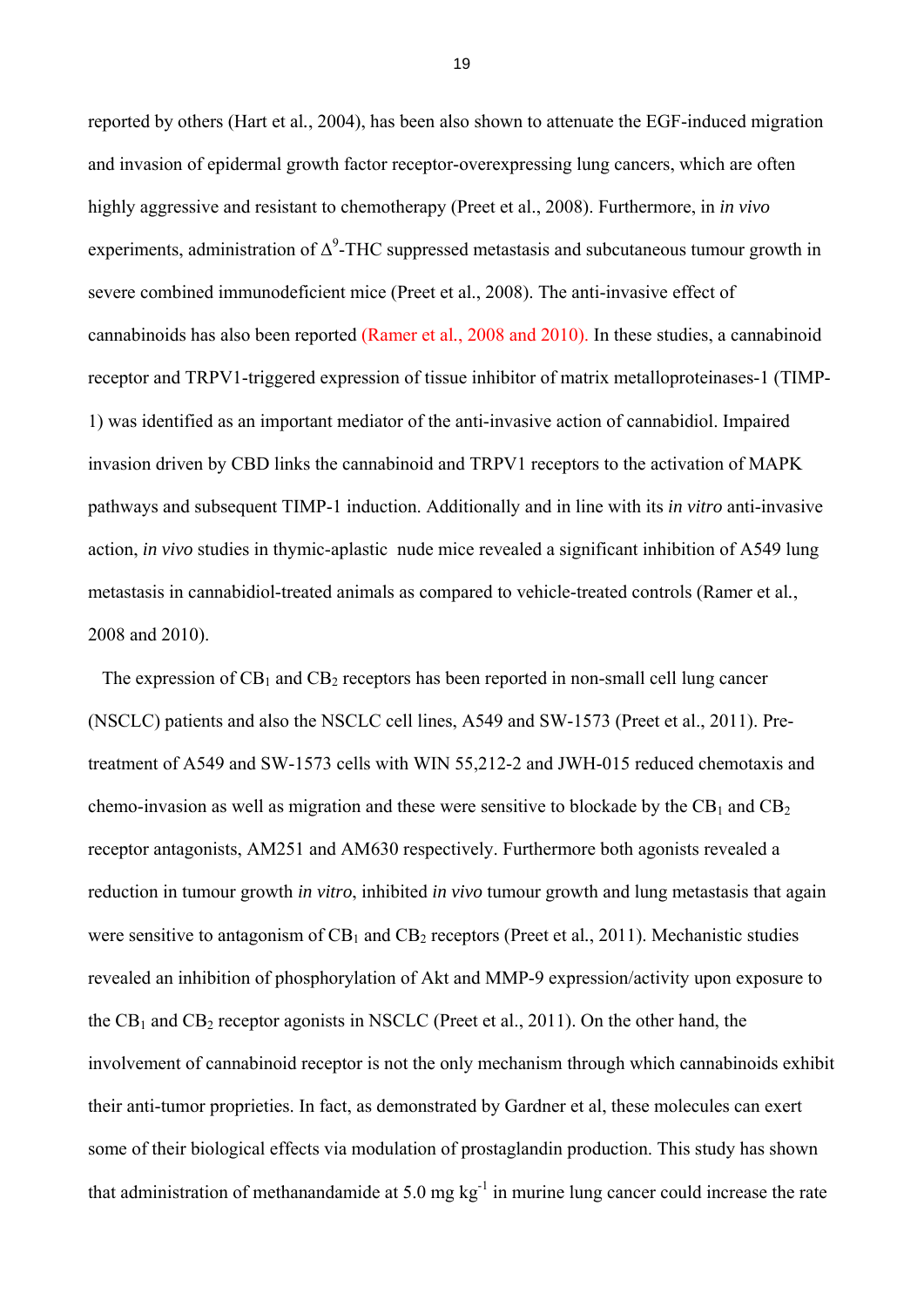reported by others (Hart et al*.*, 2004), has been also shown to attenuate the EGF-induced migration and invasion of epidermal growth factor receptor-overexpressing lung cancers, which are often highly aggressive and resistant to chemotherapy (Preet et al., 2008). Furthermore, in *in vivo* experiments, administration of  $\Delta^9$ -THC suppressed metastasis and subcutaneous tumour growth in severe combined immunodeficient mice (Preet et al., 2008). The anti-invasive effect of cannabinoids has also been reported (Ramer et al*.*, 2008 and 2010). In these studies, a cannabinoid receptor and TRPV1-triggered expression of tissue inhibitor of matrix metalloproteinases-1 (TIMP-1) was identified as an important mediator of the anti-invasive action of cannabidiol. Impaired invasion driven by CBD links the cannabinoid and TRPV1 receptors to the activation of MAPK pathways and subsequent TIMP-1 induction. Additionally and in line with its *in vitro* anti-invasive action, *in vivo* studies in thymic-aplastic nude mice revealed a significant inhibition of A549 lung metastasis in cannabidiol-treated animals as compared to vehicle-treated controls (Ramer et al*.*, 2008 and 2010).

The expression of  $CB_1$  and  $CB_2$  receptors has been reported in non-small cell lung cancer (NSCLC) patients and also the NSCLC cell lines, A549 and SW-1573 (Preet et al., 2011). Pretreatment of A549 and SW-1573 cells with WIN 55,212-2 and JWH-015 reduced chemotaxis and chemo-invasion as well as migration and these were sensitive to blockade by the  $CB_1$  and  $CB_2$ receptor antagonists, AM251 and AM630 respectively. Furthermore both agonists revealed a reduction in tumour growth *in vitro*, inhibited *in vivo* tumour growth and lung metastasis that again were sensitive to antagonism of  $CB_1$  and  $CB_2$  receptors (Preet et al., 2011). Mechanistic studies revealed an inhibition of phosphorylation of Akt and MMP-9 expression/activity upon exposure to the  $CB_1$  and  $CB_2$  receptor agonists in NSCLC (Preet et al., 2011). On the other hand, the involvement of cannabinoid receptor is not the only mechanism through which cannabinoids exhibit their anti-tumor proprieties. In fact, as demonstrated by Gardner et al, these molecules can exert some of their biological effects via modulation of prostaglandin production. This study has shown that administration of methanandamide at  $5.0 \text{ mg kg}^{-1}$  in murine lung cancer could increase the rate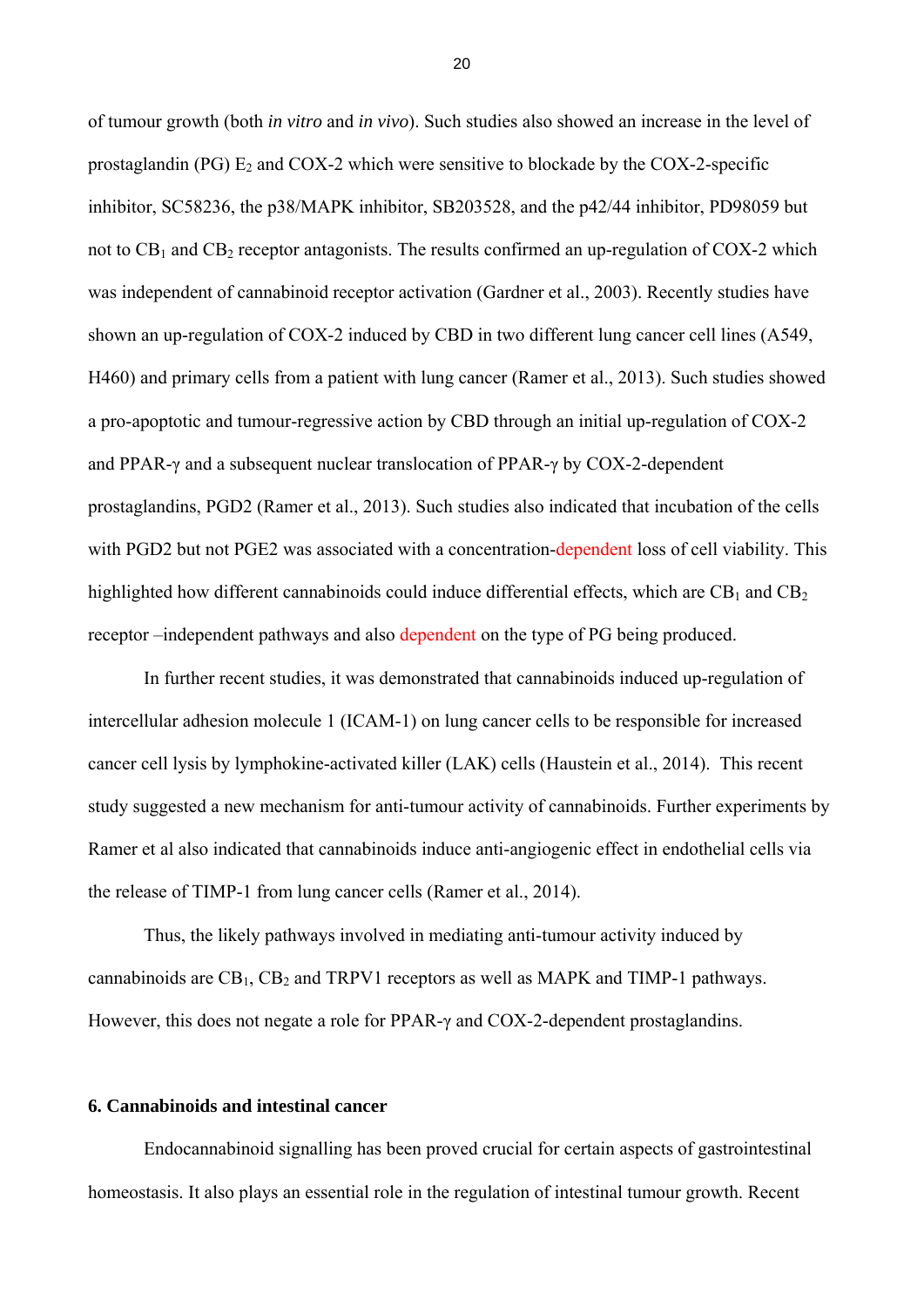of tumour growth (both *in vitro* and *in vivo*). Such studies also showed an increase in the level of prostaglandin (PG)  $E_2$  and COX-2 which were sensitive to blockade by the COX-2-specific inhibitor, SC58236, the p38/MAPK inhibitor, SB203528, and the p42/44 inhibitor, PD98059 but not to  $CB_1$  and  $CB_2$  receptor antagonists. The results confirmed an up-regulation of COX-2 which was independent of cannabinoid receptor activation (Gardner et al., 2003). Recently studies have shown an up-regulation of COX-2 induced by CBD in two different lung cancer cell lines (A549, H460) and primary cells from a patient with lung cancer (Ramer et al., 2013). Such studies showed a pro-apoptotic and tumour-regressive action by CBD through an initial up-regulation of COX-2 and PPAR-γ and a subsequent nuclear translocation of PPAR-γ by COX-2-dependent prostaglandins, PGD2 (Ramer et al., 2013). Such studies also indicated that incubation of the cells with PGD2 but not PGE2 was associated with a concentration-dependent loss of cell viability. This highlighted how different cannabinoids could induce differential effects, which are  $CB_1$  and  $CB_2$ receptor –independent pathways and also dependent on the type of PG being produced.

In further recent studies, it was demonstrated that cannabinoids induced up-regulation of intercellular adhesion molecule 1 (ICAM-1) on lung cancer cells to be responsible for increased cancer cell lysis by lymphokine-activated killer (LAK) cells (Haustein et al., 2014). This recent study suggested a new mechanism for anti-tumour activity of cannabinoids. Further experiments by Ramer et al also indicated that cannabinoids induce anti-angiogenic effect in endothelial cells via the release of TIMP-1 from lung cancer cells (Ramer et al., 2014).

Thus, the likely pathways involved in mediating anti-tumour activity induced by cannabinoids are  $CB_1$ ,  $CB_2$  and TRPV1 receptors as well as MAPK and TIMP-1 pathways. However, this does not negate a role for PPAR-γ and COX-2-dependent prostaglandins.

#### **6. Cannabinoids and intestinal cancer**

Endocannabinoid signalling has been proved crucial for certain aspects of gastrointestinal homeostasis. It also plays an essential role in the regulation of intestinal tumour growth. Recent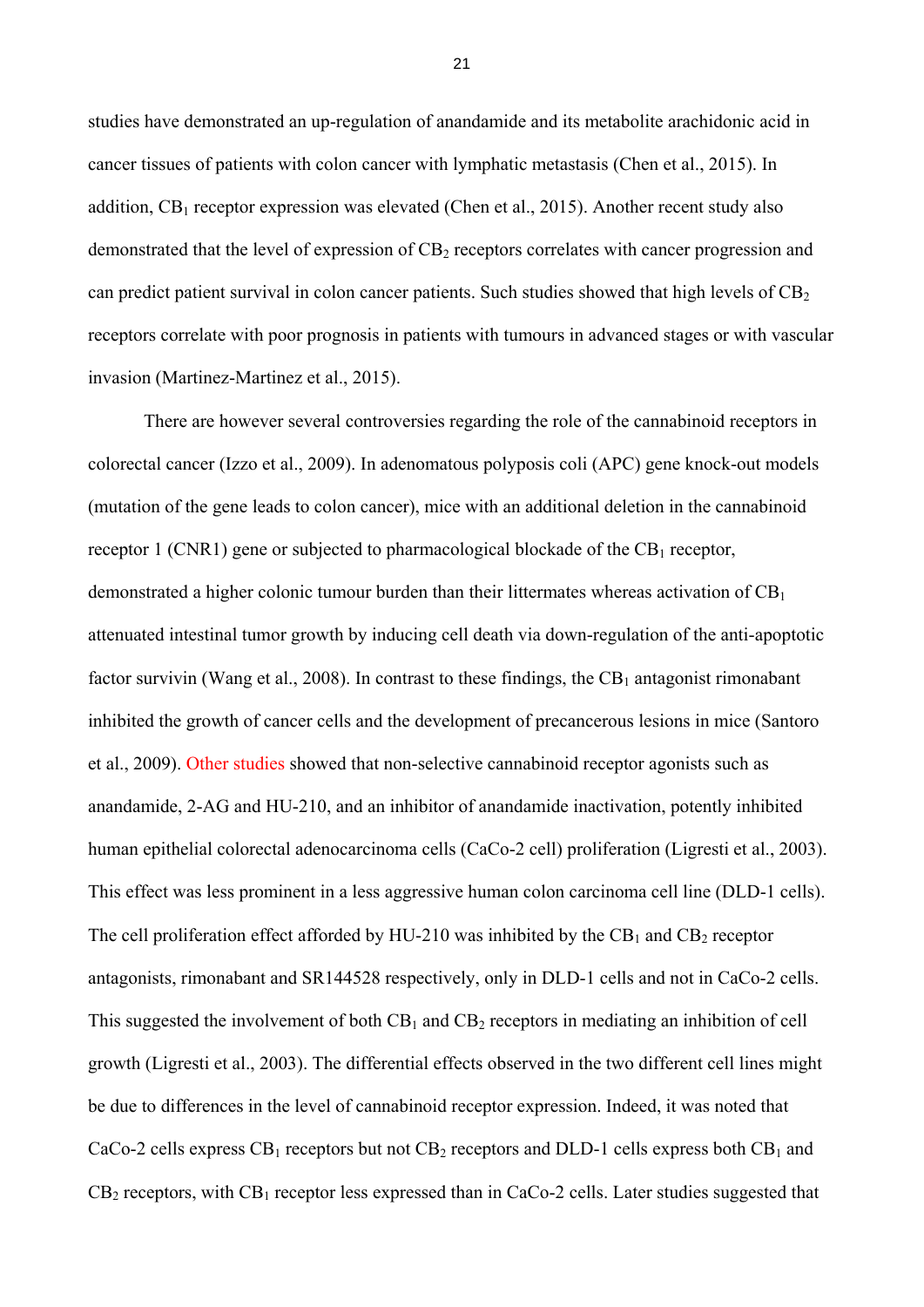studies have demonstrated an up-regulation of anandamide and its metabolite arachidonic acid in cancer tissues of patients with colon cancer with lymphatic metastasis (Chen et al., 2015). In addition,  $CB_1$  receptor expression was elevated (Chen et al., 2015). Another recent study also demonstrated that the level of expression of CB<sub>2</sub> receptors correlates with cancer progression and can predict patient survival in colon cancer patients. Such studies showed that high levels of  $CB<sub>2</sub>$ receptors correlate with poor prognosis in patients with tumours in advanced stages or with vascular invasion (Martinez-Martinez et al., 2015).

There are however several controversies regarding the role of the cannabinoid receptors in colorectal cancer (Izzo et al., 2009). In adenomatous polyposis coli (APC) gene knock-out models (mutation of the gene leads to colon cancer), mice with an additional deletion in the cannabinoid receptor 1 (CNR1) gene or subjected to pharmacological blockade of the  $CB_1$  receptor, demonstrated a higher colonic tumour burden than their littermates whereas activation of  $CB<sub>1</sub>$ attenuated intestinal tumor growth by inducing cell death via down-regulation of the anti-apoptotic factor survivin (Wang et al., 2008). In contrast to these findings, the  $CB_1$  antagonist rimonabant inhibited the growth of cancer cells and the development of precancerous lesions in mice (Santoro et al., 2009). Other studies showed that non-selective cannabinoid receptor agonists such as anandamide, 2-AG and HU-210, and an inhibitor of anandamide inactivation, potently inhibited human epithelial colorectal adenocarcinoma cells (CaCo-2 cell) proliferation (Ligresti et al., 2003). This effect was less prominent in a less aggressive human colon carcinoma cell line (DLD-1 cells). The cell proliferation effect afforded by HU-210 was inhibited by the  $CB_1$  and  $CB_2$  receptor antagonists, rimonabant and SR144528 respectively, only in DLD-1 cells and not in CaCo-2 cells. This suggested the involvement of both  $CB_1$  and  $CB_2$  receptors in mediating an inhibition of cell growth (Ligresti et al., 2003). The differential effects observed in the two different cell lines might be due to differences in the level of cannabinoid receptor expression. Indeed, it was noted that CaCo-2 cells express  $CB_1$  receptors but not  $CB_2$  receptors and DLD-1 cells express both  $CB_1$  and  $CB_2$  receptors, with  $CB_1$  receptor less expressed than in CaCo-2 cells. Later studies suggested that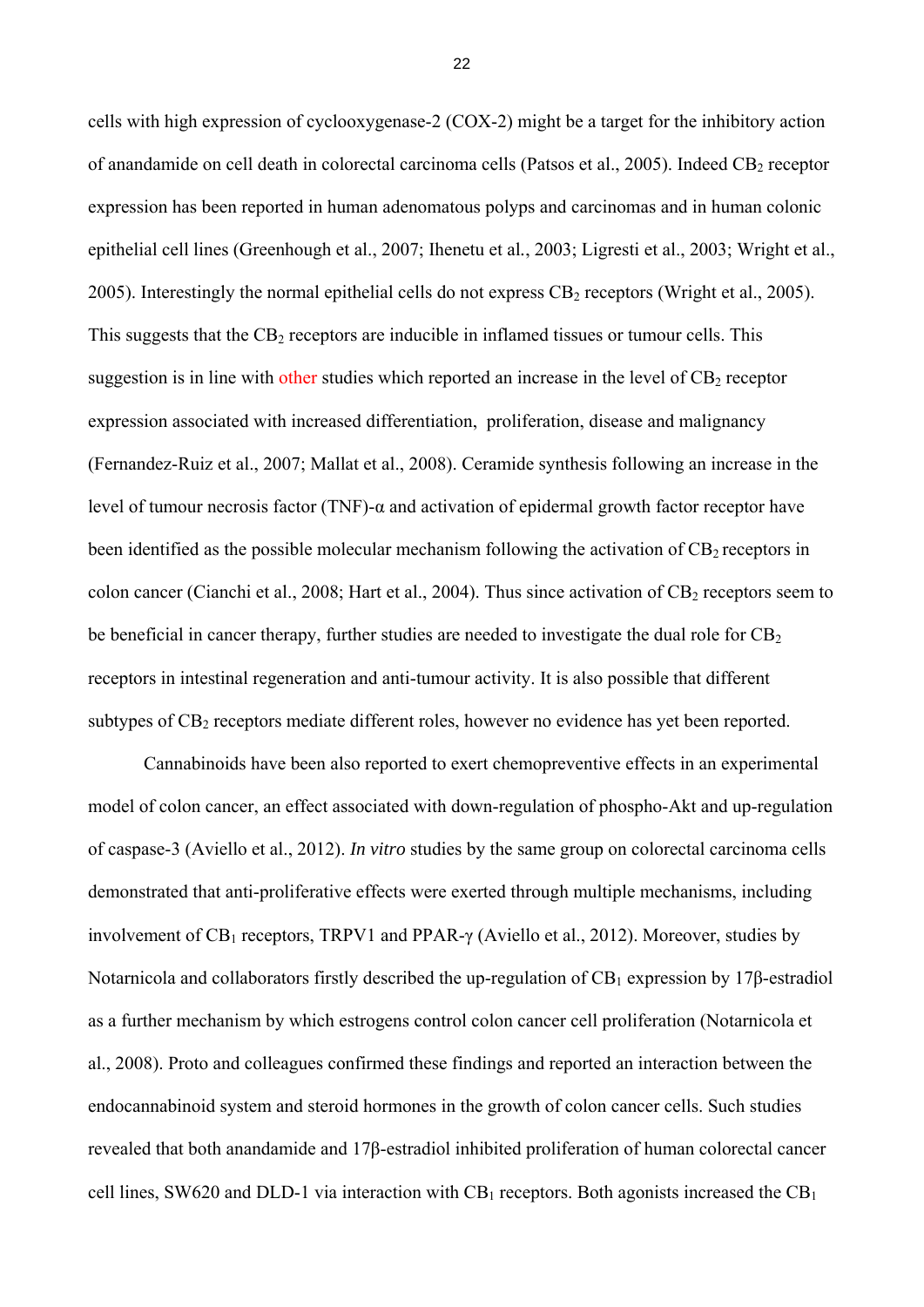cells with high expression of cyclooxygenase-2 (COX-2) might be a target for the inhibitory action of anandamide on cell death in colorectal carcinoma cells (Patsos et al., 2005). Indeed CB<sub>2</sub> receptor expression has been reported in human adenomatous polyps and carcinomas and in human colonic epithelial cell lines (Greenhough et al., 2007; Ihenetu et al*.*, 2003; Ligresti et al., 2003; Wright et al., 2005). Interestingly the normal epithelial cells do not express  $CB_2$  receptors (Wright et al., 2005). This suggests that the  $CB<sub>2</sub>$  receptors are inducible in inflamed tissues or tumour cells. This suggestion is in line with other studies which reported an increase in the level of  $CB<sub>2</sub>$  receptor expression associated with increased differentiation, proliferation, disease and malignancy (Fernandez-Ruiz et al., 2007; Mallat et al., 2008). Ceramide synthesis following an increase in the level of tumour necrosis factor (TNF)-α and activation of epidermal growth factor receptor have been identified as the possible molecular mechanism following the activation of  $CB_2$  receptors in colon cancer (Cianchi et al., 2008; Hart et al., 2004). Thus since activation of  $CB_2$  receptors seem to be beneficial in cancer therapy, further studies are needed to investigate the dual role for  $CB<sub>2</sub>$ receptors in intestinal regeneration and anti-tumour activity. It is also possible that different subtypes of CB<sub>2</sub> receptors mediate different roles, however no evidence has yet been reported.

Cannabinoids have been also reported to exert chemopreventive effects in an experimental model of colon cancer, an effect associated with down-regulation of phospho-Akt and up-regulation of caspase-3 (Aviello et al., 2012). *In vitro* studies by the same group on colorectal carcinoma cells demonstrated that anti-proliferative effects were exerted through multiple mechanisms, including involvement of  $CB_1$  receptors, TRPV1 and PPAR- $\gamma$  (Aviello et al., 2012). Moreover, studies by Notarnicola and collaborators firstly described the up-regulation of  $CB_1$  expression by 17β-estradiol as a further mechanism by which estrogens control colon cancer cell proliferation (Notarnicola et al., 2008). Proto and colleagues confirmed these findings and reported an interaction between the endocannabinoid system and steroid hormones in the growth of colon cancer cells. Such studies revealed that both anandamide and 17β-estradiol inhibited proliferation of human colorectal cancer cell lines, SW620 and DLD-1 via interaction with  $CB_1$  receptors. Both agonists increased the  $CB_1$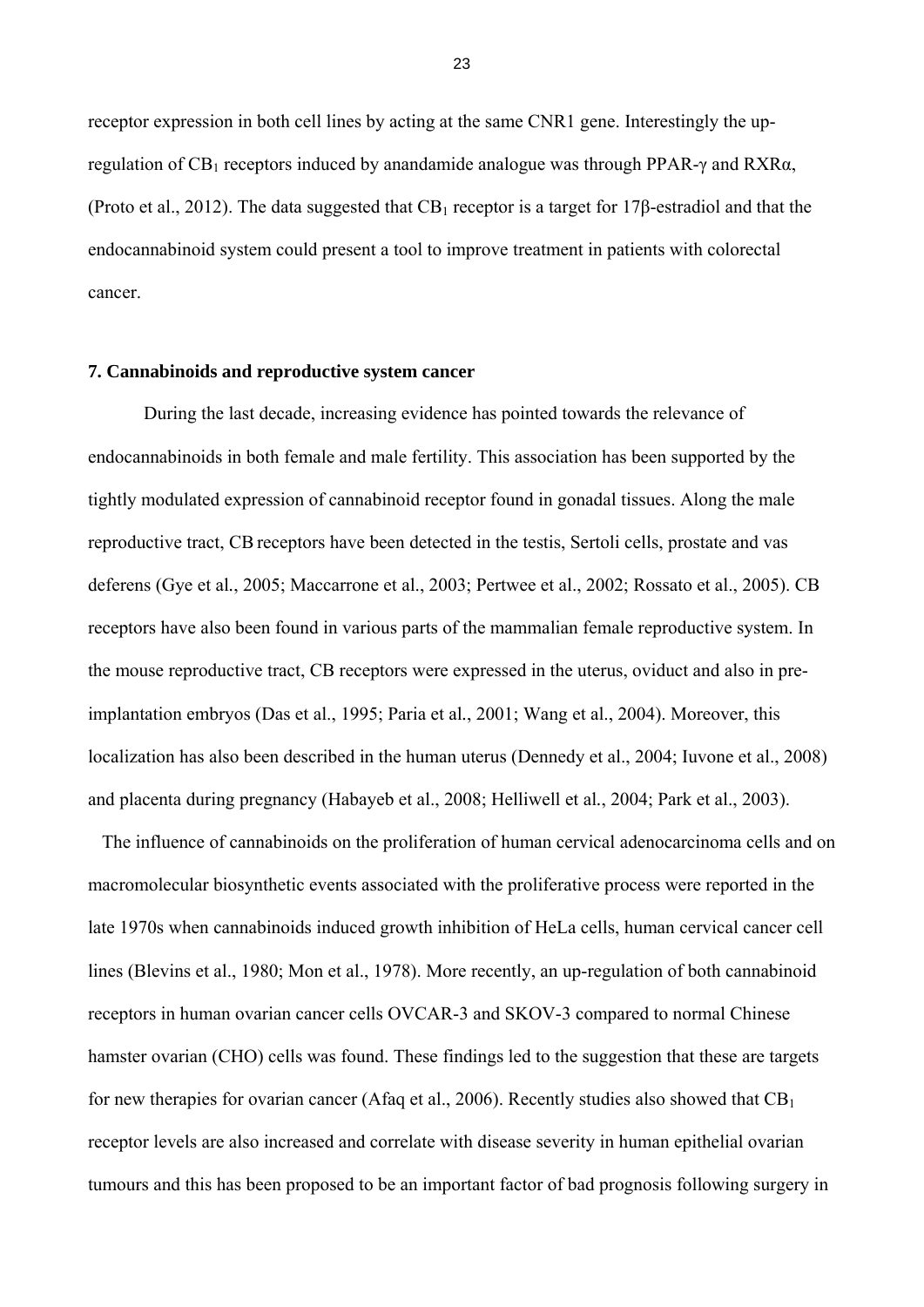receptor expression in both cell lines by acting at the same CNR1 gene. Interestingly the upregulation of CB<sub>1</sub> receptors induced by anandamide analogue was through PPAR-γ and RXRα, (Proto et al., 2012). The data suggested that  $CB_1$  receptor is a target for 17 $\beta$ -estradiol and that the endocannabinoid system could present a tool to improve treatment in patients with colorectal cancer.

### **7. Cannabinoids and reproductive system cancer**

During the last decade, increasing evidence has pointed towards the relevance of endocannabinoids in both female and male fertility. This association has been supported by the tightly modulated expression of cannabinoid receptor found in gonadal tissues. Along the male reproductive tract, CB receptors have been detected in the testis, Sertoli cells, prostate and vas deferens (Gye et al*.*, 2005; Maccarrone et al., 2003; Pertwee et al., 2002; Rossato et al., 2005). CB receptors have also been found in various parts of the mammalian female reproductive system. In the mouse reproductive tract, CB receptors were expressed in the uterus, oviduct and also in preimplantation embryos (Das et al., 1995; Paria et al*.*, 2001; Wang et al., 2004). Moreover, this localization has also been described in the human uterus (Dennedy et al., 2004; Iuvone et al., 2008) and placenta during pregnancy (Habayeb et al., 2008; Helliwell et al*.*, 2004; Park et al., 2003).

 The influence of cannabinoids on the proliferation of human cervical adenocarcinoma cells and on macromolecular biosynthetic events associated with the proliferative process were reported in the late 1970s when cannabinoids induced growth inhibition of HeLa cells, human cervical cancer cell lines (Blevins et al., 1980; Mon et al., 1978). More recently, an up-regulation of both cannabinoid receptors in human ovarian cancer cells OVCAR-3 and SKOV-3 compared to normal Chinese hamster ovarian (CHO) cells was found. These findings led to the suggestion that these are targets for new therapies for ovarian cancer (Afaq et al., 2006). Recently studies also showed that  $CB<sub>1</sub>$ receptor levels are also increased and correlate with disease severity in human epithelial ovarian tumours and this has been proposed to be an important factor of bad prognosis following surgery in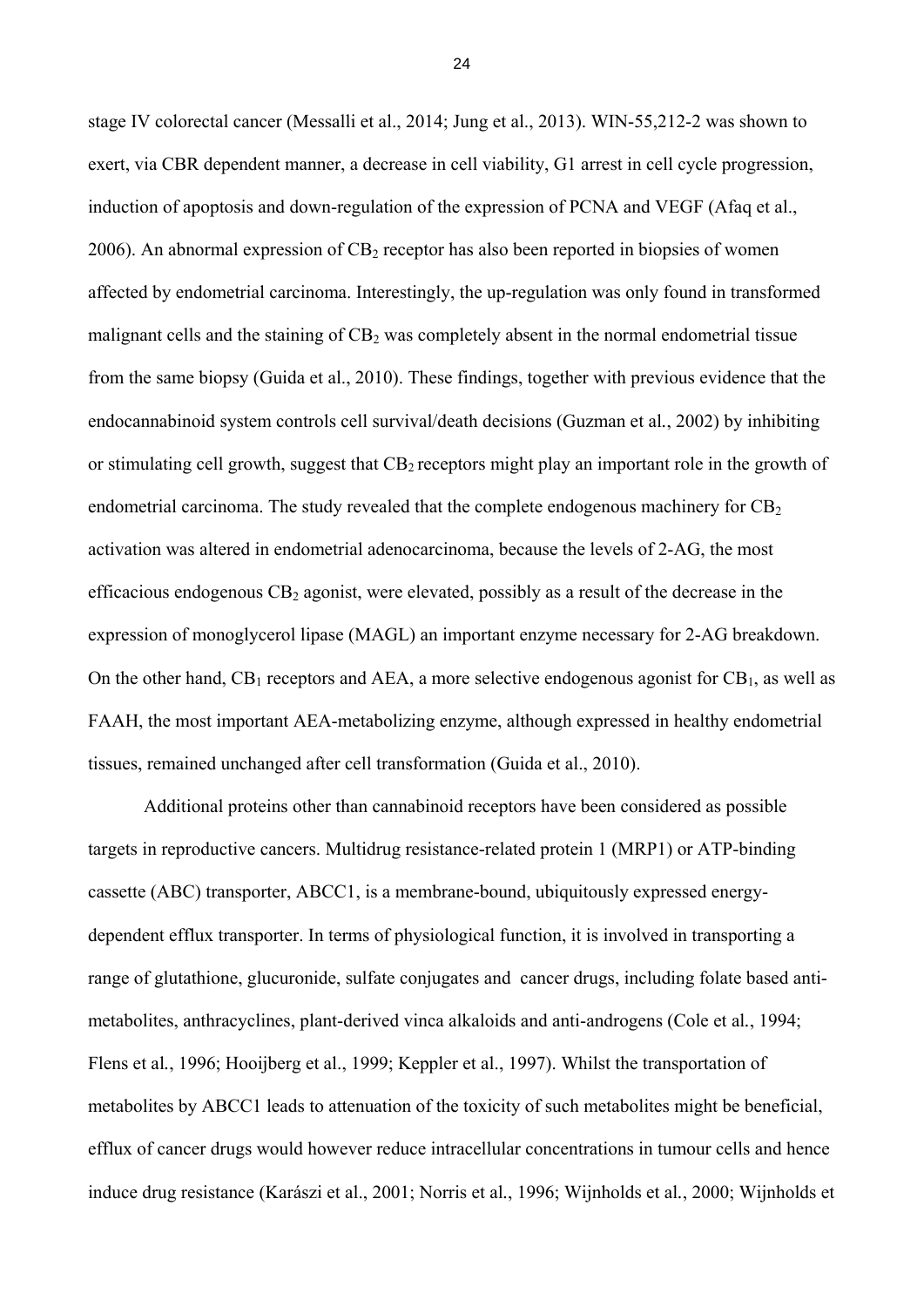stage IV colorectal cancer (Messalli et al., 2014; Jung et al., 2013). WIN-55,212-2 was shown to exert, via CBR dependent manner, a decrease in cell viability, G1 arrest in cell cycle progression, induction of apoptosis and down-regulation of the expression of PCNA and VEGF (Afaq et al., 2006). An abnormal expression of  $CB_2$  receptor has also been reported in biopsies of women affected by endometrial carcinoma. Interestingly, the up-regulation was only found in transformed malignant cells and the staining of  $CB<sub>2</sub>$  was completely absent in the normal endometrial tissue from the same biopsy (Guida et al., 2010). These findings, together with previous evidence that the endocannabinoid system controls cell survival/death decisions (Guzman et al*.*, 2002) by inhibiting or stimulating cell growth, suggest that  $CB_2$  receptors might play an important role in the growth of endometrial carcinoma. The study revealed that the complete endogenous machinery for  $CB<sub>2</sub>$ activation was altered in endometrial adenocarcinoma, because the levels of 2-AG, the most efficacious endogenous  $CB_2$  agonist, were elevated, possibly as a result of the decrease in the expression of monoglycerol lipase (MAGL) an important enzyme necessary for 2-AG breakdown. On the other hand,  $CB_1$  receptors and AEA, a more selective endogenous agonist for  $CB_1$ , as well as FAAH, the most important AEA-metabolizing enzyme, although expressed in healthy endometrial tissues, remained unchanged after cell transformation (Guida et al., 2010).

Additional proteins other than cannabinoid receptors have been considered as possible targets in reproductive cancers. Multidrug resistance-related protein 1 (MRP1) or ATP-binding cassette (ABC) transporter, ABCC1, is a membrane-bound, ubiquitously expressed energydependent efflux transporter. In terms of physiological function, it is involved in transporting a range of glutathione, glucuronide, sulfate conjugates and cancer drugs, including folate based antimetabolites, anthracyclines, plant-derived vinca alkaloids and anti-androgens (Cole et al*.*, 1994; Flens et al*.*, 1996; Hooijberg et al., 1999; Keppler et al., 1997). Whilst the transportation of metabolites by ABCC1 leads to attenuation of the toxicity of such metabolites might be beneficial, efflux of cancer drugs would however reduce intracellular concentrations in tumour cells and hence induce drug resistance (Karászi et al., 2001; Norris et al*.*, 1996; Wijnholds et al*.*, 2000; Wijnholds et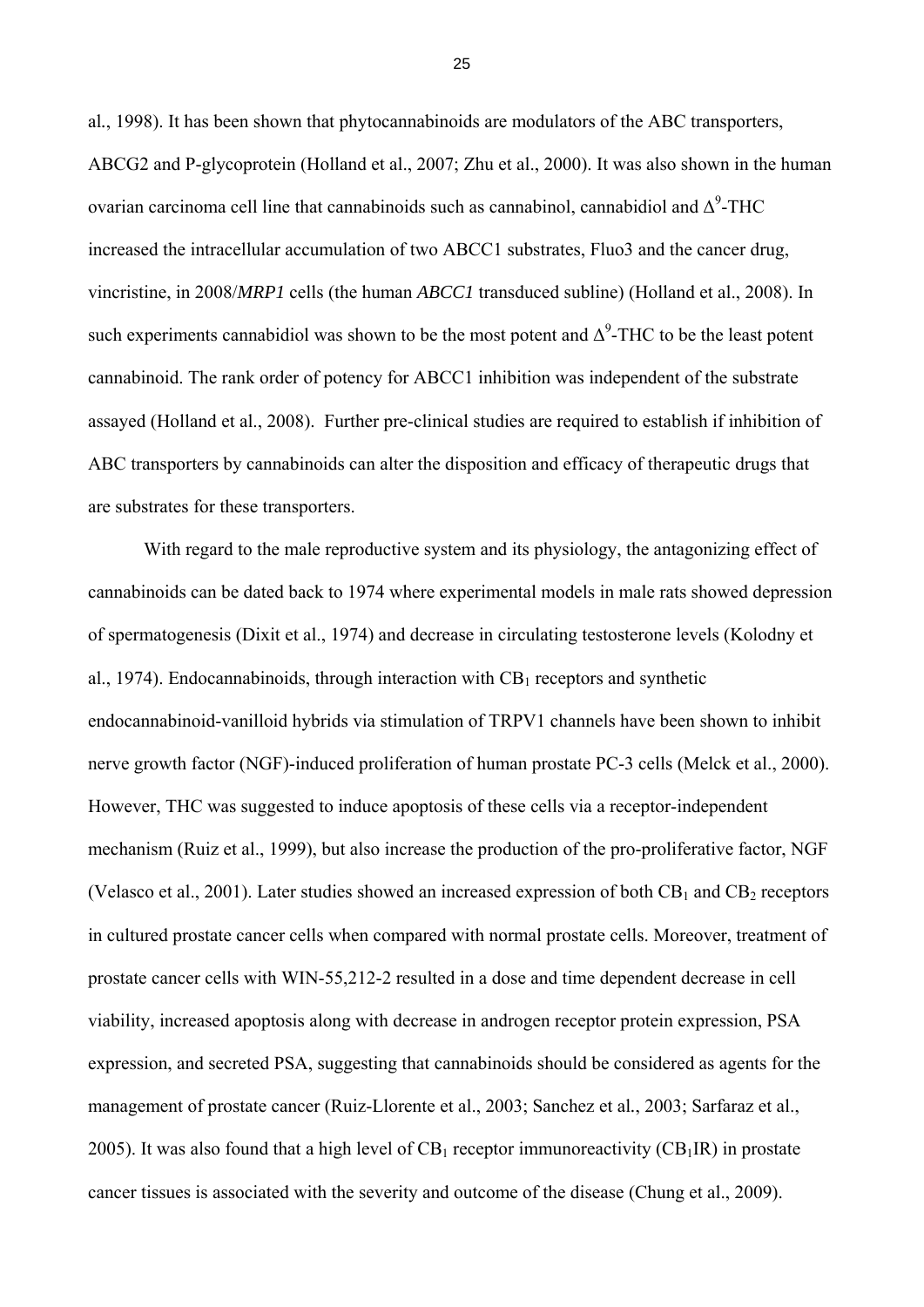al*.*, 1998). It has been shown that phytocannabinoids are modulators of the ABC transporters, ABCG2 and P-glycoprotein (Holland et al., 2007; Zhu et al., 2000). It was also shown in the human ovarian carcinoma cell line that cannabinoids such as cannabinol, cannabidiol and  $\Delta^9$ -THC increased the intracellular accumulation of two ABCC1 substrates, Fluo3 and the cancer drug, vincristine, in 2008/*MRP1* cells (the human *ABCC1* transduced subline) (Holland et al., 2008). In such experiments cannabidiol was shown to be the most potent and  $\Delta^9$ -THC to be the least potent cannabinoid. The rank order of potency for ABCC1 inhibition was independent of the substrate assayed (Holland et al., 2008). Further pre-clinical studies are required to establish if inhibition of ABC transporters by cannabinoids can alter the disposition and efficacy of therapeutic drugs that are substrates for these transporters.

With regard to the male reproductive system and its physiology, the antagonizing effect of cannabinoids can be dated back to 1974 where experimental models in male rats showed depression of spermatogenesis (Dixit et al., 1974) and decrease in circulating testosterone levels (Kolodny et al., 1974). Endocannabinoids, through interaction with  $CB<sub>1</sub>$  receptors and synthetic endocannabinoid-vanilloid hybrids via stimulation of TRPV1 channels have been shown to inhibit nerve growth factor (NGF)-induced proliferation of human prostate PC-3 cells (Melck et al., 2000). However, THC was suggested to induce apoptosis of these cells via a receptor-independent mechanism (Ruiz et al., 1999), but also increase the production of the pro-proliferative factor, NGF (Velasco et al., 2001). Later studies showed an increased expression of both  $CB_1$  and  $CB_2$  receptors in cultured prostate cancer cells when compared with normal prostate cells. Moreover, treatment of prostate cancer cells with WIN-55,212-2 resulted in a dose and time dependent decrease in cell viability, increased apoptosis along with decrease in androgen receptor protein expression, PSA expression, and secreted PSA, suggesting that cannabinoids should be considered as agents for the management of prostate cancer (Ruiz-Llorente et al., 2003; Sanchez et al*.*, 2003; Sarfaraz et al., 2005). It was also found that a high level of  $CB_1$  receptor immunoreactivity  $(CB_1IR)$  in prostate cancer tissues is associated with the severity and outcome of the disease (Chung et al., 2009).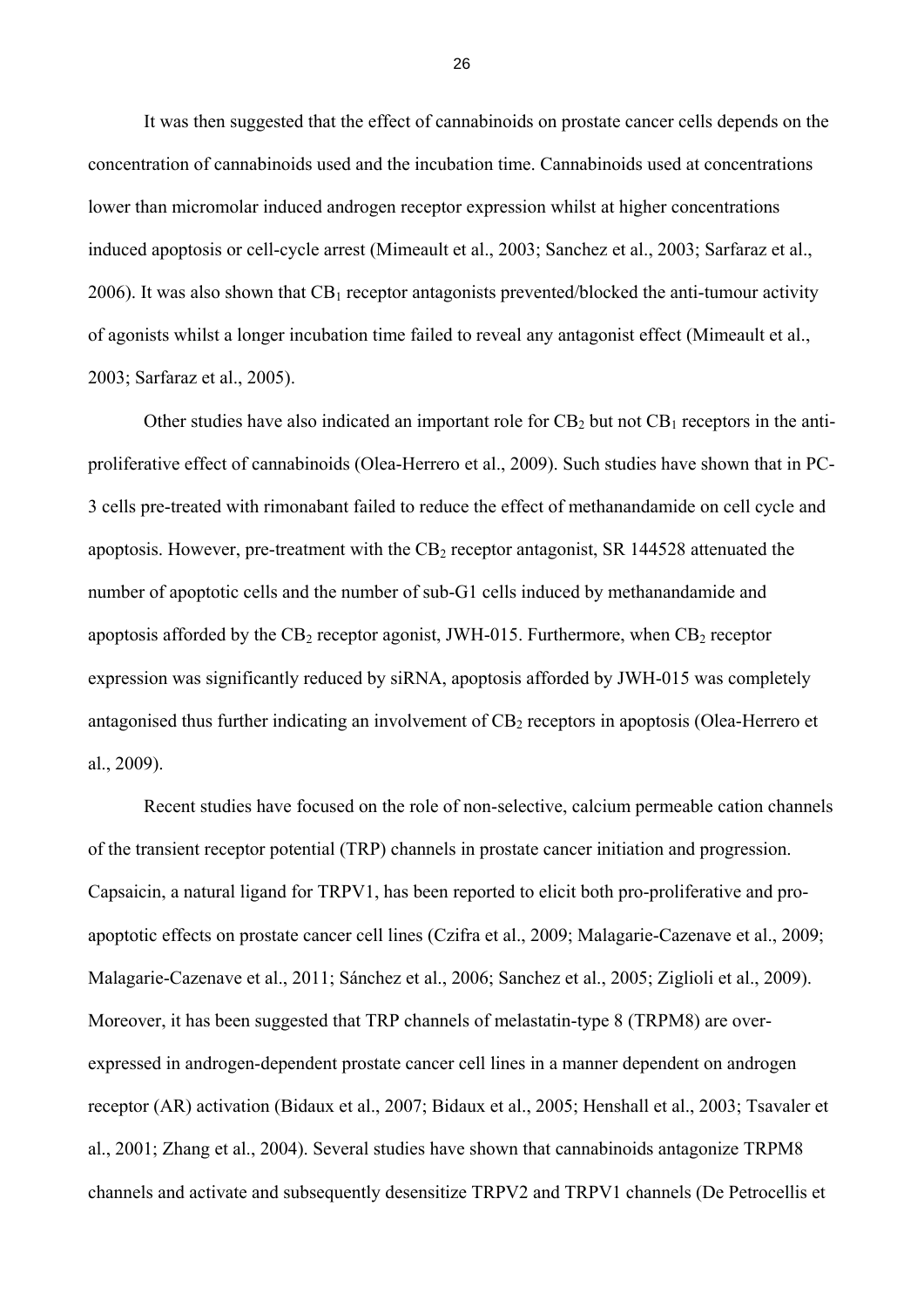It was then suggested that the effect of cannabinoids on prostate cancer cells depends on the concentration of cannabinoids used and the incubation time. Cannabinoids used at concentrations lower than micromolar induced androgen receptor expression whilst at higher concentrations induced apoptosis or cell-cycle arrest (Mimeault et al., 2003; Sanchez et al., 2003; Sarfaraz et al., 2006). It was also shown that  $CB_1$  receptor antagonists prevented/blocked the anti-tumour activity of agonists whilst a longer incubation time failed to reveal any antagonist effect (Mimeault et al., 2003; Sarfaraz et al., 2005).

Other studies have also indicated an important role for  $CB_2$  but not  $CB_1$  receptors in the antiproliferative effect of cannabinoids (Olea-Herrero et al., 2009). Such studies have shown that in PC-3 cells pre-treated with rimonabant failed to reduce the effect of methanandamide on cell cycle and apoptosis. However, pre-treatment with the  $CB_2$  receptor antagonist, SR 144528 attenuated the number of apoptotic cells and the number of sub-G1 cells induced by methanandamide and apoptosis afforded by the  $CB_2$  receptor agonist, JWH-015. Furthermore, when  $CB_2$  receptor expression was significantly reduced by siRNA, apoptosis afforded by JWH-015 was completely antagonised thus further indicating an involvement of CB<sub>2</sub> receptors in apoptosis (Olea-Herrero et al., 2009).

Recent studies have focused on the role of non-selective, calcium permeable cation channels of the transient receptor potential (TRP) channels in prostate cancer initiation and progression. Capsaicin, a natural ligand for TRPV1, has been reported to elicit both pro-proliferative and proapoptotic effects on prostate cancer cell lines (Czifra et al., 2009; Malagarie-Cazenave et al., 2009; Malagarie-Cazenave et al., 2011; Sánchez et al., 2006; Sanchez et al., 2005; Ziglioli et al., 2009). Moreover, it has been suggested that TRP channels of melastatin-type 8 (TRPM8) are overexpressed in androgen-dependent prostate cancer cell lines in a manner dependent on androgen receptor (AR) activation (Bidaux et al., 2007; Bidaux et al., 2005; Henshall et al., 2003; Tsavaler et al., 2001; Zhang et al., 2004). Several studies have shown that cannabinoids antagonize TRPM8 channels and activate and subsequently desensitize TRPV2 and TRPV1 channels (De Petrocellis et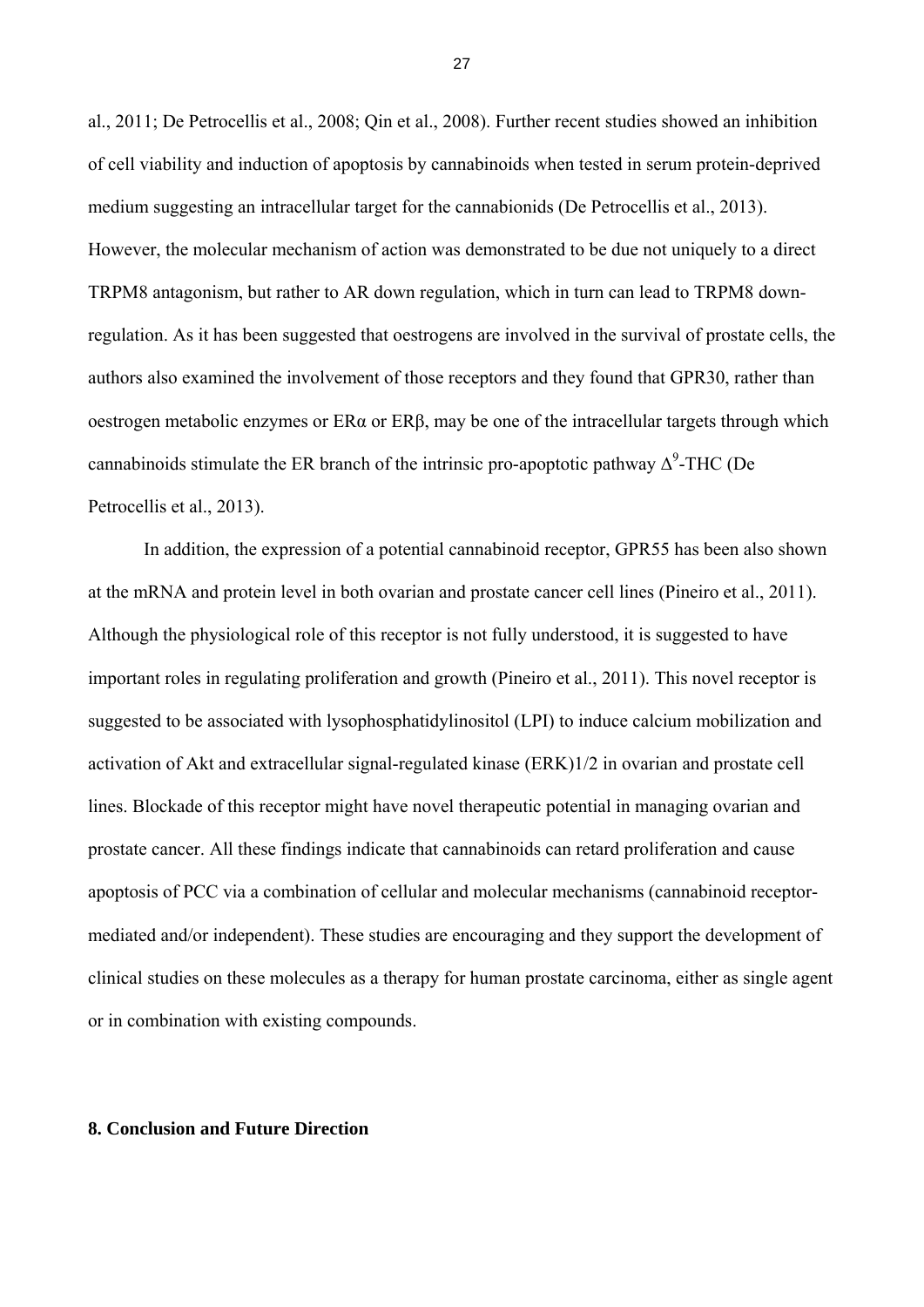al., 2011; De Petrocellis et al., 2008; Qin et al., 2008). Further recent studies showed an inhibition of cell viability and induction of apoptosis by cannabinoids when tested in serum protein-deprived medium suggesting an intracellular target for the cannabionids (De Petrocellis et al., 2013). However, the molecular mechanism of action was demonstrated to be due not uniquely to a direct TRPM8 antagonism, but rather to AR down regulation, which in turn can lead to TRPM8 downregulation. As it has been suggested that oestrogens are involved in the survival of prostate cells, the authors also examined the involvement of those receptors and they found that GPR30, rather than oestrogen metabolic enzymes or ERα or ERβ, may be one of the intracellular targets through which cannabinoids stimulate the ER branch of the intrinsic pro-apoptotic pathway  $\Delta^9$ -THC (De Petrocellis et al., 2013).

In addition, the expression of a potential cannabinoid receptor, GPR55 has been also shown at the mRNA and protein level in both ovarian and prostate cancer cell lines (Pineiro et al., 2011). Although the physiological role of this receptor is not fully understood, it is suggested to have important roles in regulating proliferation and growth (Pineiro et al., 2011). This novel receptor is suggested to be associated with lysophosphatidylinositol (LPI) to induce calcium mobilization and activation of Akt and extracellular signal-regulated kinase (ERK)1/2 in ovarian and prostate cell lines. Blockade of this receptor might have novel therapeutic potential in managing ovarian and prostate cancer. All these findings indicate that cannabinoids can retard proliferation and cause apoptosis of PCC via a combination of cellular and molecular mechanisms (cannabinoid receptormediated and/or independent). These studies are encouraging and they support the development of clinical studies on these molecules as a therapy for human prostate carcinoma, either as single agent or in combination with existing compounds.

## **8. Conclusion and Future Direction**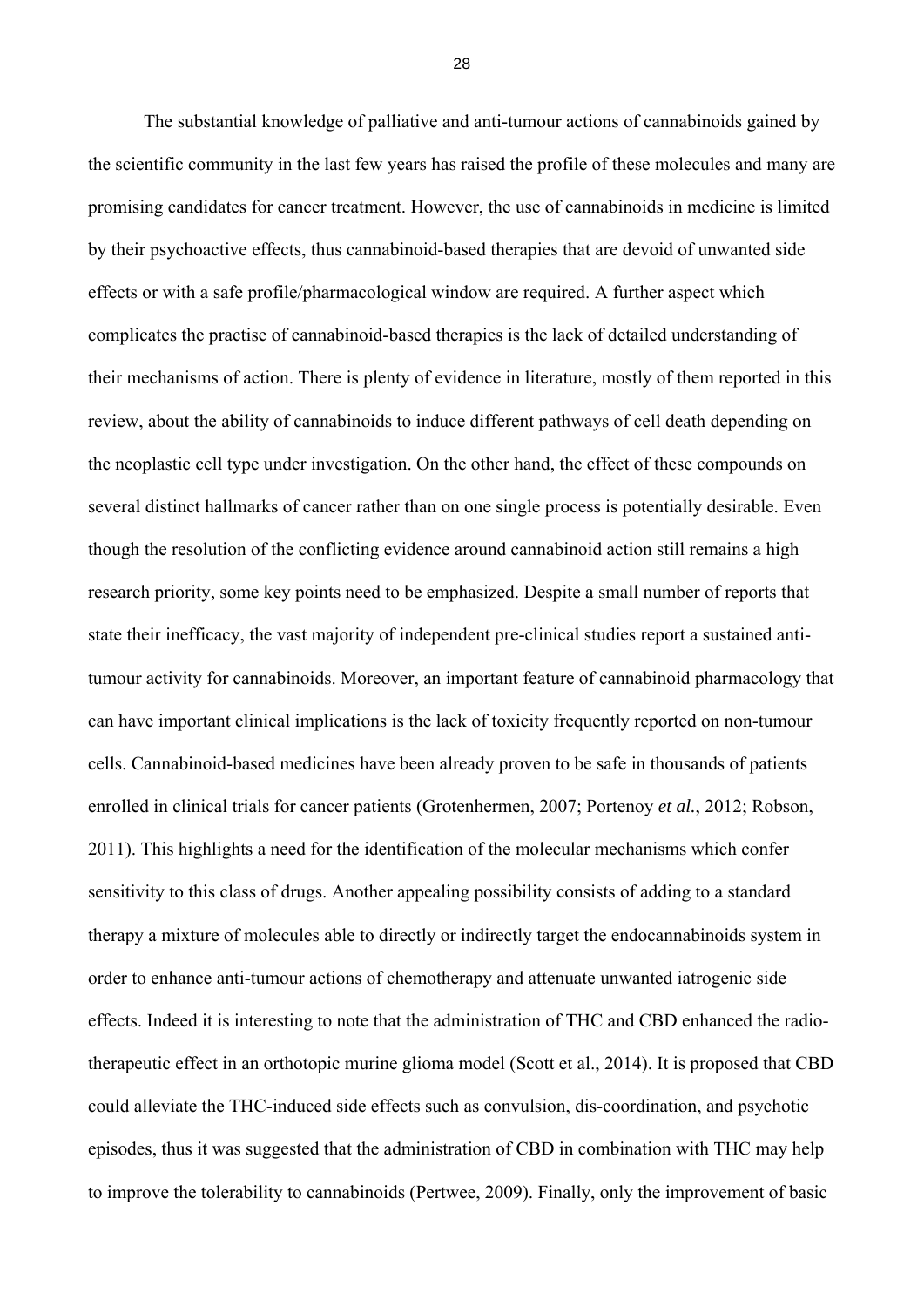The substantial knowledge of palliative and anti-tumour actions of cannabinoids gained by the scientific community in the last few years has raised the profile of these molecules and many are promising candidates for cancer treatment. However, the use of cannabinoids in medicine is limited by their psychoactive effects, thus cannabinoid-based therapies that are devoid of unwanted side effects or with a safe profile/pharmacological window are required. A further aspect which complicates the practise of cannabinoid-based therapies is the lack of detailed understanding of their mechanisms of action. There is plenty of evidence in literature, mostly of them reported in this review, about the ability of cannabinoids to induce different pathways of cell death depending on the neoplastic cell type under investigation. On the other hand, the effect of these compounds on several distinct hallmarks of cancer rather than on one single process is potentially desirable. Even though the resolution of the conflicting evidence around cannabinoid action still remains a high research priority, some key points need to be emphasized. Despite a small number of reports that state their inefficacy, the vast majority of independent pre-clinical studies report a sustained antitumour activity for cannabinoids. Moreover, an important feature of cannabinoid pharmacology that can have important clinical implications is the lack of toxicity frequently reported on non-tumour cells. Cannabinoid-based medicines have been already proven to be safe in thousands of patients enrolled in clinical trials for cancer patients (Grotenhermen, 2007; Portenoy *et al.*, 2012; Robson, 2011). This highlights a need for the identification of the molecular mechanisms which confer sensitivity to this class of drugs. Another appealing possibility consists of adding to a standard therapy a mixture of molecules able to directly or indirectly target the endocannabinoids system in order to enhance anti-tumour actions of chemotherapy and attenuate unwanted iatrogenic side effects. Indeed it is interesting to note that the administration of THC and CBD enhanced the radiotherapeutic effect in an orthotopic murine glioma model (Scott et al., 2014). It is proposed that CBD could alleviate the THC-induced side effects such as convulsion, dis-coordination, and psychotic episodes, thus it was suggested that the administration of CBD in combination with THC may help to improve the tolerability to cannabinoids (Pertwee, 2009). Finally, only the improvement of basic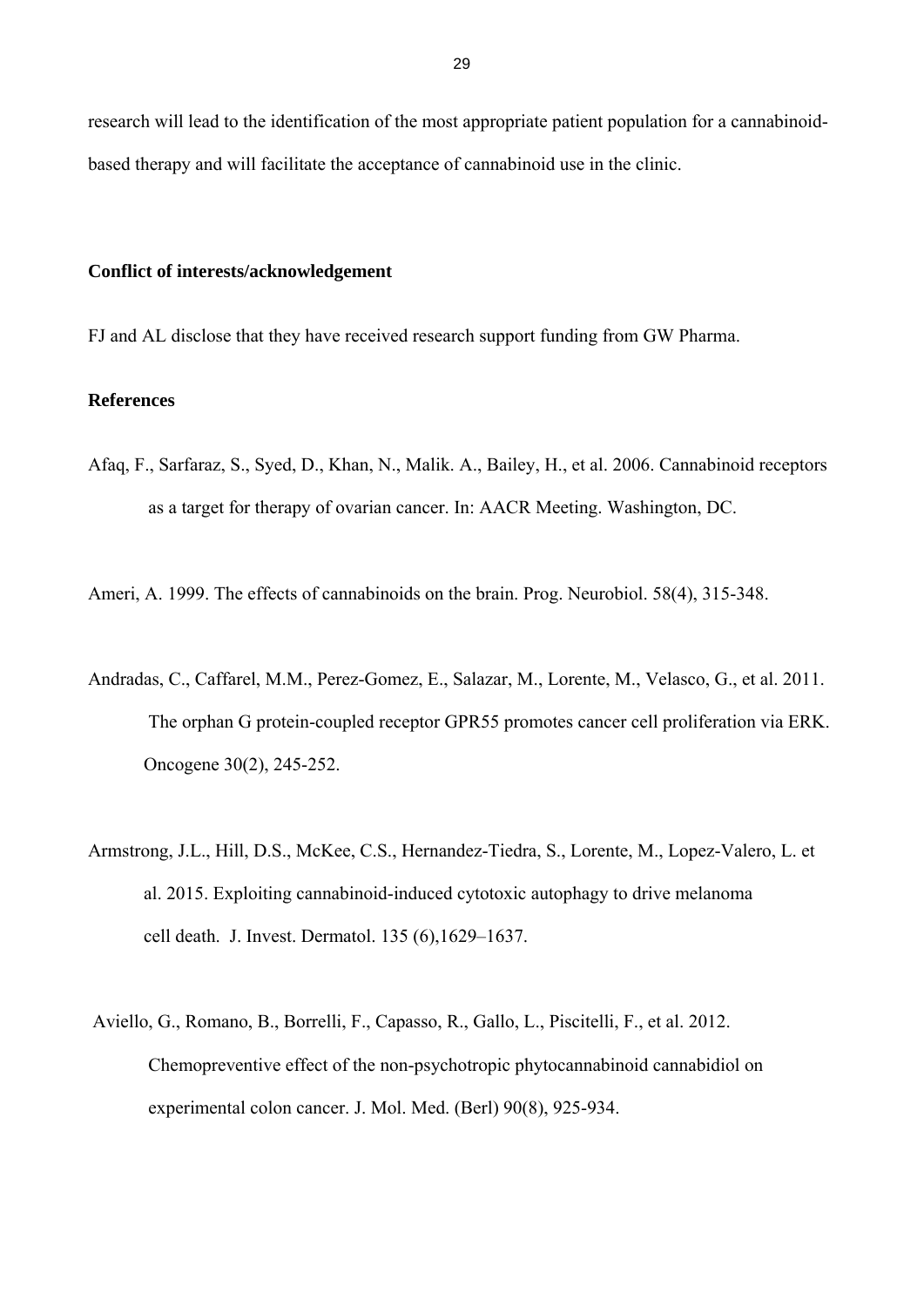research will lead to the identification of the most appropriate patient population for a cannabinoidbased therapy and will facilitate the acceptance of cannabinoid use in the clinic.

## **Conflict of interests/acknowledgement**

FJ and AL disclose that they have received research support funding from GW Pharma.

# **References**

Afaq, F., Sarfaraz, S., Syed, D., Khan, N., Malik. A., Bailey, H., et al. 2006. Cannabinoid receptors as a target for therapy of ovarian cancer. In: AACR Meeting. Washington, DC.

Ameri, A. 1999. The effects of cannabinoids on the brain. Prog. Neurobiol. 58(4), 315-348.

- Andradas, C., Caffarel, M.M., Perez-Gomez, E., Salazar, M., Lorente, M., Velasco, G., et al. 2011. The orphan G protein-coupled receptor GPR55 promotes cancer cell proliferation via ERK. Oncogene 30(2), 245-252.
- Armstrong, J.L., Hill, D.S., McKee, C.S., Hernandez-Tiedra, S., Lorente, M., Lopez-Valero, L. et al. 2015. Exploiting cannabinoid-induced cytotoxic autophagy to drive melanoma cell death. J. Invest. Dermatol. 135 (6),1629–1637.
- Aviello, G., Romano, B., Borrelli, F., Capasso, R., Gallo, L., Piscitelli, F., et al. 2012. Chemopreventive effect of the non-psychotropic phytocannabinoid cannabidiol on experimental colon cancer. J. Mol. Med. (Berl) 90(8), 925-934.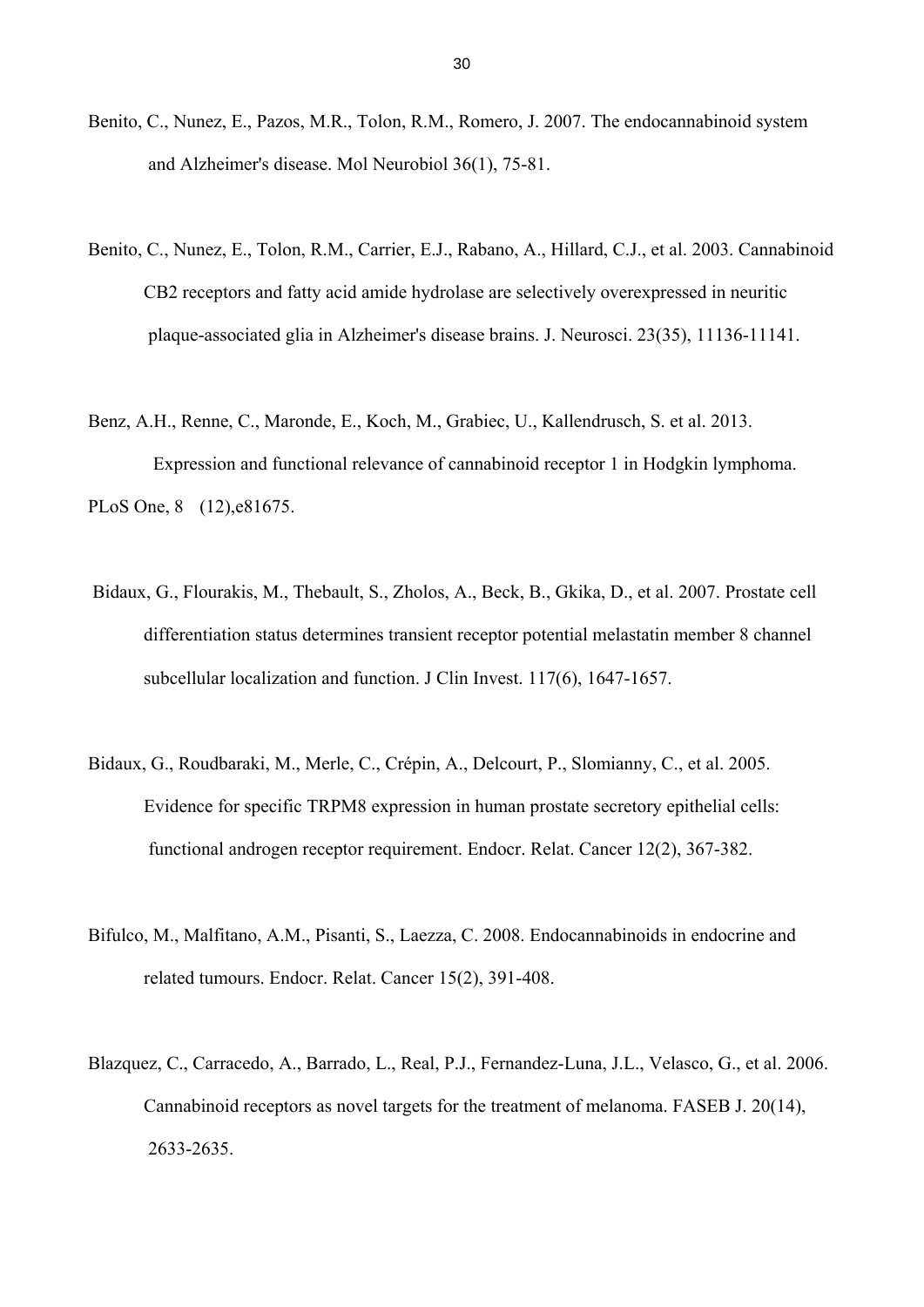- Benito, C., Nunez, E., Pazos, M.R., Tolon, R.M., Romero, J. 2007. The endocannabinoid system and Alzheimer's disease. Mol Neurobiol 36(1), 75-81.
- Benito, C., Nunez, E., Tolon, R.M., Carrier, E.J., Rabano, A., Hillard, C.J., et al. 2003. Cannabinoid CB2 receptors and fatty acid amide hydrolase are selectively overexpressed in neuritic plaque-associated glia in Alzheimer's disease brains. J. Neurosci. 23(35), 11136-11141.
- Benz, A.H., Renne, C., Maronde, E., Koch, M., Grabiec, U., Kallendrusch, S. et al. 2013. Expression and functional relevance of cannabinoid receptor 1 in Hodgkin lymphoma. PLoS One, 8 (12),e81675.
- Bidaux, G., Flourakis, M., Thebault, S., Zholos, A., Beck, B., Gkika, D., et al. 2007. Prostate cell differentiation status determines transient receptor potential melastatin member 8 channel subcellular localization and function. J Clin Invest. 117(6), 1647-1657.
- Bidaux, G., Roudbaraki, M., Merle, C., Crépin, A., Delcourt, P., Slomianny, C., et al. 2005. Evidence for specific TRPM8 expression in human prostate secretory epithelial cells: functional androgen receptor requirement. Endocr. Relat. Cancer 12(2), 367-382.
- Bifulco, M., Malfitano, A.M., Pisanti, S., Laezza, C. 2008. Endocannabinoids in endocrine and related tumours. Endocr. Relat. Cancer 15(2), 391-408.
- Blazquez, C., Carracedo, A., Barrado, L., Real, P.J., Fernandez-Luna, J.L., Velasco, G., et al. 2006. Cannabinoid receptors as novel targets for the treatment of melanoma. FASEB J. 20(14), 2633-2635.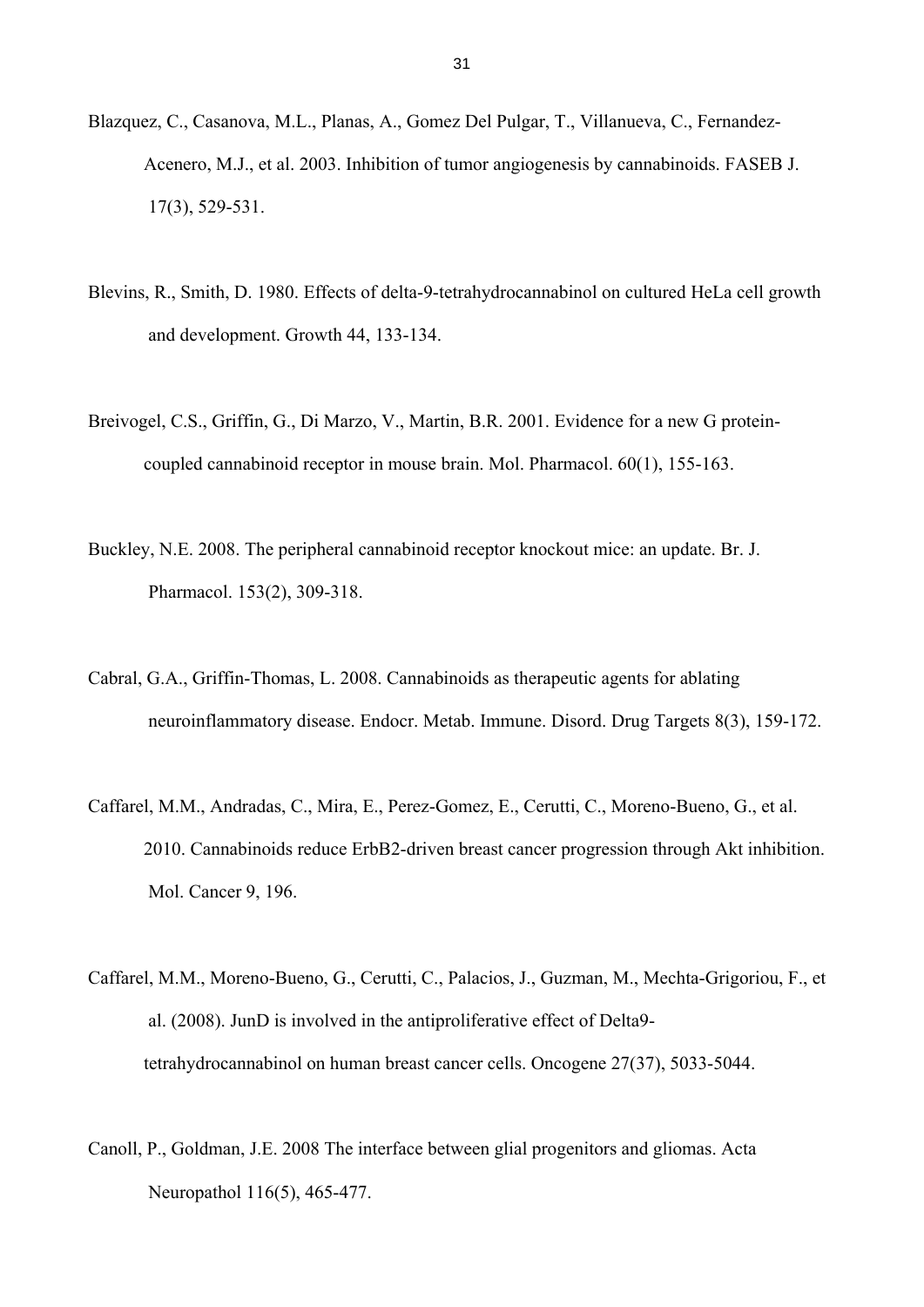- Blazquez, C., Casanova, M.L., Planas, A., Gomez Del Pulgar, T., Villanueva, C., Fernandez- Acenero, M.J., et al. 2003. Inhibition of tumor angiogenesis by cannabinoids. FASEB J. 17(3), 529-531.
- Blevins, R., Smith, D. 1980. Effects of delta-9-tetrahydrocannabinol on cultured HeLa cell growth and development. Growth 44, 133-134.
- Breivogel, C.S., Griffin, G., Di Marzo, V., Martin, B.R. 2001. Evidence for a new G protein coupled cannabinoid receptor in mouse brain. Mol. Pharmacol. 60(1), 155-163.
- Buckley, N.E. 2008. The peripheral cannabinoid receptor knockout mice: an update. Br. J. Pharmacol. 153(2), 309-318.
- Cabral, G.A., Griffin-Thomas, L. 2008. Cannabinoids as therapeutic agents for ablating neuroinflammatory disease. Endocr. Metab. Immune. Disord. Drug Targets 8(3), 159-172.
- Caffarel, M.M., Andradas, C., Mira, E., Perez-Gomez, E., Cerutti, C., Moreno-Bueno, G., et al. 2010. Cannabinoids reduce ErbB2-driven breast cancer progression through Akt inhibition. Mol. Cancer 9, 196.
- Caffarel, M.M., Moreno-Bueno, G., Cerutti, C., Palacios, J., Guzman, M., Mechta-Grigoriou, F., et al. (2008). JunD is involved in the antiproliferative effect of Delta9 tetrahydrocannabinol on human breast cancer cells. Oncogene 27(37), 5033-5044.
- Canoll, P., Goldman, J.E. 2008 The interface between glial progenitors and gliomas. Acta Neuropathol 116(5), 465-477.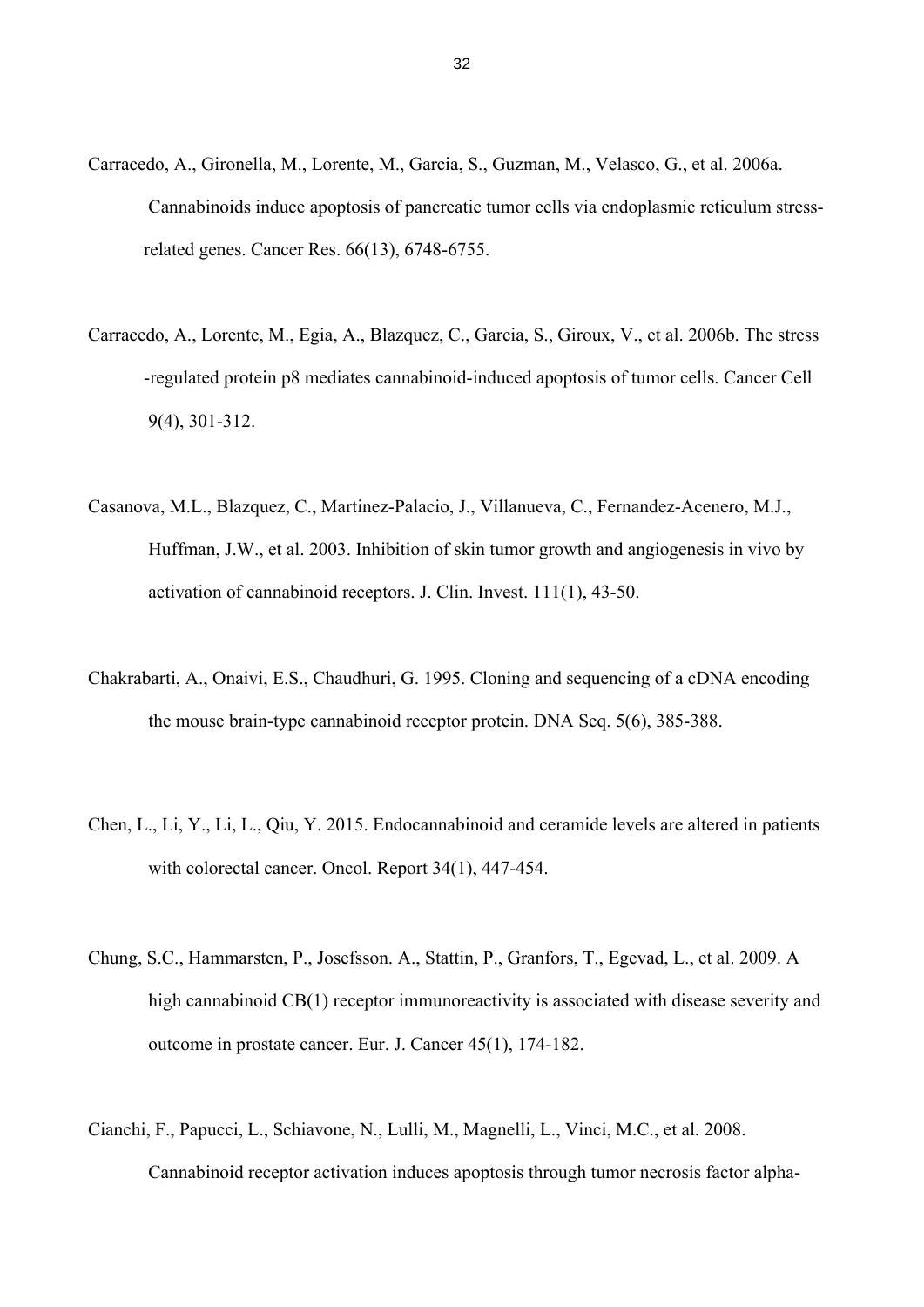- Carracedo, A., Gironella, M., Lorente, M., Garcia, S., Guzman, M., Velasco, G., et al. 2006a. Cannabinoids induce apoptosis of pancreatic tumor cells via endoplasmic reticulum stress related genes. Cancer Res. 66(13), 6748-6755.
- Carracedo, A., Lorente, M., Egia, A., Blazquez, C., Garcia, S., Giroux, V., et al. 2006b. The stress -regulated protein p8 mediates cannabinoid-induced apoptosis of tumor cells. Cancer Cell 9(4), 301-312.
- Casanova, M.L., Blazquez, C., Martinez-Palacio, J., Villanueva, C., Fernandez-Acenero, M.J., Huffman, J.W., et al. 2003. Inhibition of skin tumor growth and angiogenesis in vivo by activation of cannabinoid receptors. J. Clin. Invest. 111(1), 43-50.
- Chakrabarti, A., Onaivi, E.S., Chaudhuri, G. 1995. Cloning and sequencing of a cDNA encoding the mouse brain-type cannabinoid receptor protein. DNA Seq. 5(6), 385-388.
- Chen, L., Li, Y., Li, L., Qiu, Y. 2015. Endocannabinoid and ceramide levels are altered in patients with colorectal cancer. Oncol. Report 34(1), 447-454.
- Chung, S.C., Hammarsten, P., Josefsson. A., Stattin, P., Granfors, T., Egevad, L., et al. 2009. A high cannabinoid CB(1) receptor immunoreactivity is associated with disease severity and outcome in prostate cancer. Eur. J. Cancer 45(1), 174-182.
- Cianchi, F., Papucci, L., Schiavone, N., Lulli, M., Magnelli, L., Vinci, M.C., et al. 2008. Cannabinoid receptor activation induces apoptosis through tumor necrosis factor alpha-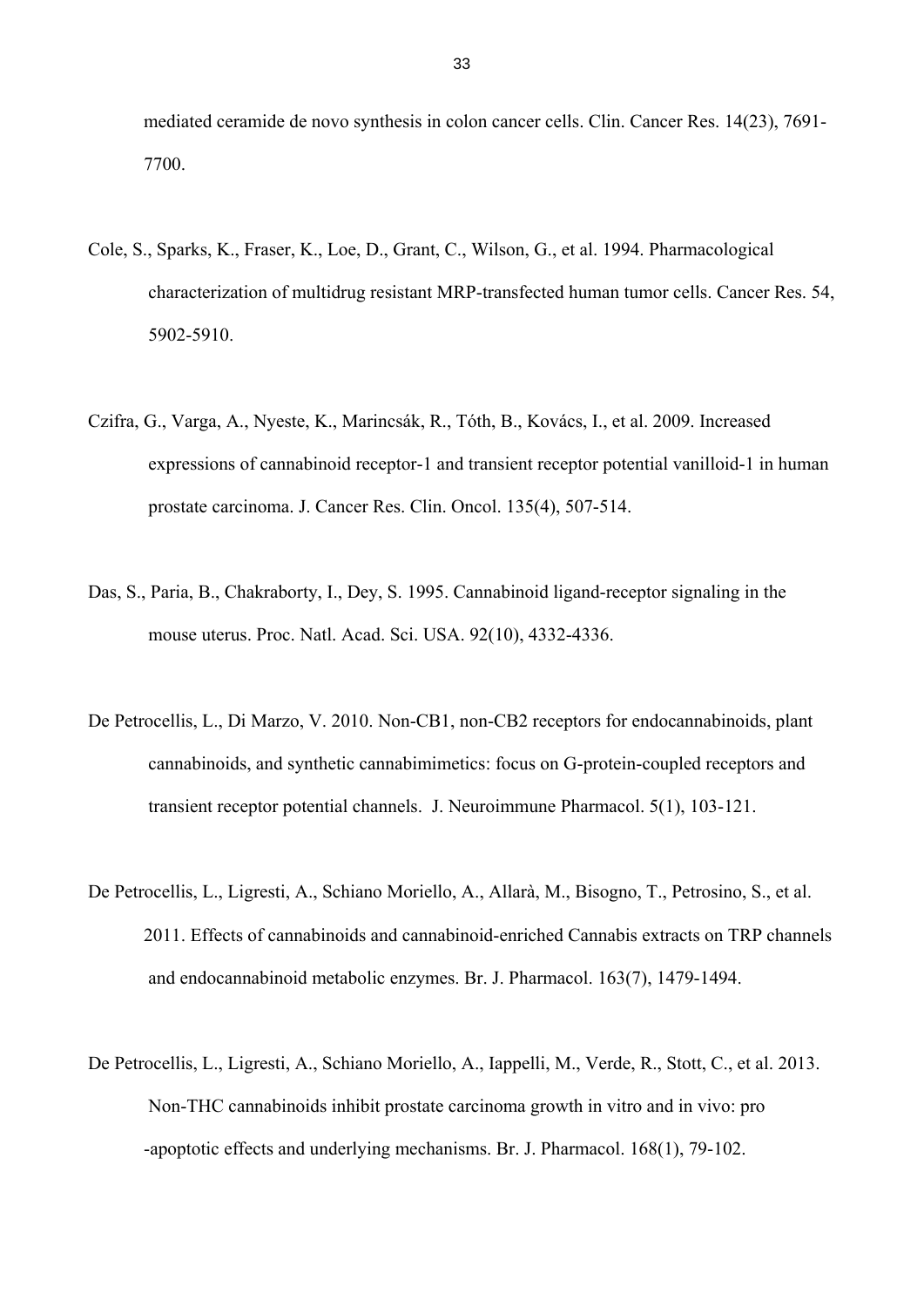mediated ceramide de novo synthesis in colon cancer cells. Clin. Cancer Res. 14(23), 7691- 7700.

- Cole, S., Sparks, K., Fraser, K., Loe, D., Grant, C., Wilson, G., et al. 1994. Pharmacological characterization of multidrug resistant MRP-transfected human tumor cells. Cancer Res. 54, 5902-5910.
- Czifra, G., Varga, A., Nyeste, K., Marincsák, R., Tóth, B., Kovács, I., et al. 2009. Increased expressions of cannabinoid receptor-1 and transient receptor potential vanilloid-1 in human prostate carcinoma. J. Cancer Res. Clin. Oncol. 135(4), 507-514.
- Das, S., Paria, B., Chakraborty, I., Dey, S. 1995. Cannabinoid ligand-receptor signaling in the mouse uterus. Proc. Natl. Acad. Sci. USA. 92(10), 4332-4336.
- De Petrocellis, L., Di Marzo, V. 2010. Non-CB1, non-CB2 receptors for endocannabinoids, plant cannabinoids, and synthetic cannabimimetics: focus on G-protein-coupled receptors and transient receptor potential channels. J. Neuroimmune Pharmacol. 5(1), 103-121.
- De Petrocellis, L., Ligresti, A., Schiano Moriello, A., Allarà, M., Bisogno, T., Petrosino, S., et al. 2011. Effects of cannabinoids and cannabinoid-enriched Cannabis extracts on TRP channels and endocannabinoid metabolic enzymes. Br. J. Pharmacol. 163(7), 1479-1494.
- De Petrocellis, L., Ligresti, A., Schiano Moriello, A., Iappelli, M., Verde, R., Stott, C., et al. 2013. Non-THC cannabinoids inhibit prostate carcinoma growth in vitro and in vivo: pro -apoptotic effects and underlying mechanisms. Br. J. Pharmacol. 168(1), 79-102.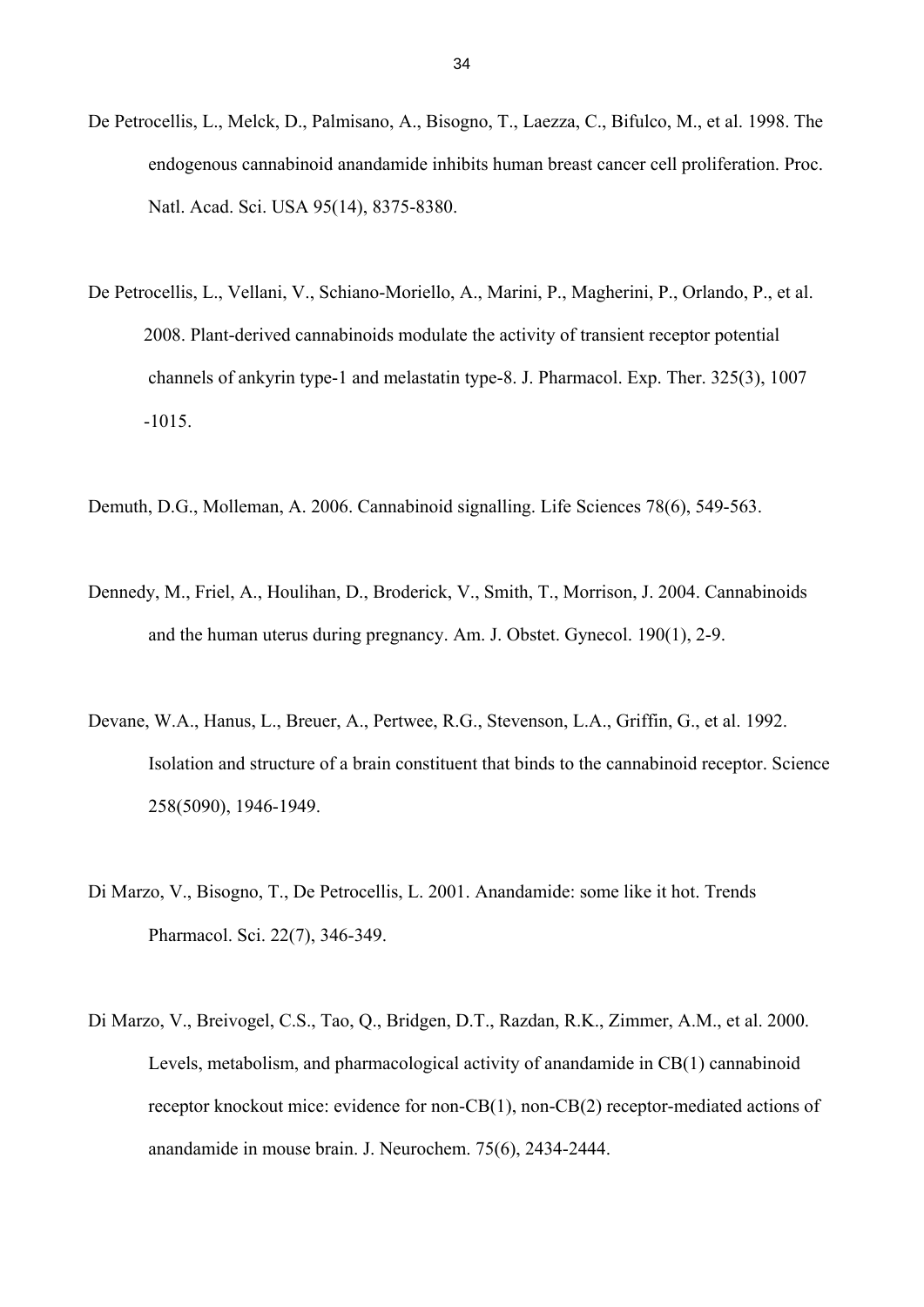- De Petrocellis, L., Melck, D., Palmisano, A., Bisogno, T., Laezza, C., Bifulco, M., et al. 1998. The endogenous cannabinoid anandamide inhibits human breast cancer cell proliferation. Proc. Natl. Acad. Sci. USA 95(14), 8375-8380.
- De Petrocellis, L., Vellani, V., Schiano-Moriello, A., Marini, P., Magherini, P., Orlando, P., et al. 2008. Plant-derived cannabinoids modulate the activity of transient receptor potential channels of ankyrin type-1 and melastatin type-8. J. Pharmacol. Exp. Ther. 325(3), 1007 -1015.
- Demuth, D.G., Molleman, A. 2006. Cannabinoid signalling. Life Sciences 78(6), 549-563.
- Dennedy, M., Friel, A., Houlihan, D., Broderick, V., Smith, T., Morrison, J. 2004. Cannabinoids and the human uterus during pregnancy. Am. J. Obstet. Gynecol. 190(1), 2-9.
- Devane, W.A., Hanus, L., Breuer, A., Pertwee, R.G., Stevenson, L.A., Griffin, G., et al. 1992. Isolation and structure of a brain constituent that binds to the cannabinoid receptor. Science 258(5090), 1946-1949.
- Di Marzo, V., Bisogno, T., De Petrocellis, L. 2001. Anandamide: some like it hot. Trends Pharmacol. Sci. 22(7), 346-349.
- Di Marzo, V., Breivogel, C.S., Tao, Q., Bridgen, D.T., Razdan, R.K., Zimmer, A.M., et al. 2000. Levels, metabolism, and pharmacological activity of anandamide in CB(1) cannabinoid receptor knockout mice: evidence for non-CB(1), non-CB(2) receptor-mediated actions of anandamide in mouse brain. J. Neurochem. 75(6), 2434-2444.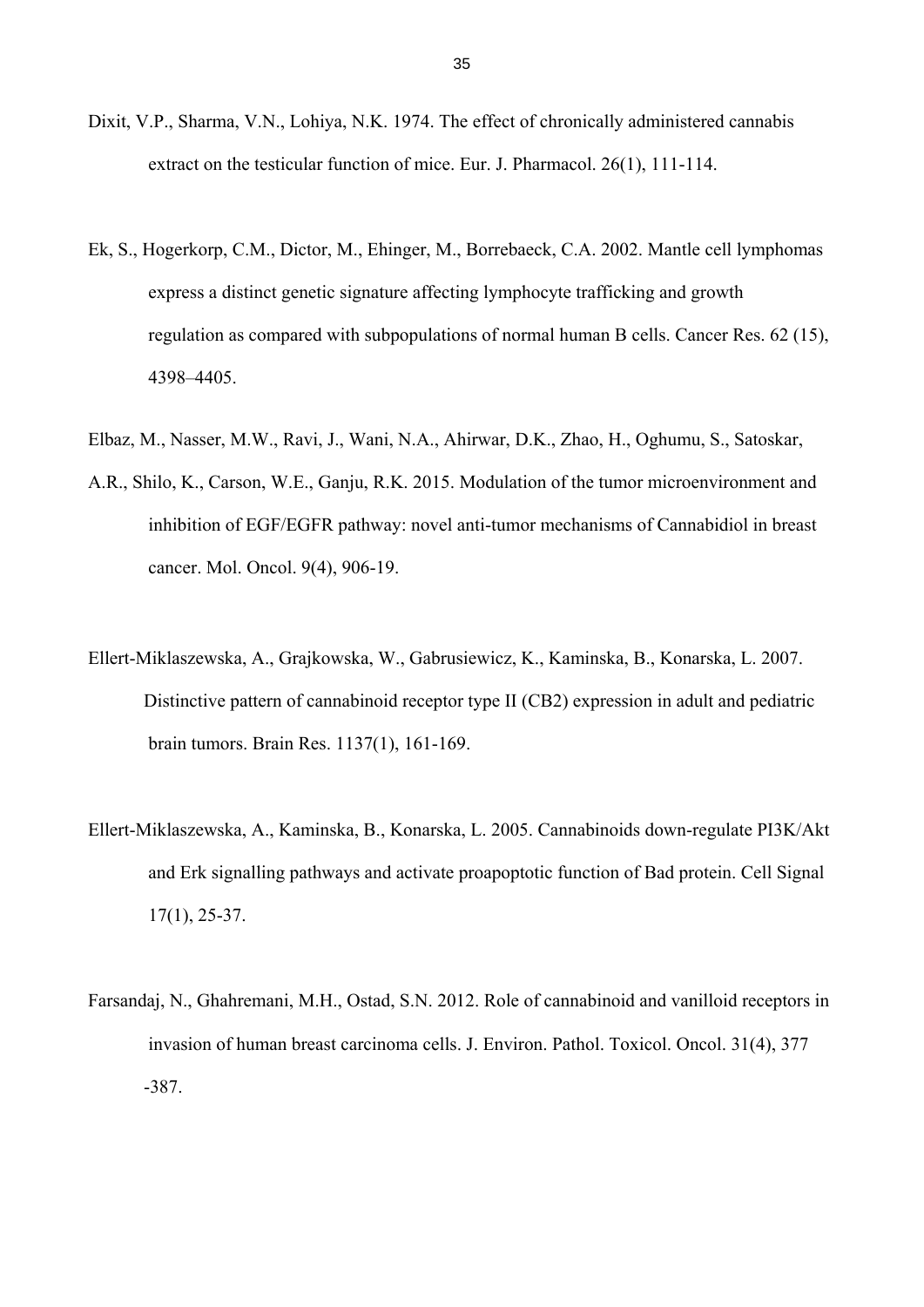- Dixit, V.P., Sharma, V.N., Lohiya, N.K. 1974. The effect of chronically administered cannabis extract on the testicular function of mice. Eur. J. Pharmacol. 26(1), 111-114.
- Ek, S., Hogerkorp, C.M., Dictor, M., Ehinger, M., Borrebaeck, C.A. 2002. Mantle cell lymphomas express a distinct genetic signature affecting lymphocyte trafficking and growth regulation as compared with subpopulations of normal human B cells. Cancer Res. 62 (15), 4398–4405.
- Elbaz, M., Nasser, M.W., Ravi, J., Wani, N.A., Ahirwar, D.K., Zhao, H., Oghumu, S., Satoskar,
- A.R., Shilo, K., Carson, W.E., Ganju, R.K. 2015. Modulation of the tumor microenvironment and inhibition of EGF/EGFR pathway: novel anti-tumor mechanisms of Cannabidiol in breast cancer. Mol. Oncol. 9(4), 906-19.
- Ellert-Miklaszewska, A., Grajkowska, W., Gabrusiewicz, K., Kaminska, B., Konarska, L. 2007. Distinctive pattern of cannabinoid receptor type II (CB2) expression in adult and pediatric brain tumors. Brain Res. 1137(1), 161-169.
- Ellert-Miklaszewska, A., Kaminska, B., Konarska, L. 2005. Cannabinoids down-regulate PI3K/Akt and Erk signalling pathways and activate proapoptotic function of Bad protein. Cell Signal 17(1), 25-37.
- Farsandaj, N., Ghahremani, M.H., Ostad, S.N. 2012. Role of cannabinoid and vanilloid receptors in invasion of human breast carcinoma cells. J. Environ. Pathol. Toxicol. Oncol. 31(4), 377 -387.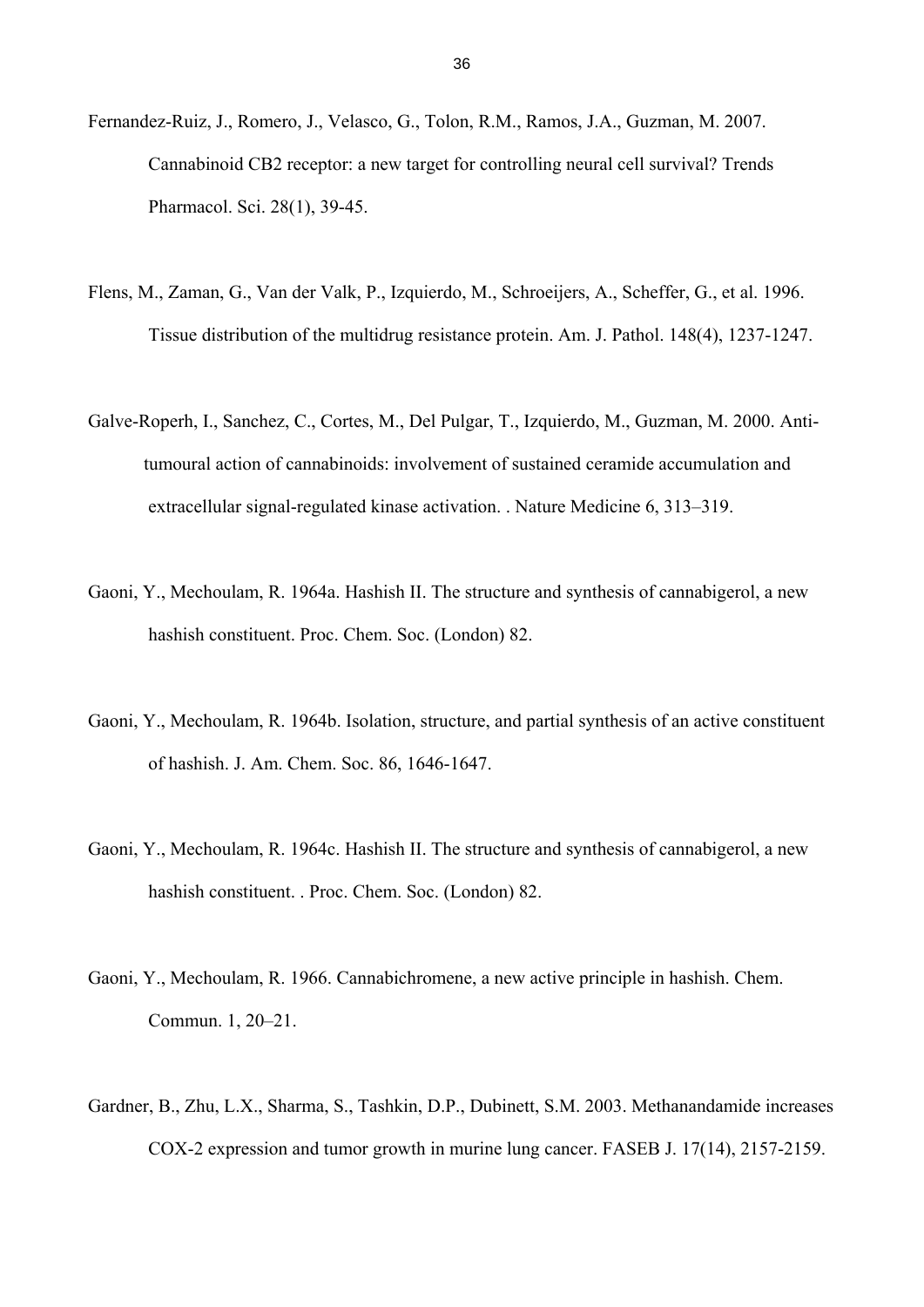- Fernandez-Ruiz, J., Romero, J., Velasco, G., Tolon, R.M., Ramos, J.A., Guzman, M. 2007. Cannabinoid CB2 receptor: a new target for controlling neural cell survival? Trends Pharmacol. Sci. 28(1), 39-45.
- Flens, M., Zaman, G., Van der Valk, P., Izquierdo, M., Schroeijers, A., Scheffer, G., et al. 1996. Tissue distribution of the multidrug resistance protein. Am. J. Pathol. 148(4), 1237-1247.
- Galve-Roperh, I., Sanchez, C., Cortes, M., Del Pulgar, T., Izquierdo, M., Guzman, M. 2000. Anti tumoural action of cannabinoids: involvement of sustained ceramide accumulation and extracellular signal-regulated kinase activation. . Nature Medicine 6, 313–319.
- Gaoni, Y., Mechoulam, R. 1964a. Hashish II. The structure and synthesis of cannabigerol, a new hashish constituent. Proc. Chem. Soc. (London) 82.
- Gaoni, Y., Mechoulam, R. 1964b. Isolation, structure, and partial synthesis of an active constituent of hashish. J. Am. Chem. Soc. 86, 1646-1647.
- Gaoni, Y., Mechoulam, R. 1964c. Hashish II. The structure and synthesis of cannabigerol, a new hashish constituent. . Proc. Chem. Soc. (London) 82.
- Gaoni, Y., Mechoulam, R. 1966. Cannabichromene, a new active principle in hashish. Chem. Commun. 1, 20–21.
- Gardner, B., Zhu, L.X., Sharma, S., Tashkin, D.P., Dubinett, S.M. 2003. Methanandamide increases COX-2 expression and tumor growth in murine lung cancer. FASEB J. 17(14), 2157-2159.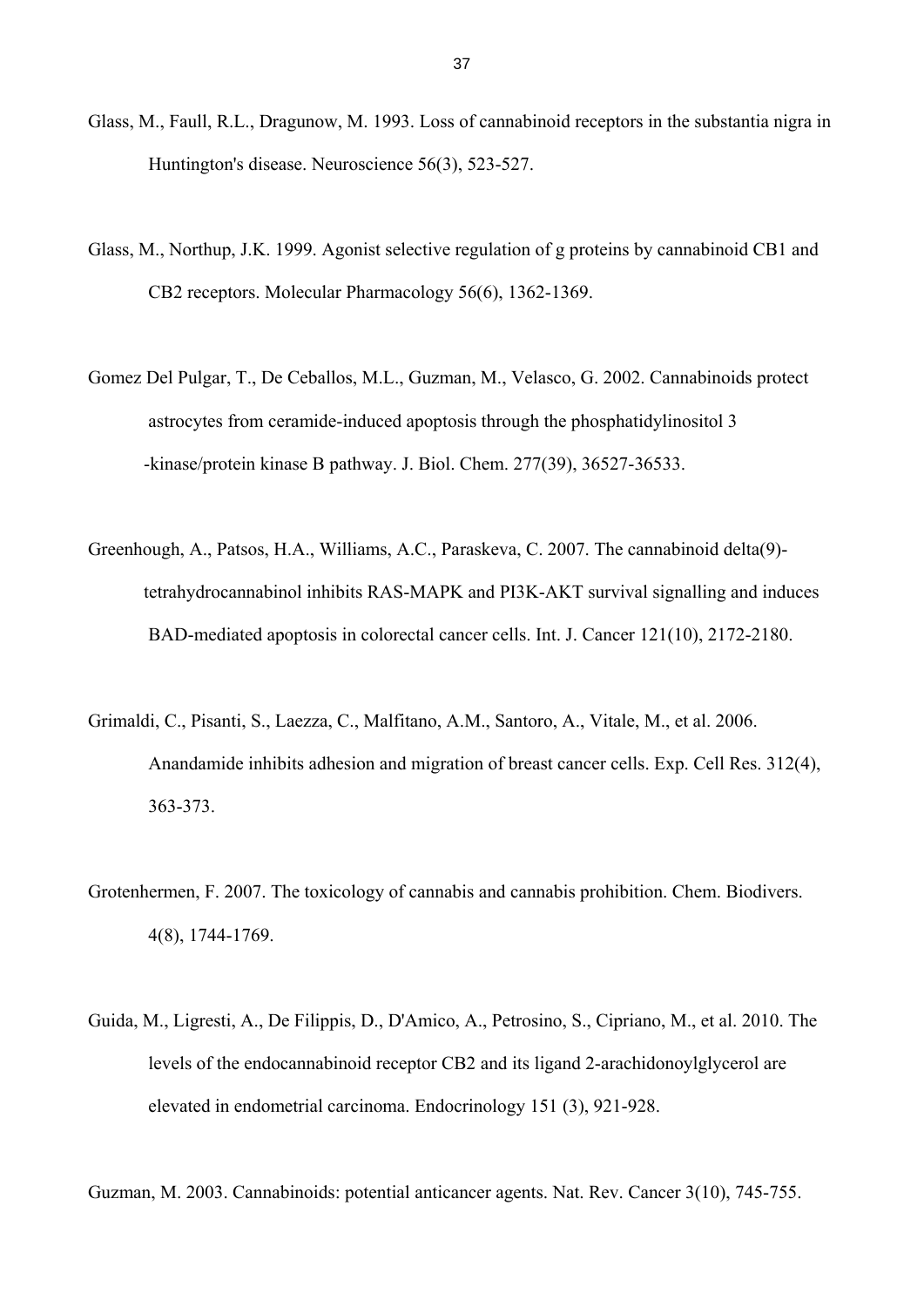- Glass, M., Faull, R.L., Dragunow, M. 1993. Loss of cannabinoid receptors in the substantia nigra in Huntington's disease. Neuroscience 56(3), 523-527.
- Glass, M., Northup, J.K. 1999. Agonist selective regulation of g proteins by cannabinoid CB1 and CB2 receptors. Molecular Pharmacology 56(6), 1362-1369.
- Gomez Del Pulgar, T., De Ceballos, M.L., Guzman, M., Velasco, G. 2002. Cannabinoids protect astrocytes from ceramide-induced apoptosis through the phosphatidylinositol 3 -kinase/protein kinase B pathway. J. Biol. Chem. 277(39), 36527-36533.
- Greenhough, A., Patsos, H.A., Williams, A.C., Paraskeva, C. 2007. The cannabinoid delta(9) tetrahydrocannabinol inhibits RAS-MAPK and PI3K-AKT survival signalling and induces BAD-mediated apoptosis in colorectal cancer cells. Int. J. Cancer 121(10), 2172-2180.
- Grimaldi, C., Pisanti, S., Laezza, C., Malfitano, A.M., Santoro, A., Vitale, M., et al. 2006. Anandamide inhibits adhesion and migration of breast cancer cells. Exp. Cell Res. 312(4), 363-373.
- Grotenhermen, F. 2007. The toxicology of cannabis and cannabis prohibition. Chem. Biodivers. 4(8), 1744-1769.
- Guida, M., Ligresti, A., De Filippis, D., D'Amico, A., Petrosino, S., Cipriano, M., et al. 2010. The levels of the endocannabinoid receptor CB2 and its ligand 2-arachidonoylglycerol are elevated in endometrial carcinoma. Endocrinology 151 (3), 921-928.

Guzman, M. 2003. Cannabinoids: potential anticancer agents. Nat. Rev. Cancer 3(10), 745-755.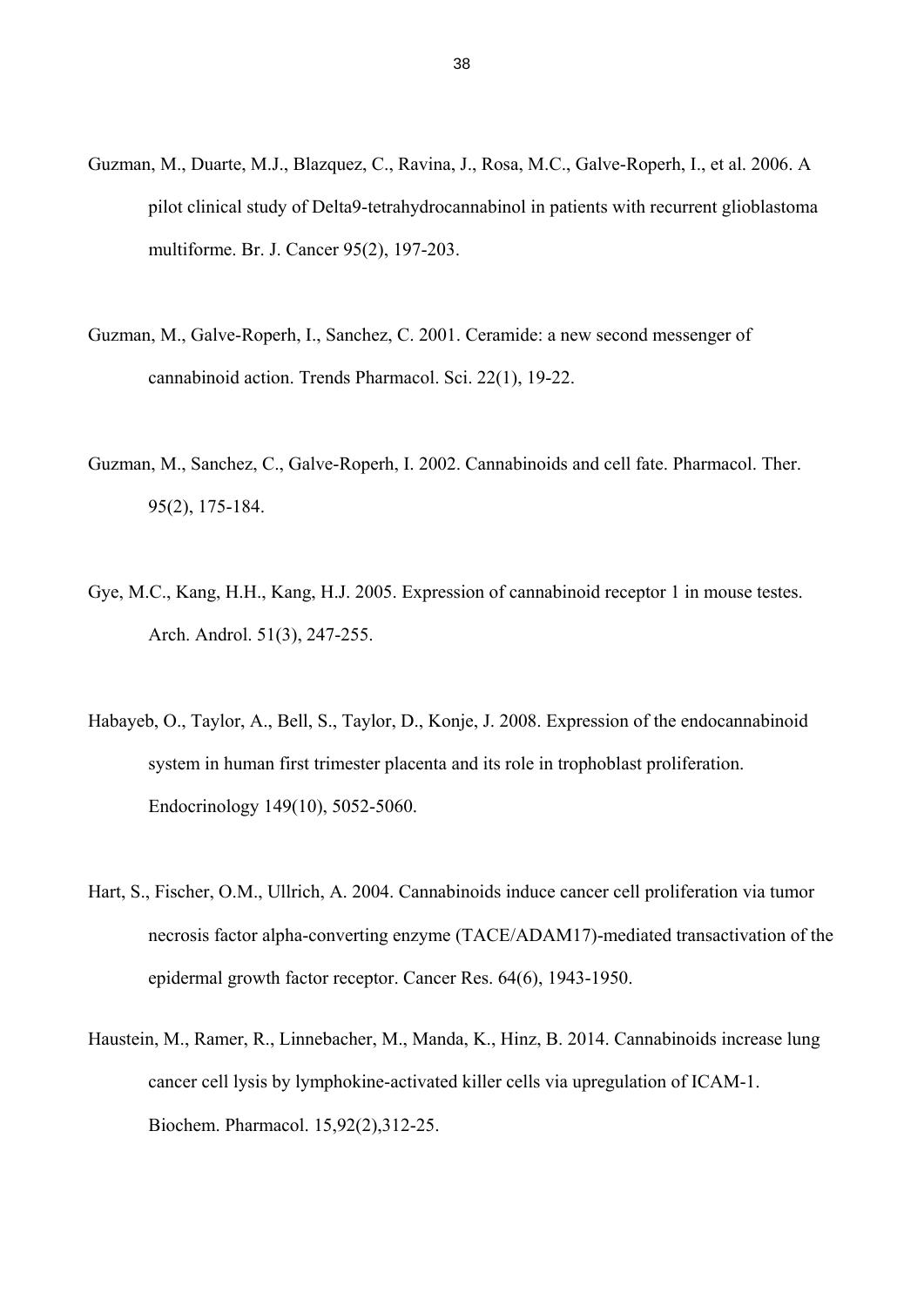- Guzman, M., Duarte, M.J., Blazquez, C., Ravina, J., Rosa, M.C., Galve-Roperh, I., et al. 2006. A pilot clinical study of Delta9-tetrahydrocannabinol in patients with recurrent glioblastoma multiforme. Br. J. Cancer 95(2), 197-203.
- Guzman, M., Galve-Roperh, I., Sanchez, C. 2001. Ceramide: a new second messenger of cannabinoid action. Trends Pharmacol. Sci. 22(1), 19-22.
- Guzman, M., Sanchez, C., Galve-Roperh, I. 2002. Cannabinoids and cell fate. Pharmacol. Ther. 95(2), 175-184.
- Gye, M.C., Kang, H.H., Kang, H.J. 2005. Expression of cannabinoid receptor 1 in mouse testes. Arch. Androl. 51(3), 247-255.
- Habayeb, O., Taylor, A., Bell, S., Taylor, D., Konje, J. 2008. Expression of the endocannabinoid system in human first trimester placenta and its role in trophoblast proliferation. Endocrinology 149(10), 5052-5060.
- Hart, S., Fischer, O.M., Ullrich, A. 2004. Cannabinoids induce cancer cell proliferation via tumor necrosis factor alpha-converting enzyme (TACE/ADAM17)-mediated transactivation of the epidermal growth factor receptor. Cancer Res. 64(6), 1943-1950.
- Haustein, M., Ramer, R., Linnebacher, M., Manda, K., Hinz, B. 2014. Cannabinoids increase lung cancer cell lysis by lymphokine-activated killer cells via upregulation of ICAM-1. Biochem. Pharmacol. 15,92(2),312-25.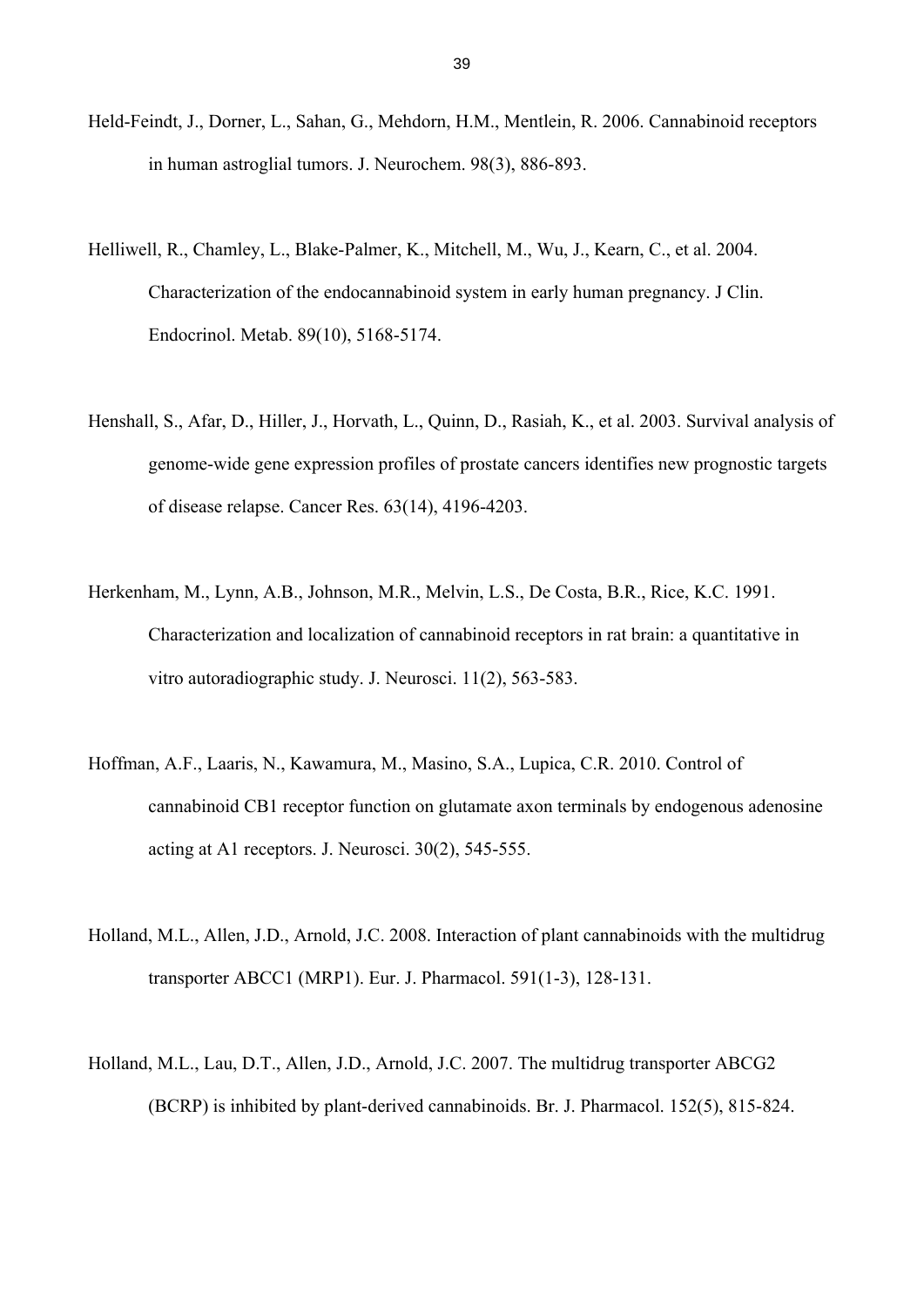- Held-Feindt, J., Dorner, L., Sahan, G., Mehdorn, H.M., Mentlein, R. 2006. Cannabinoid receptors in human astroglial tumors. J. Neurochem. 98(3), 886-893.
- Helliwell, R., Chamley, L., Blake-Palmer, K., Mitchell, M., Wu, J., Kearn, C., et al. 2004. Characterization of the endocannabinoid system in early human pregnancy. J Clin. Endocrinol. Metab. 89(10), 5168-5174.
- Henshall, S., Afar, D., Hiller, J., Horvath, L., Quinn, D., Rasiah, K., et al. 2003. Survival analysis of genome-wide gene expression profiles of prostate cancers identifies new prognostic targets of disease relapse. Cancer Res. 63(14), 4196-4203.
- Herkenham, M., Lynn, A.B., Johnson, M.R., Melvin, L.S., De Costa, B.R., Rice, K.C. 1991. Characterization and localization of cannabinoid receptors in rat brain: a quantitative in vitro autoradiographic study. J. Neurosci. 11(2), 563-583.
- Hoffman, A.F., Laaris, N., Kawamura, M., Masino, S.A., Lupica, C.R. 2010. Control of cannabinoid CB1 receptor function on glutamate axon terminals by endogenous adenosine acting at A1 receptors. J. Neurosci. 30(2), 545-555.
- Holland, M.L., Allen, J.D., Arnold, J.C. 2008. Interaction of plant cannabinoids with the multidrug transporter ABCC1 (MRP1). Eur. J. Pharmacol. 591(1-3), 128-131.
- Holland, M.L., Lau, D.T., Allen, J.D., Arnold, J.C. 2007. The multidrug transporter ABCG2 (BCRP) is inhibited by plant-derived cannabinoids. Br. J. Pharmacol. 152(5), 815-824.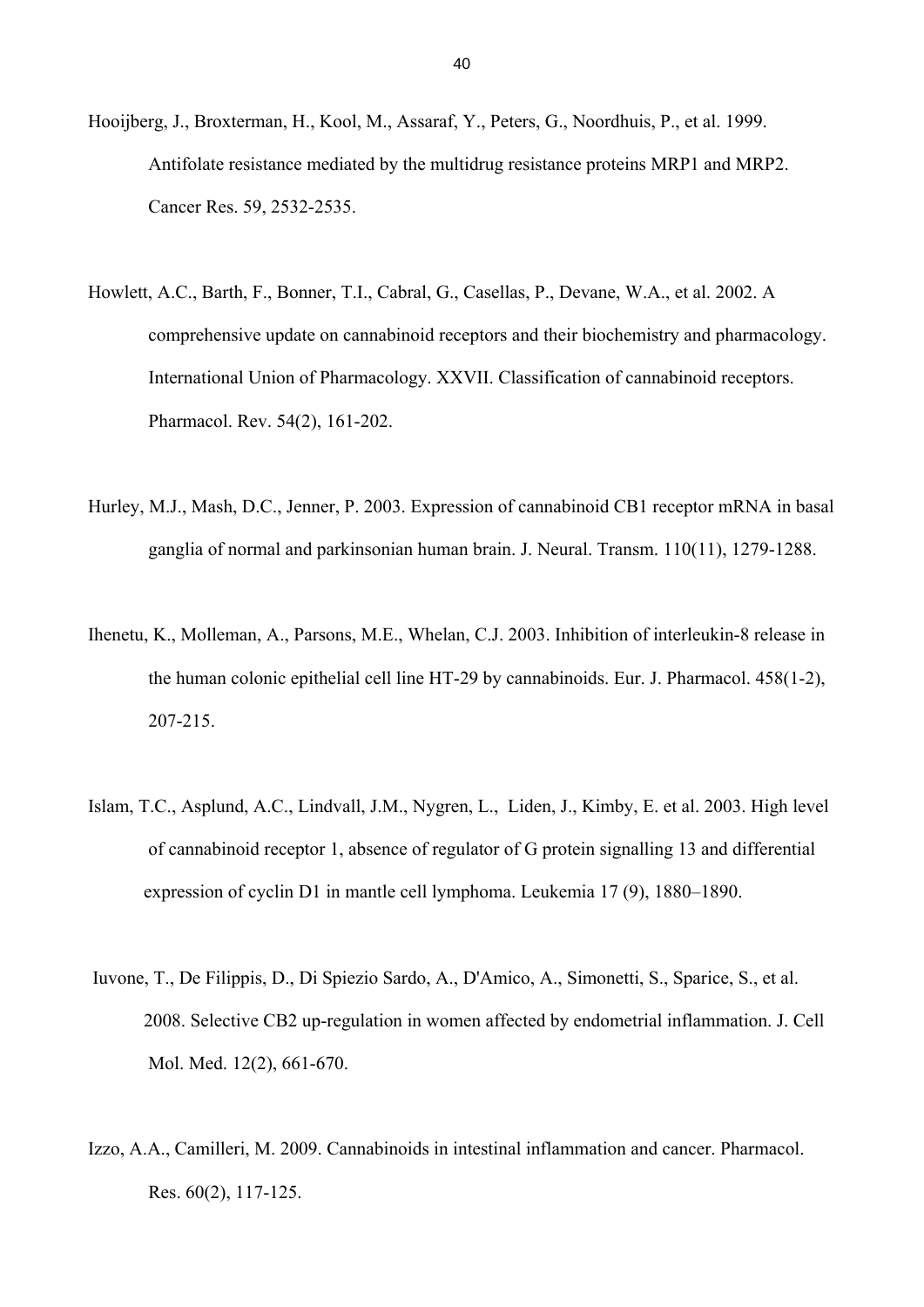- Hooijberg, J., Broxterman, H., Kool, M., Assaraf, Y., Peters, G., Noordhuis, P., et al. 1999. Antifolate resistance mediated by the multidrug resistance proteins MRP1 and MRP2. Cancer Res. 59, 2532-2535.
- Howlett, A.C., Barth, F., Bonner, T.I., Cabral, G., Casellas, P., Devane, W.A., et al. 2002. A comprehensive update on cannabinoid receptors and their biochemistry and pharmacology. International Union of Pharmacology. XXVII. Classification of cannabinoid receptors. Pharmacol. Rev. 54(2), 161-202.
- Hurley, M.J., Mash, D.C., Jenner, P. 2003. Expression of cannabinoid CB1 receptor mRNA in basal ganglia of normal and parkinsonian human brain. J. Neural. Transm. 110(11), 1279-1288.
- Ihenetu, K., Molleman, A., Parsons, M.E., Whelan, C.J. 2003. Inhibition of interleukin-8 release in the human colonic epithelial cell line HT-29 by cannabinoids. Eur. J. Pharmacol. 458(1-2), 207-215.
- Islam, T.C., Asplund, A.C., Lindvall, J.M., Nygren, L., Liden, J., Kimby, E. et al. 2003. High level of cannabinoid receptor 1, absence of regulator of G protein signalling 13 and differential expression of cyclin D1 in mantle cell lymphoma. Leukemia 17 (9), 1880–1890.
- Iuvone, T., De Filippis, D., Di Spiezio Sardo, A., D'Amico, A., Simonetti, S., Sparice, S., et al. 2008. Selective CB2 up-regulation in women affected by endometrial inflammation. J. Cell Mol. Med. 12(2), 661-670.
- Izzo, A.A., Camilleri, M. 2009. Cannabinoids in intestinal inflammation and cancer. Pharmacol. Res. 60(2), 117-125.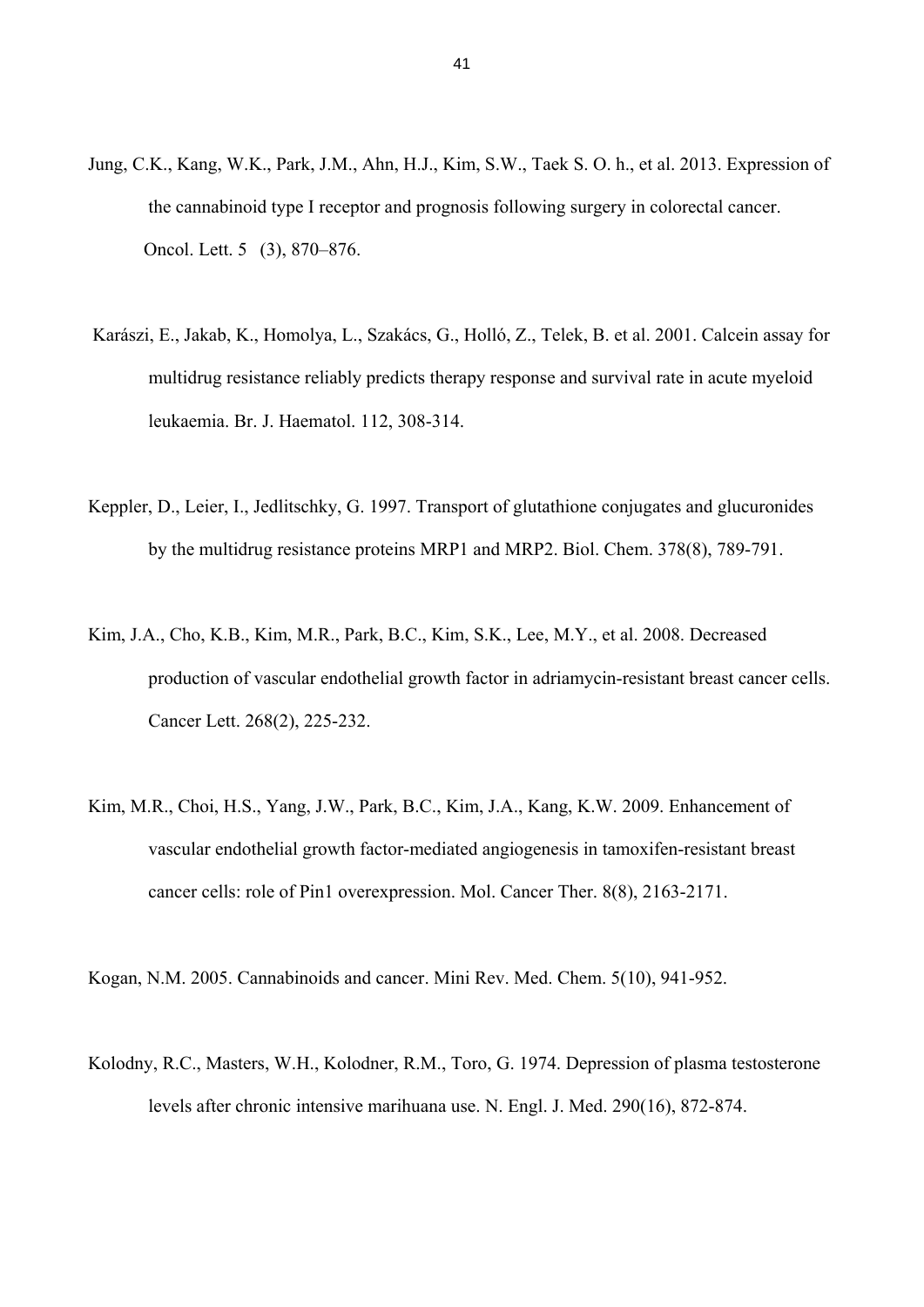- Jung, C.K., Kang, W.K., Park, J.M., Ahn, H.J., Kim, S.W., Taek S. O. h., et al. 2013. Expression of the cannabinoid type I receptor and prognosis following surgery in colorectal cancer. Oncol. Lett. 5 (3), 870–876.
- Karászi, E., Jakab, K., Homolya, L., Szakács, G., Holló, Z., Telek, B. et al. 2001. Calcein assay for multidrug resistance reliably predicts therapy response and survival rate in acute myeloid leukaemia. Br. J. Haematol. 112, 308-314.
- Keppler, D., Leier, I., Jedlitschky, G. 1997. Transport of glutathione conjugates and glucuronides by the multidrug resistance proteins MRP1 and MRP2. Biol. Chem. 378(8), 789-791.
- Kim, J.A., Cho, K.B., Kim, M.R., Park, B.C., Kim, S.K., Lee, M.Y., et al. 2008. Decreased production of vascular endothelial growth factor in adriamycin-resistant breast cancer cells. Cancer Lett. 268(2), 225-232.
- Kim, M.R., Choi, H.S., Yang, J.W., Park, B.C., Kim, J.A., Kang, K.W. 2009. Enhancement of vascular endothelial growth factor-mediated angiogenesis in tamoxifen-resistant breast cancer cells: role of Pin1 overexpression. Mol. Cancer Ther. 8(8), 2163-2171.

Kogan, N.M. 2005. Cannabinoids and cancer. Mini Rev. Med. Chem. 5(10), 941-952.

Kolodny, R.C., Masters, W.H., Kolodner, R.M., Toro, G. 1974. Depression of plasma testosterone levels after chronic intensive marihuana use. N. Engl. J. Med. 290(16), 872-874.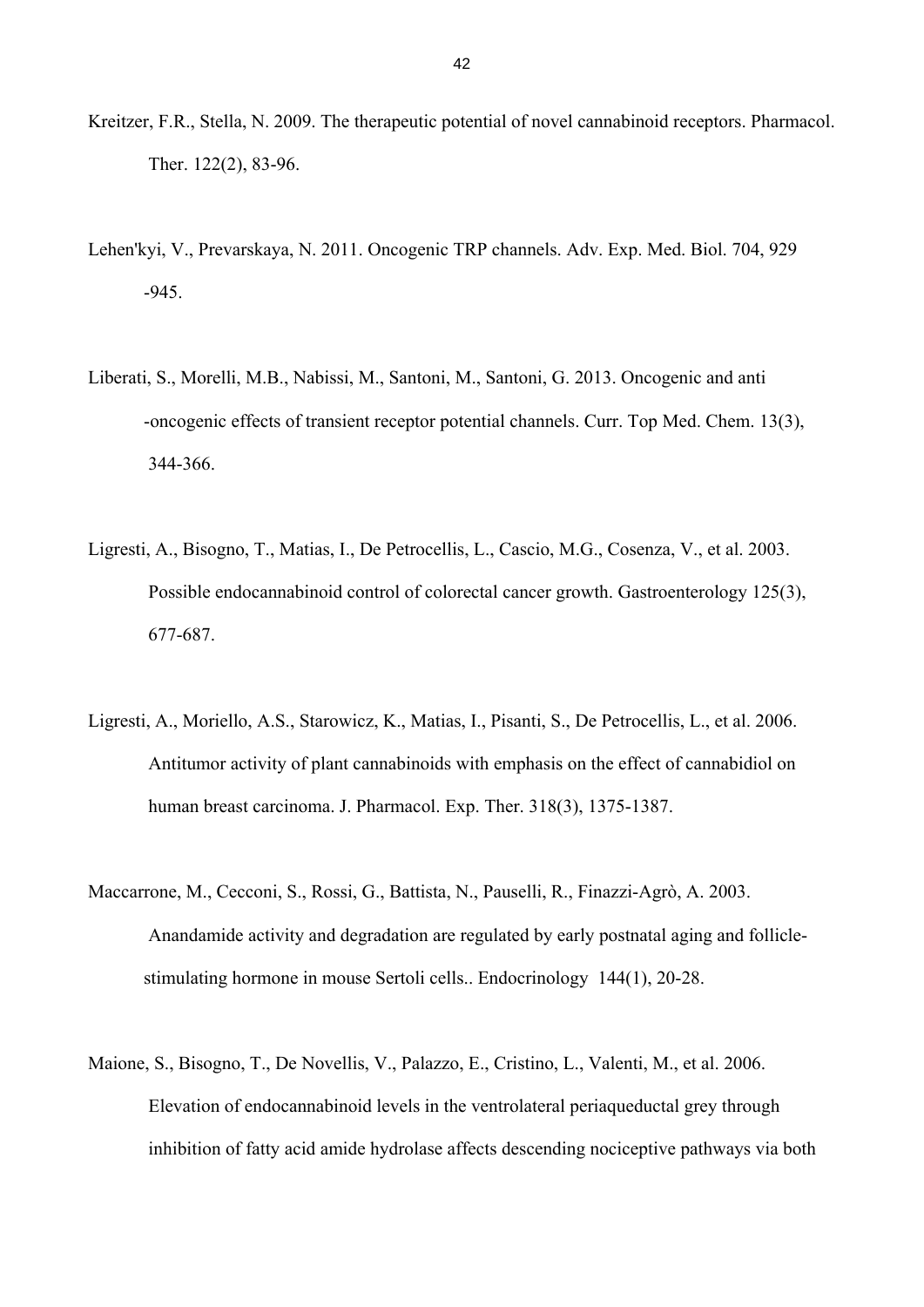- Kreitzer, F.R., Stella, N. 2009. The therapeutic potential of novel cannabinoid receptors. Pharmacol. Ther. 122(2), 83-96.
- Lehen'kyi, V., Prevarskaya, N. 2011. Oncogenic TRP channels. Adv. Exp. Med. Biol. 704, 929 -945.
- Liberati, S., Morelli, M.B., Nabissi, M., Santoni, M., Santoni, G. 2013. Oncogenic and anti -oncogenic effects of transient receptor potential channels. Curr. Top Med. Chem. 13(3), 344-366.
- Ligresti, A., Bisogno, T., Matias, I., De Petrocellis, L., Cascio, M.G., Cosenza, V., et al. 2003. Possible endocannabinoid control of colorectal cancer growth. Gastroenterology 125(3), 677-687.
- Ligresti, A., Moriello, A.S., Starowicz, K., Matias, I., Pisanti, S., De Petrocellis, L., et al. 2006. Antitumor activity of plant cannabinoids with emphasis on the effect of cannabidiol on human breast carcinoma. J. Pharmacol. Exp. Ther. 318(3), 1375-1387.
- Maccarrone, M., Cecconi, S., Rossi, G., Battista, N., Pauselli, R., Finazzi-Agrò, A. 2003. Anandamide activity and degradation are regulated by early postnatal aging and follicle stimulating hormone in mouse Sertoli cells.. Endocrinology 144(1), 20-28.
- Maione, S., Bisogno, T., De Novellis, V., Palazzo, E., Cristino, L., Valenti, M., et al. 2006. Elevation of endocannabinoid levels in the ventrolateral periaqueductal grey through inhibition of fatty acid amide hydrolase affects descending nociceptive pathways via both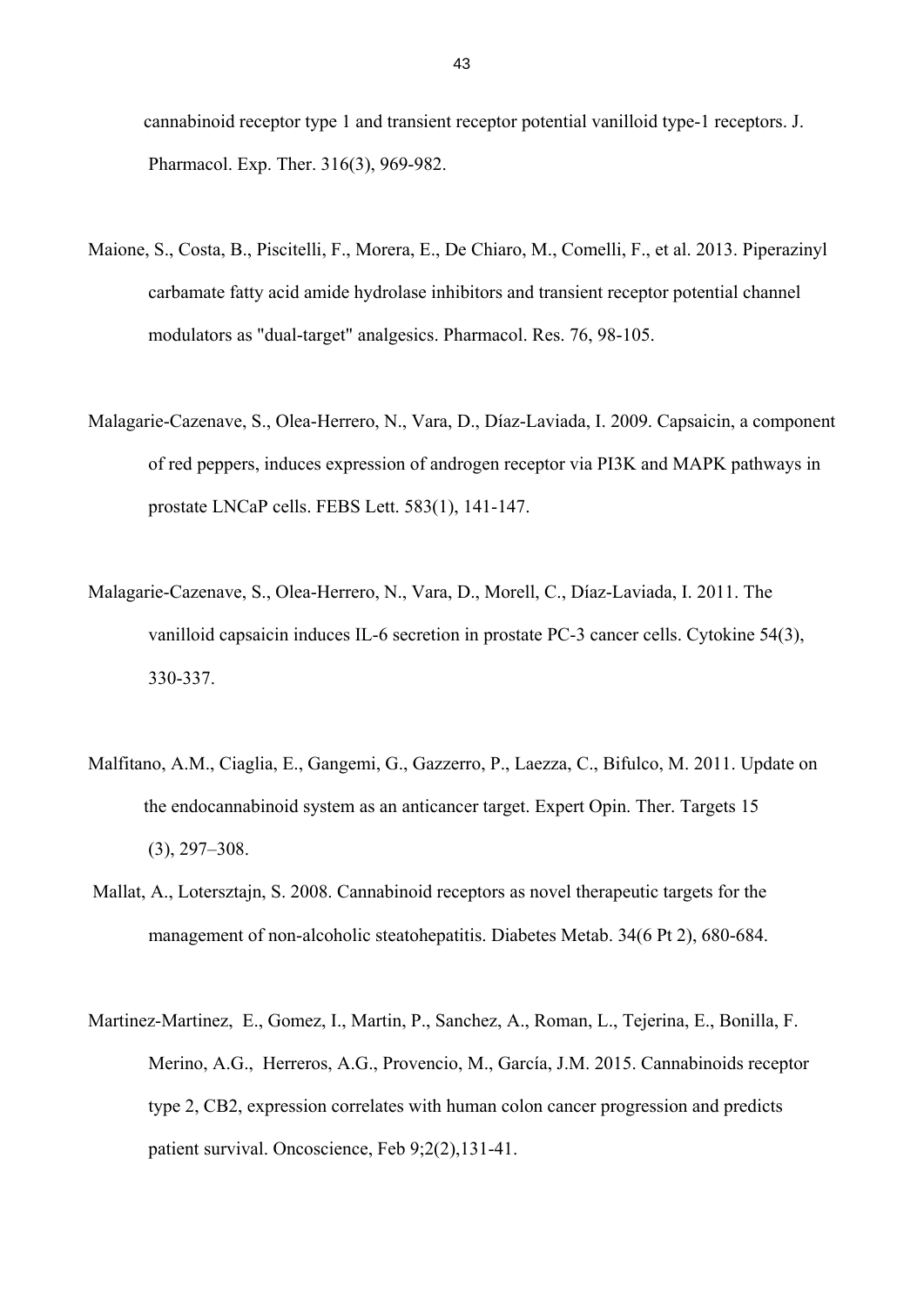cannabinoid receptor type 1 and transient receptor potential vanilloid type-1 receptors. J. Pharmacol. Exp. Ther. 316(3), 969-982.

- Maione, S., Costa, B., Piscitelli, F., Morera, E., De Chiaro, M., Comelli, F., et al. 2013. Piperazinyl carbamate fatty acid amide hydrolase inhibitors and transient receptor potential channel modulators as "dual-target" analgesics. Pharmacol. Res. 76, 98-105.
- Malagarie-Cazenave, S., Olea-Herrero, N., Vara, D., Díaz-Laviada, I. 2009. Capsaicin, a component of red peppers, induces expression of androgen receptor via PI3K and MAPK pathways in prostate LNCaP cells. FEBS Lett. 583(1), 141-147.
- Malagarie-Cazenave, S., Olea-Herrero, N., Vara, D., Morell, C., Díaz-Laviada, I. 2011. The vanilloid capsaicin induces IL-6 secretion in prostate PC-3 cancer cells. Cytokine 54(3), 330-337.
- Malfitano, A.M., Ciaglia, E., Gangemi, G., Gazzerro, P., Laezza, C., Bifulco, M. 2011. Update on the endocannabinoid system as an anticancer target. Expert Opin. Ther. Targets 15 (3), 297–308.
- Mallat, A., Lotersztajn, S. 2008. Cannabinoid receptors as novel therapeutic targets for the management of non-alcoholic steatohepatitis. Diabetes Metab. 34(6 Pt 2), 680-684.
- Martinez-Martinez, E., Gomez, I., Martin, P., Sanchez, A., Roman, L., Tejerina, E., Bonilla, F. Merino, A.G., Herreros, A.G., Provencio, M., García, J.M. 2015. Cannabinoids receptor type 2, CB2, expression correlates with human colon cancer progression and predicts patient survival. Oncoscience, Feb 9;2(2),131-41.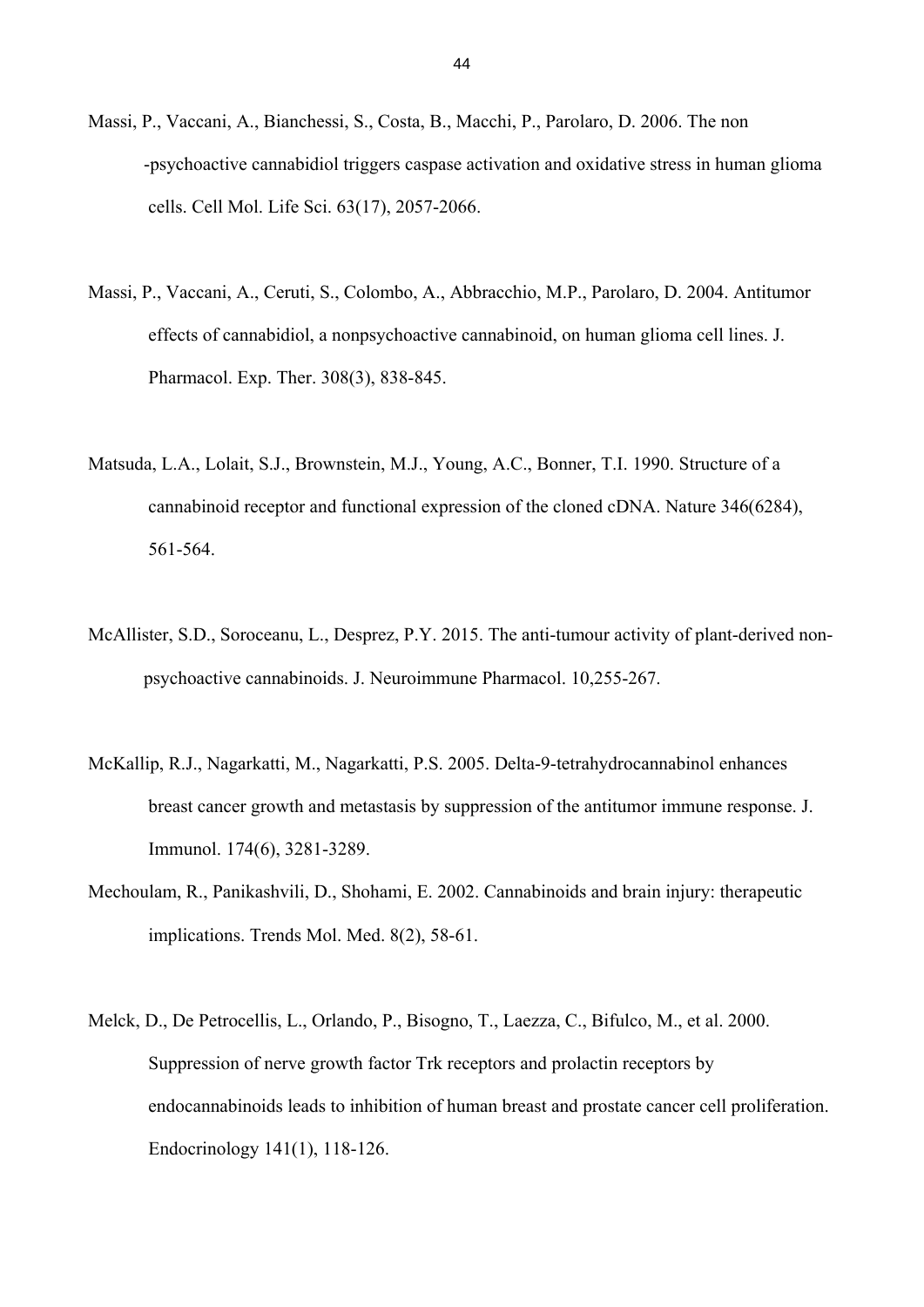- Massi, P., Vaccani, A., Bianchessi, S., Costa, B., Macchi, P., Parolaro, D. 2006. The non -psychoactive cannabidiol triggers caspase activation and oxidative stress in human glioma cells. Cell Mol. Life Sci. 63(17), 2057-2066.
- Massi, P., Vaccani, A., Ceruti, S., Colombo, A., Abbracchio, M.P., Parolaro, D. 2004. Antitumor effects of cannabidiol, a nonpsychoactive cannabinoid, on human glioma cell lines. J. Pharmacol. Exp. Ther. 308(3), 838-845.
- Matsuda, L.A., Lolait, S.J., Brownstein, M.J., Young, A.C., Bonner, T.I. 1990. Structure of a cannabinoid receptor and functional expression of the cloned cDNA. Nature 346(6284), 561-564.
- McAllister, S.D., Soroceanu, L., Desprez, P.Y. 2015. The anti-tumour activity of plant-derived non psychoactive cannabinoids. J. Neuroimmune Pharmacol. 10,255-267.
- McKallip, R.J., Nagarkatti, M., Nagarkatti, P.S. 2005. Delta-9-tetrahydrocannabinol enhances breast cancer growth and metastasis by suppression of the antitumor immune response. J. Immunol. 174(6), 3281-3289.
- Mechoulam, R., Panikashvili, D., Shohami, E. 2002. Cannabinoids and brain injury: therapeutic implications. Trends Mol. Med. 8(2), 58-61.
- Melck, D., De Petrocellis, L., Orlando, P., Bisogno, T., Laezza, C., Bifulco, M., et al. 2000. Suppression of nerve growth factor Trk receptors and prolactin receptors by endocannabinoids leads to inhibition of human breast and prostate cancer cell proliferation. Endocrinology 141(1), 118-126.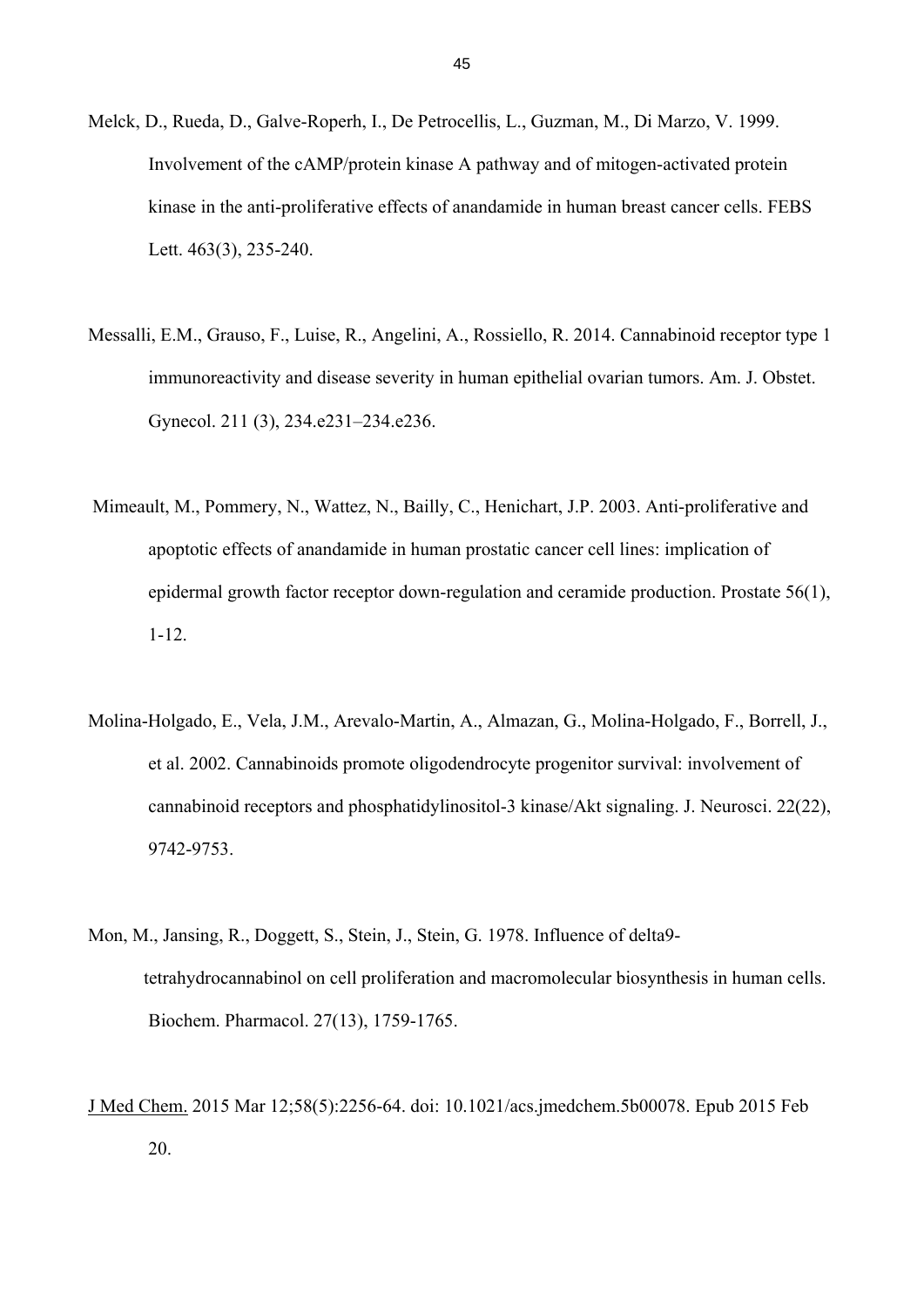- Melck, D., Rueda, D., Galve-Roperh, I., De Petrocellis, L., Guzman, M., Di Marzo, V. 1999. Involvement of the cAMP/protein kinase A pathway and of mitogen-activated protein kinase in the anti-proliferative effects of anandamide in human breast cancer cells. FEBS Lett. 463(3), 235-240.
- Messalli, E.M., Grauso, F., Luise, R., Angelini, A., Rossiello, R. 2014. Cannabinoid receptor type 1 immunoreactivity and disease severity in human epithelial ovarian tumors. Am. J. Obstet. Gynecol. 211 (3), 234.e231–234.e236.
- Mimeault, M., Pommery, N., Wattez, N., Bailly, C., Henichart, J.P. 2003. Anti-proliferative and apoptotic effects of anandamide in human prostatic cancer cell lines: implication of epidermal growth factor receptor down-regulation and ceramide production. Prostate 56(1), 1-12.
- Molina-Holgado, E., Vela, J.M., Arevalo-Martin, A., Almazan, G., Molina-Holgado, F., Borrell, J., et al. 2002. Cannabinoids promote oligodendrocyte progenitor survival: involvement of cannabinoid receptors and phosphatidylinositol-3 kinase/Akt signaling. J. Neurosci. 22(22), 9742-9753.
- Mon, M., Jansing, R., Doggett, S., Stein, J., Stein, G. 1978. Influence of delta9 tetrahydrocannabinol on cell proliferation and macromolecular biosynthesis in human cells. Biochem. Pharmacol. 27(13), 1759-1765.
- J Med Chem. 2015 Mar 12;58(5):2256-64. doi: 10.1021/acs.jmedchem.5b00078. Epub 2015 Feb 20.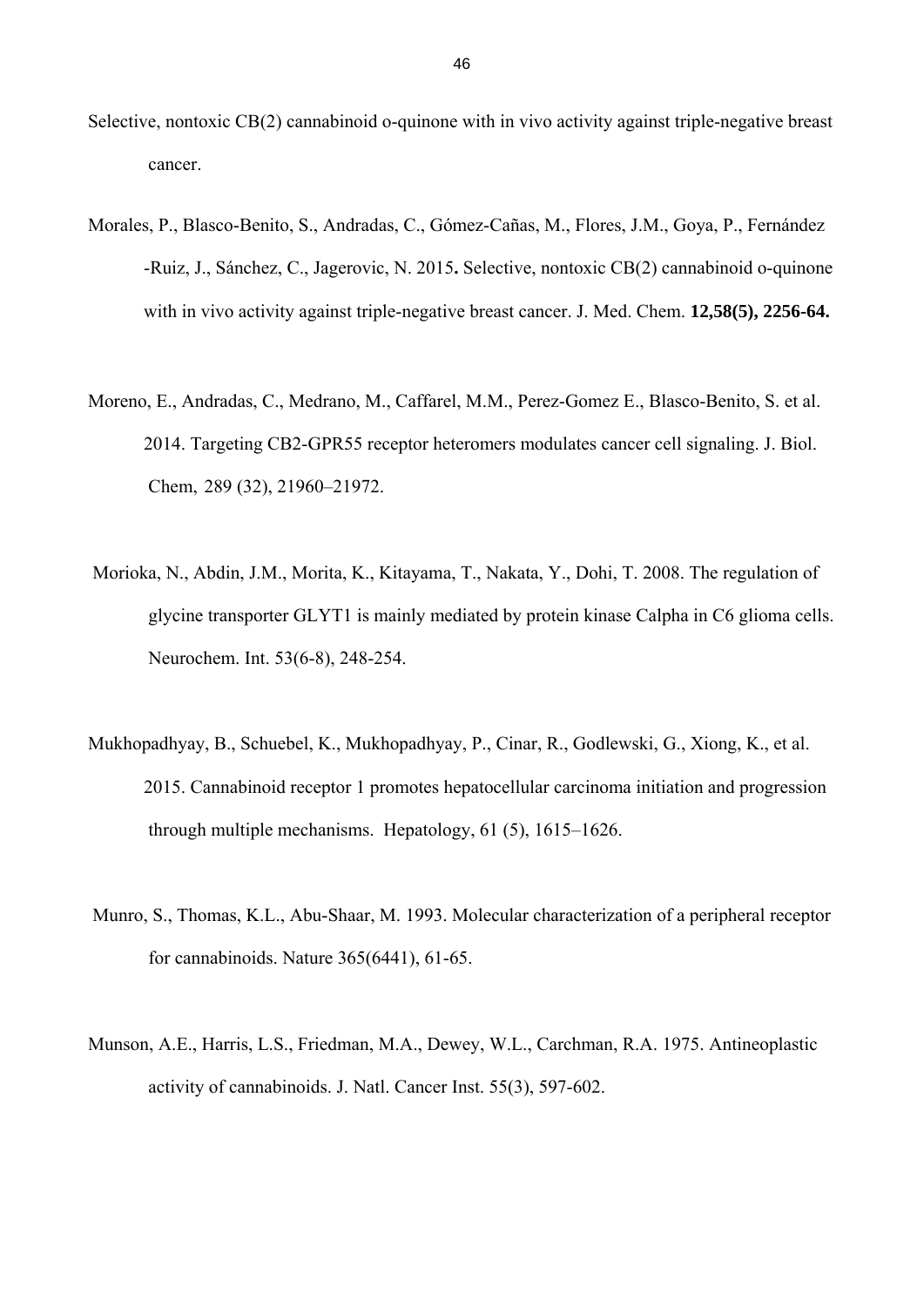- Selective, nontoxic CB(2) cannabinoid o-quinone with in vivo activity against triple-negative breast cancer.
- Morales, P., Blasco-Benito, S., Andradas, C., Gómez-Cañas, M., Flores, J.M., Goya, P., Fernández -Ruiz, J., Sánchez, C., Jagerovic, N. 2015**.** Selective, nontoxic CB(2) cannabinoid o-quinone with in vivo activity against triple-negative breast cancer. J. Med. Chem. **12,58(5), 2256-64.**
- Moreno, E., Andradas, C., Medrano, M., Caffarel, M.M., Perez-Gomez E., Blasco-Benito, S. et al. 2014. Targeting CB2-GPR55 receptor heteromers modulates cancer cell signaling. J. Biol. Chem, 289 (32), 21960–21972.
- Morioka, N., Abdin, J.M., Morita, K., Kitayama, T., Nakata, Y., Dohi, T. 2008. The regulation of glycine transporter GLYT1 is mainly mediated by protein kinase Calpha in C6 glioma cells. Neurochem. Int. 53(6-8), 248-254.
- Mukhopadhyay, B., Schuebel, K., Mukhopadhyay, P., Cinar, R., Godlewski, G., Xiong, K., et al. 2015. Cannabinoid receptor 1 promotes hepatocellular carcinoma initiation and progression through multiple mechanisms. Hepatology, 61 (5), 1615–1626.
- Munro, S., Thomas, K.L., Abu-Shaar, M. 1993. Molecular characterization of a peripheral receptor for cannabinoids. Nature 365(6441), 61-65.
- Munson, A.E., Harris, L.S., Friedman, M.A., Dewey, W.L., Carchman, R.A. 1975. Antineoplastic activity of cannabinoids. J. Natl. Cancer Inst. 55(3), 597-602.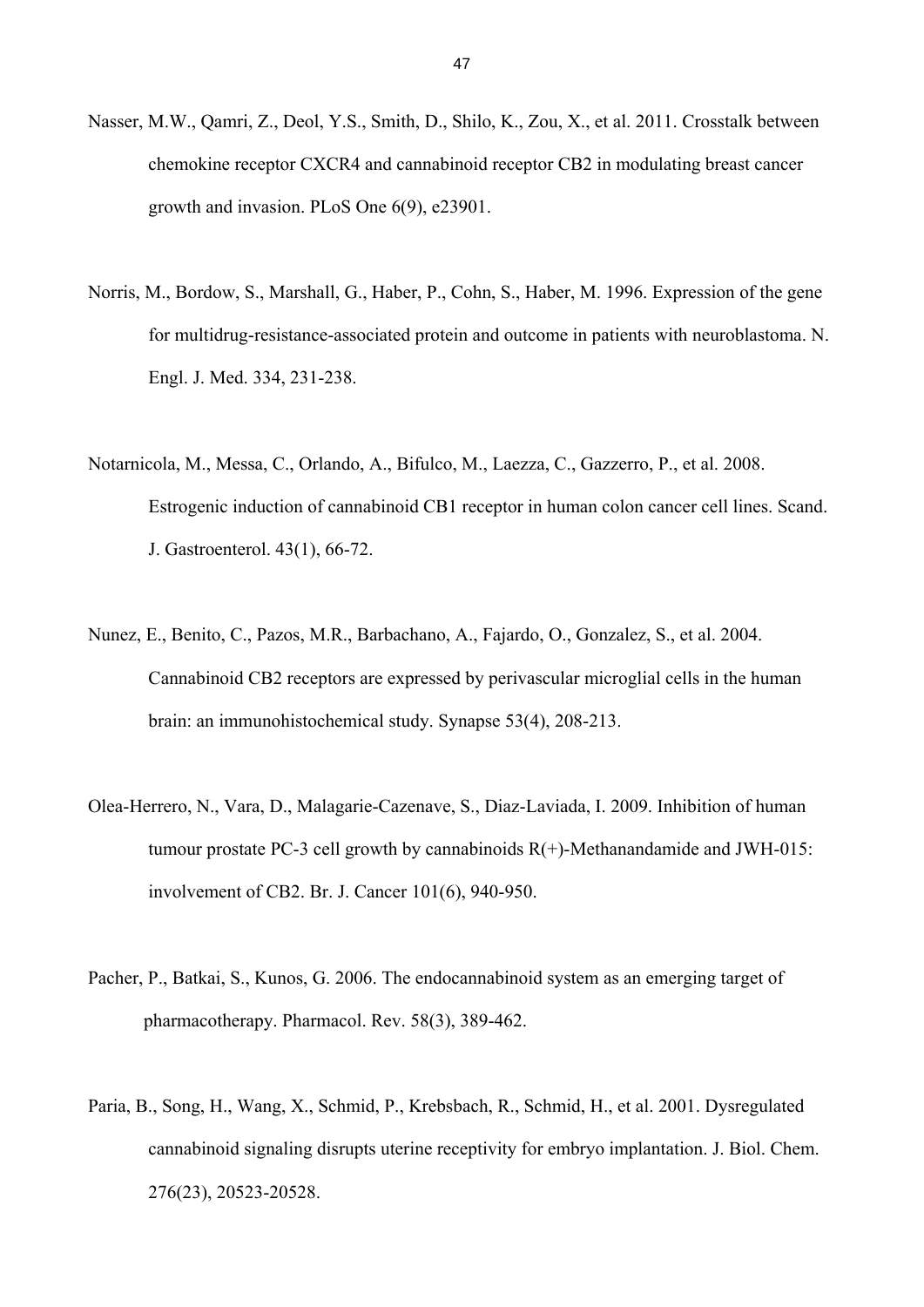- Nasser, M.W., Qamri, Z., Deol, Y.S., Smith, D., Shilo, K., Zou, X., et al. 2011. Crosstalk between chemokine receptor CXCR4 and cannabinoid receptor CB2 in modulating breast cancer growth and invasion. PLoS One 6(9), e23901.
- Norris, M., Bordow, S., Marshall, G., Haber, P., Cohn, S., Haber, M. 1996. Expression of the gene for multidrug-resistance-associated protein and outcome in patients with neuroblastoma. N. Engl. J. Med. 334, 231-238.
- Notarnicola, M., Messa, C., Orlando, A., Bifulco, M., Laezza, C., Gazzerro, P., et al. 2008. Estrogenic induction of cannabinoid CB1 receptor in human colon cancer cell lines. Scand. J. Gastroenterol. 43(1), 66-72.
- Nunez, E., Benito, C., Pazos, M.R., Barbachano, A., Fajardo, O., Gonzalez, S., et al. 2004. Cannabinoid CB2 receptors are expressed by perivascular microglial cells in the human brain: an immunohistochemical study. Synapse 53(4), 208-213.
- Olea-Herrero, N., Vara, D., Malagarie-Cazenave, S., Diaz-Laviada, I. 2009. Inhibition of human tumour prostate PC-3 cell growth by cannabinoids  $R(+)$ -Methanandamide and JWH-015: involvement of CB2. Br. J. Cancer 101(6), 940-950.
- Pacher, P., Batkai, S., Kunos, G. 2006. The endocannabinoid system as an emerging target of pharmacotherapy. Pharmacol. Rev. 58(3), 389-462.
- Paria, B., Song, H., Wang, X., Schmid, P., Krebsbach, R., Schmid, H., et al. 2001. Dysregulated cannabinoid signaling disrupts uterine receptivity for embryo implantation. J. Biol. Chem. 276(23), 20523-20528.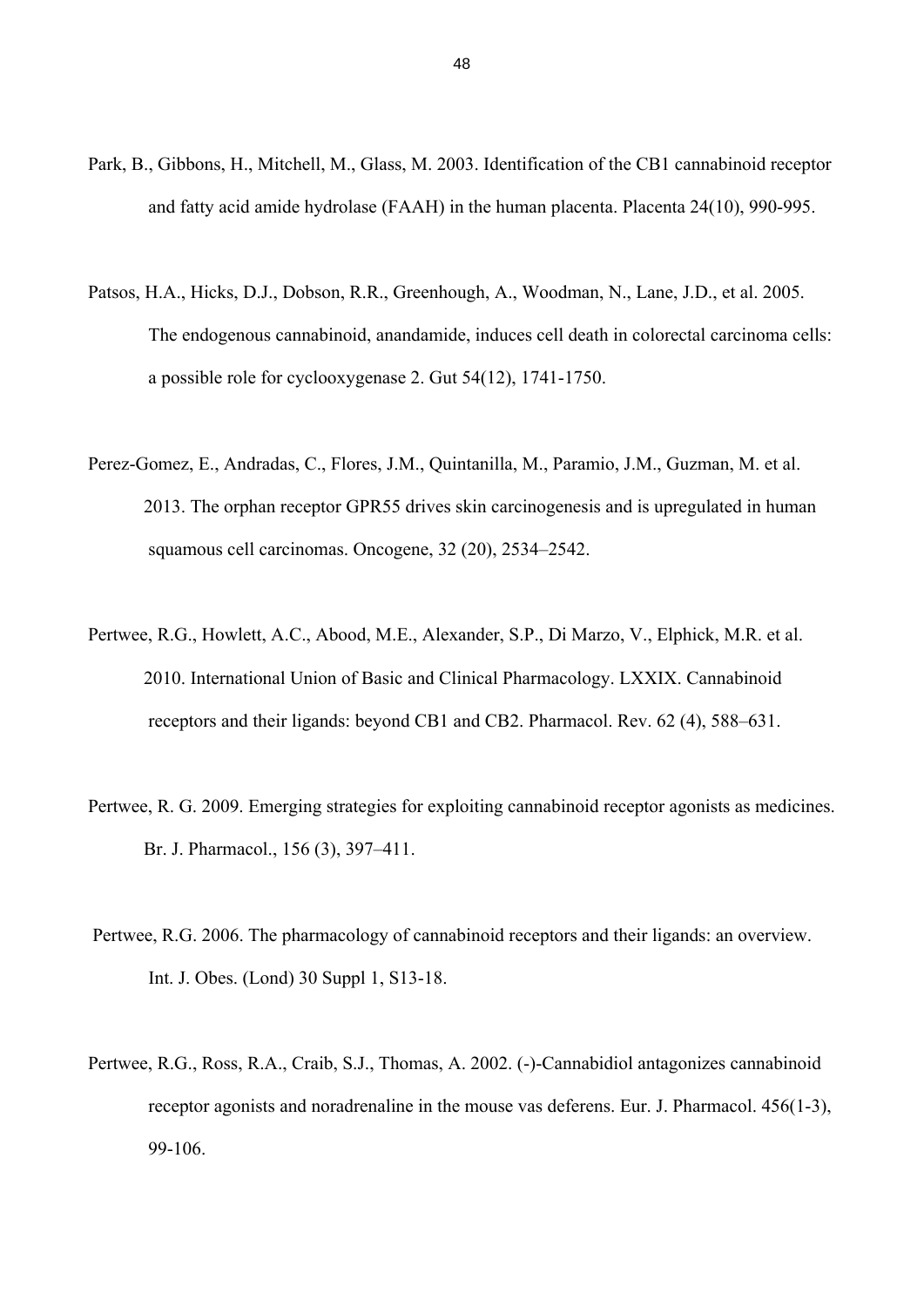- Park, B., Gibbons, H., Mitchell, M., Glass, M. 2003. Identification of the CB1 cannabinoid receptor and fatty acid amide hydrolase (FAAH) in the human placenta. Placenta 24(10), 990-995.
- Patsos, H.A., Hicks, D.J., Dobson, R.R., Greenhough, A., Woodman, N., Lane, J.D., et al. 2005. The endogenous cannabinoid, anandamide, induces cell death in colorectal carcinoma cells: a possible role for cyclooxygenase 2. Gut 54(12), 1741-1750.
- Perez-Gomez, E., Andradas, C., Flores, J.M., Quintanilla, M., Paramio, J.M., Guzman, M. et al. 2013. The orphan receptor GPR55 drives skin carcinogenesis and is upregulated in human squamous cell carcinomas. Oncogene, 32 (20), 2534–2542.
- Pertwee, R.G., Howlett, A.C., Abood, M.E., Alexander, S.P., Di Marzo, V., Elphick, M.R. et al. 2010. International Union of Basic and Clinical Pharmacology. LXXIX. Cannabinoid receptors and their ligands: beyond CB1 and CB2. Pharmacol. Rev. 62 (4), 588–631.
- Pertwee, R. G. 2009. Emerging strategies for exploiting cannabinoid receptor agonists as medicines. Br. J. Pharmacol., 156 (3), 397–411.
- Pertwee, R.G. 2006. The pharmacology of cannabinoid receptors and their ligands: an overview. Int. J. Obes. (Lond) 30 Suppl 1, S13-18.
- Pertwee, R.G., Ross, R.A., Craib, S.J., Thomas, A. 2002. (-)-Cannabidiol antagonizes cannabinoid receptor agonists and noradrenaline in the mouse vas deferens. Eur. J. Pharmacol. 456(1-3), 99-106.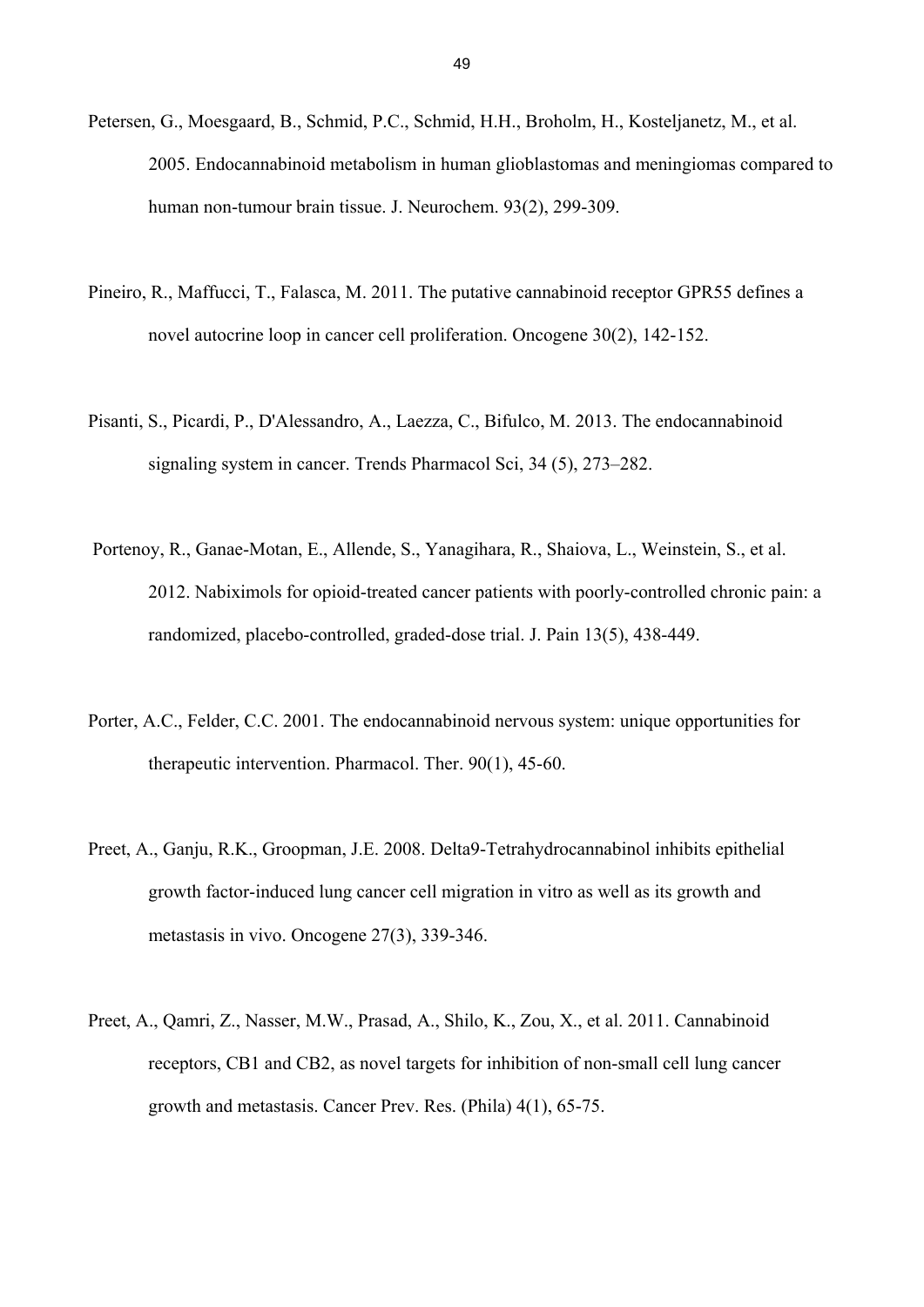- Petersen, G., Moesgaard, B., Schmid, P.C., Schmid, H.H., Broholm, H., Kosteljanetz, M., et al. 2005. Endocannabinoid metabolism in human glioblastomas and meningiomas compared to human non-tumour brain tissue. J. Neurochem. 93(2), 299-309.
- Pineiro, R., Maffucci, T., Falasca, M. 2011. The putative cannabinoid receptor GPR55 defines a novel autocrine loop in cancer cell proliferation. Oncogene 30(2), 142-152.
- Pisanti, S., Picardi, P., D'Alessandro, A., Laezza, C., Bifulco, M. 2013. The endocannabinoid signaling system in cancer. Trends Pharmacol Sci, 34 (5), 273–282.
- Portenoy, R., Ganae-Motan, E., Allende, S., Yanagihara, R., Shaiova, L., Weinstein, S., et al. 2012. Nabiximols for opioid-treated cancer patients with poorly-controlled chronic pain: a randomized, placebo-controlled, graded-dose trial. J. Pain 13(5), 438-449.
- Porter, A.C., Felder, C.C. 2001. The endocannabinoid nervous system: unique opportunities for therapeutic intervention. Pharmacol. Ther. 90(1), 45-60.
- Preet, A., Ganju, R.K., Groopman, J.E. 2008. Delta9-Tetrahydrocannabinol inhibits epithelial growth factor-induced lung cancer cell migration in vitro as well as its growth and metastasis in vivo. Oncogene 27(3), 339-346.
- Preet, A., Qamri, Z., Nasser, M.W., Prasad, A., Shilo, K., Zou, X., et al. 2011. Cannabinoid receptors, CB1 and CB2, as novel targets for inhibition of non-small cell lung cancer growth and metastasis. Cancer Prev. Res. (Phila) 4(1), 65-75.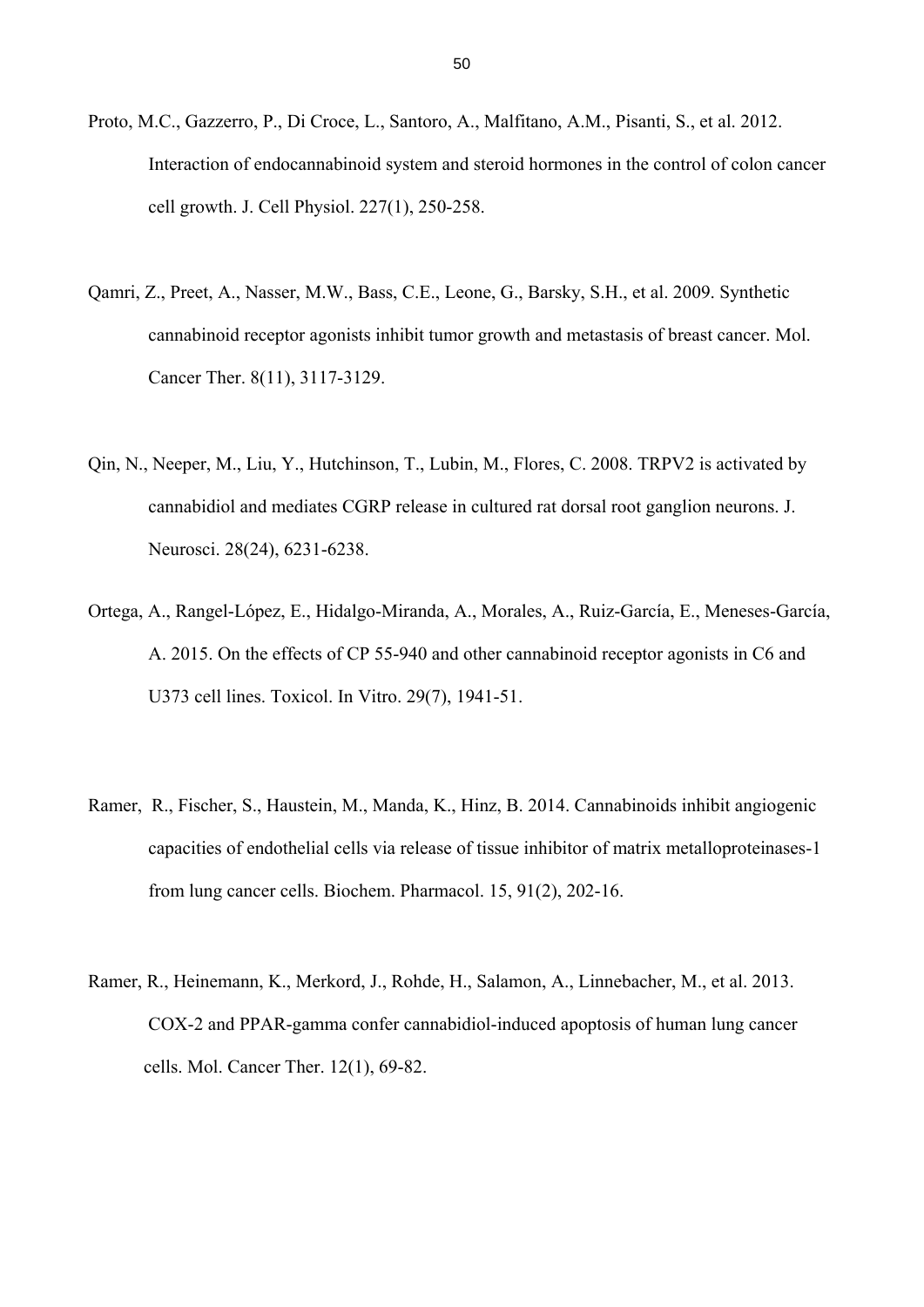- Proto, M.C., Gazzerro, P., Di Croce, L., Santoro, A., Malfitano, A.M., Pisanti, S., et al. 2012. Interaction of endocannabinoid system and steroid hormones in the control of colon cancer cell growth. J. Cell Physiol. 227(1), 250-258.
- Qamri, Z., Preet, A., Nasser, M.W., Bass, C.E., Leone, G., Barsky, S.H., et al. 2009. Synthetic cannabinoid receptor agonists inhibit tumor growth and metastasis of breast cancer. Mol. Cancer Ther. 8(11), 3117-3129.
- Qin, N., Neeper, M., Liu, Y., Hutchinson, T., Lubin, M., Flores, C. 2008. TRPV2 is activated by cannabidiol and mediates CGRP release in cultured rat dorsal root ganglion neurons. J. Neurosci. 28(24), 6231-6238.
- Ortega, A., Rangel-López, E., Hidalgo-Miranda, A., Morales, A., Ruiz-García, E., Meneses-García, A. 2015. On the effects of CP 55-940 and other cannabinoid receptor agonists in C6 and U373 cell lines. Toxicol. In Vitro. 29(7), 1941-51.
- Ramer, R., Fischer, S., Haustein, M., Manda, K., Hinz, B. 2014. Cannabinoids inhibit angiogenic capacities of endothelial cells via release of tissue inhibitor of matrix metalloproteinases-1 from lung cancer cells. Biochem. Pharmacol. 15, 91(2), 202-16.
- Ramer, R., Heinemann, K., Merkord, J., Rohde, H., Salamon, A., Linnebacher, M., et al. 2013. COX-2 and PPAR-gamma confer cannabidiol-induced apoptosis of human lung cancer cells. Mol. Cancer Ther. 12(1), 69-82.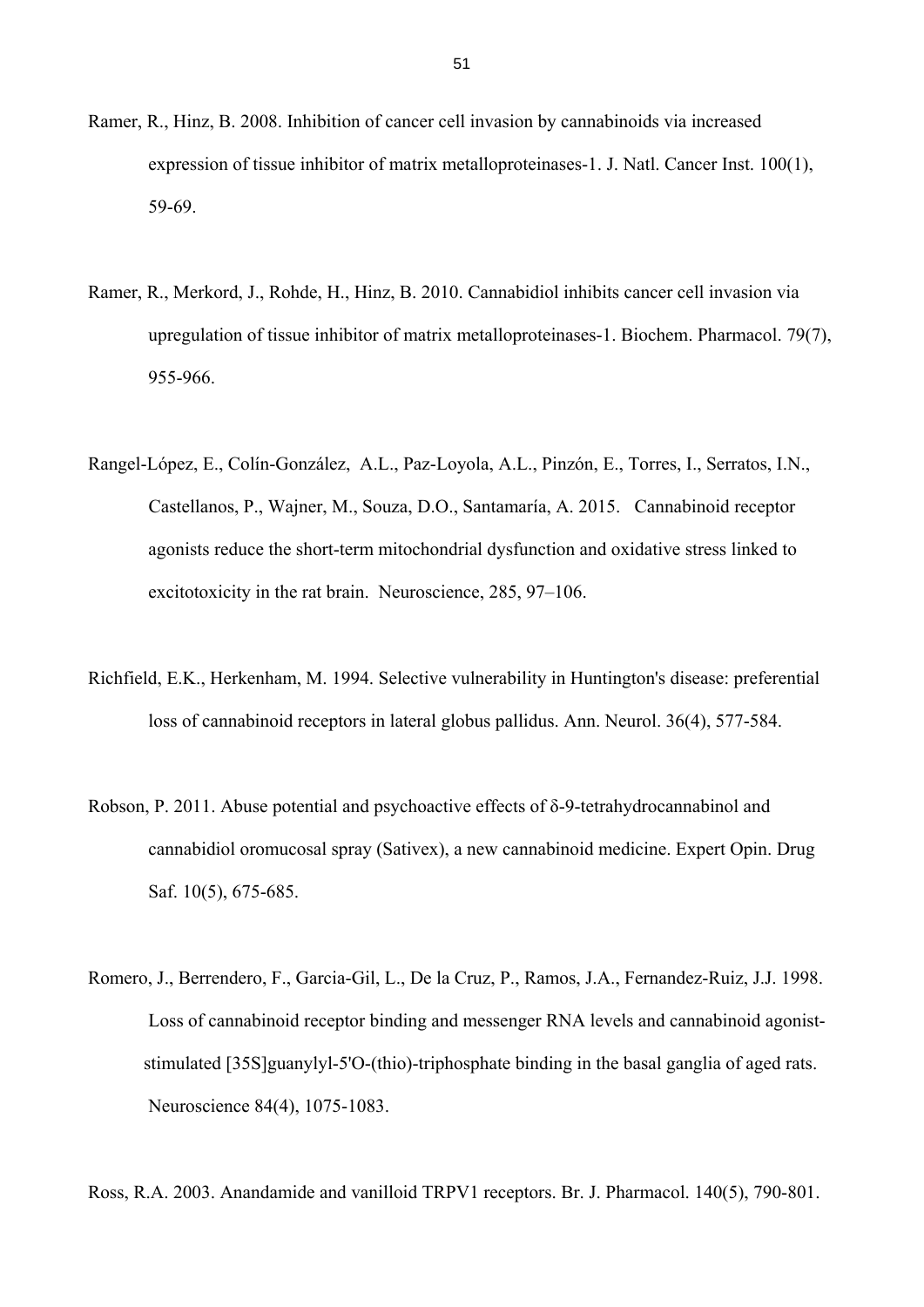- Ramer, R., Hinz, B. 2008. Inhibition of cancer cell invasion by cannabinoids via increased expression of tissue inhibitor of matrix metalloproteinases-1. J. Natl. Cancer Inst. 100(1), 59-69.
- Ramer, R., Merkord, J., Rohde, H., Hinz, B. 2010. Cannabidiol inhibits cancer cell invasion via upregulation of tissue inhibitor of matrix metalloproteinases-1. Biochem. Pharmacol. 79(7), 955-966.
- Rangel-López, E., Colín-González, A.L., Paz-Loyola, A.L., Pinzón, E., Torres, I., Serratos, I.N., Castellanos, P., Wajner, M., Souza, D.O., Santamaría, A. 2015. Cannabinoid receptor agonists reduce the short-term mitochondrial dysfunction and oxidative stress linked to excitotoxicity in the rat brain. Neuroscience, 285, 97–106.
- Richfield, E.K., Herkenham, M. 1994. Selective vulnerability in Huntington's disease: preferential loss of cannabinoid receptors in lateral globus pallidus. Ann. Neurol. 36(4), 577-584.
- Robson, P. 2011. Abuse potential and psychoactive effects of δ-9-tetrahydrocannabinol and cannabidiol oromucosal spray (Sativex), a new cannabinoid medicine. Expert Opin. Drug Saf. 10(5), 675-685.
- Romero, J., Berrendero, F., Garcia-Gil, L., De la Cruz, P., Ramos, J.A., Fernandez-Ruiz, J.J. 1998. Loss of cannabinoid receptor binding and messenger RNA levels and cannabinoid agonist stimulated [35S]guanylyl-5'O-(thio)-triphosphate binding in the basal ganglia of aged rats. Neuroscience 84(4), 1075-1083.

Ross, R.A. 2003. Anandamide and vanilloid TRPV1 receptors. Br. J. Pharmacol. 140(5), 790-801.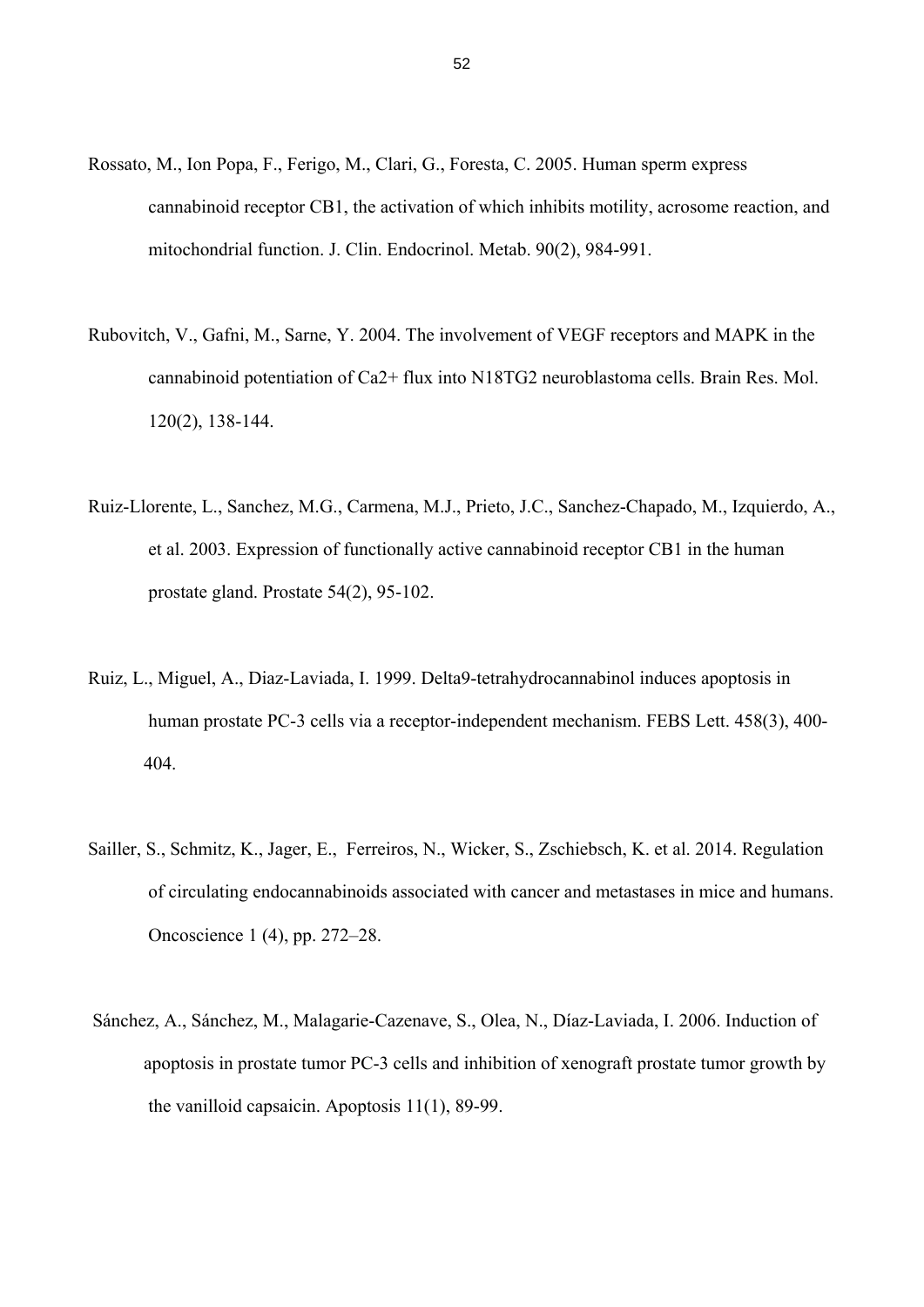- Rossato, M., Ion Popa, F., Ferigo, M., Clari, G., Foresta, C. 2005. Human sperm express cannabinoid receptor CB1, the activation of which inhibits motility, acrosome reaction, and mitochondrial function. J. Clin. Endocrinol. Metab. 90(2), 984-991.
- Rubovitch, V., Gafni, M., Sarne, Y. 2004. The involvement of VEGF receptors and MAPK in the cannabinoid potentiation of Ca2+ flux into N18TG2 neuroblastoma cells. Brain Res. Mol. 120(2), 138-144.
- Ruiz-Llorente, L., Sanchez, M.G., Carmena, M.J., Prieto, J.C., Sanchez-Chapado, M., Izquierdo, A., et al. 2003. Expression of functionally active cannabinoid receptor CB1 in the human prostate gland. Prostate 54(2), 95-102.
- Ruiz, L., Miguel, A., Diaz-Laviada, I. 1999. Delta9-tetrahydrocannabinol induces apoptosis in human prostate PC-3 cells via a receptor-independent mechanism. FEBS Lett. 458(3), 400- 404.
- Sailler, S., Schmitz, K., Jager, E., Ferreiros, N., Wicker, S., Zschiebsch, K. et al. 2014. Regulation of circulating endocannabinoids associated with cancer and metastases in mice and humans. Oncoscience 1 (4), pp. 272–28.
- Sánchez, A., Sánchez, M., Malagarie-Cazenave, S., Olea, N., Díaz-Laviada, I. 2006. Induction of apoptosis in prostate tumor PC-3 cells and inhibition of xenograft prostate tumor growth by the vanilloid capsaicin. Apoptosis 11(1), 89-99.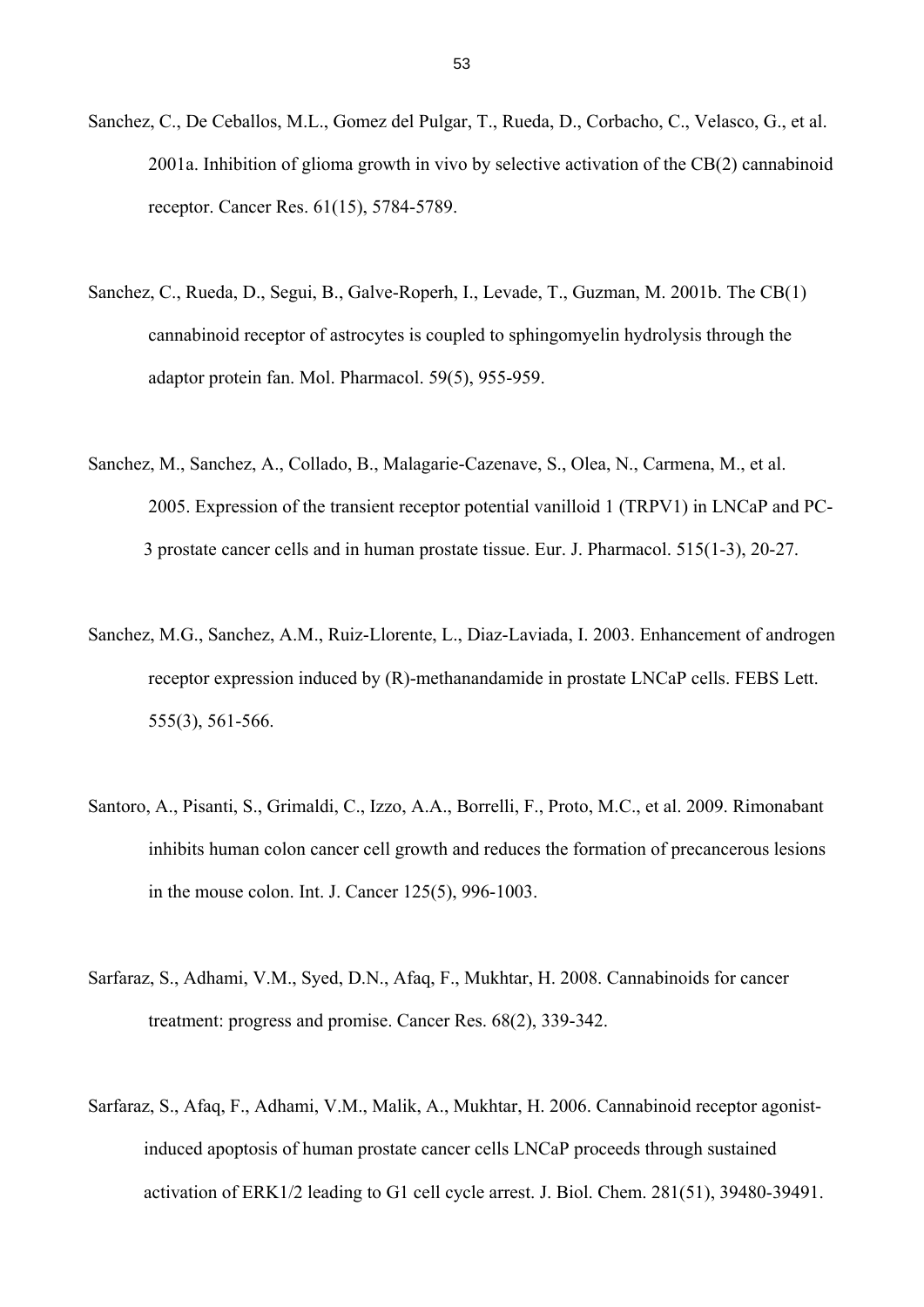- Sanchez, C., De Ceballos, M.L., Gomez del Pulgar, T., Rueda, D., Corbacho, C., Velasco, G., et al. 2001a. Inhibition of glioma growth in vivo by selective activation of the CB(2) cannabinoid receptor. Cancer Res. 61(15), 5784-5789.
- Sanchez, C., Rueda, D., Segui, B., Galve-Roperh, I., Levade, T., Guzman, M. 2001b. The CB(1) cannabinoid receptor of astrocytes is coupled to sphingomyelin hydrolysis through the adaptor protein fan. Mol. Pharmacol. 59(5), 955-959.
- Sanchez, M., Sanchez, A., Collado, B., Malagarie-Cazenave, S., Olea, N., Carmena, M., et al. 2005. Expression of the transient receptor potential vanilloid 1 (TRPV1) in LNCaP and PC- 3 prostate cancer cells and in human prostate tissue. Eur. J. Pharmacol. 515(1-3), 20-27.
- Sanchez, M.G., Sanchez, A.M., Ruiz-Llorente, L., Diaz-Laviada, I. 2003. Enhancement of androgen receptor expression induced by (R)-methanandamide in prostate LNCaP cells. FEBS Lett. 555(3), 561-566.
- Santoro, A., Pisanti, S., Grimaldi, C., Izzo, A.A., Borrelli, F., Proto, M.C., et al. 2009. Rimonabant inhibits human colon cancer cell growth and reduces the formation of precancerous lesions in the mouse colon. Int. J. Cancer 125(5), 996-1003.
- Sarfaraz, S., Adhami, V.M., Syed, D.N., Afaq, F., Mukhtar, H. 2008. Cannabinoids for cancer treatment: progress and promise. Cancer Res. 68(2), 339-342.
- Sarfaraz, S., Afaq, F., Adhami, V.M., Malik, A., Mukhtar, H. 2006. Cannabinoid receptor agonist induced apoptosis of human prostate cancer cells LNCaP proceeds through sustained activation of ERK1/2 leading to G1 cell cycle arrest. J. Biol. Chem. 281(51), 39480-39491.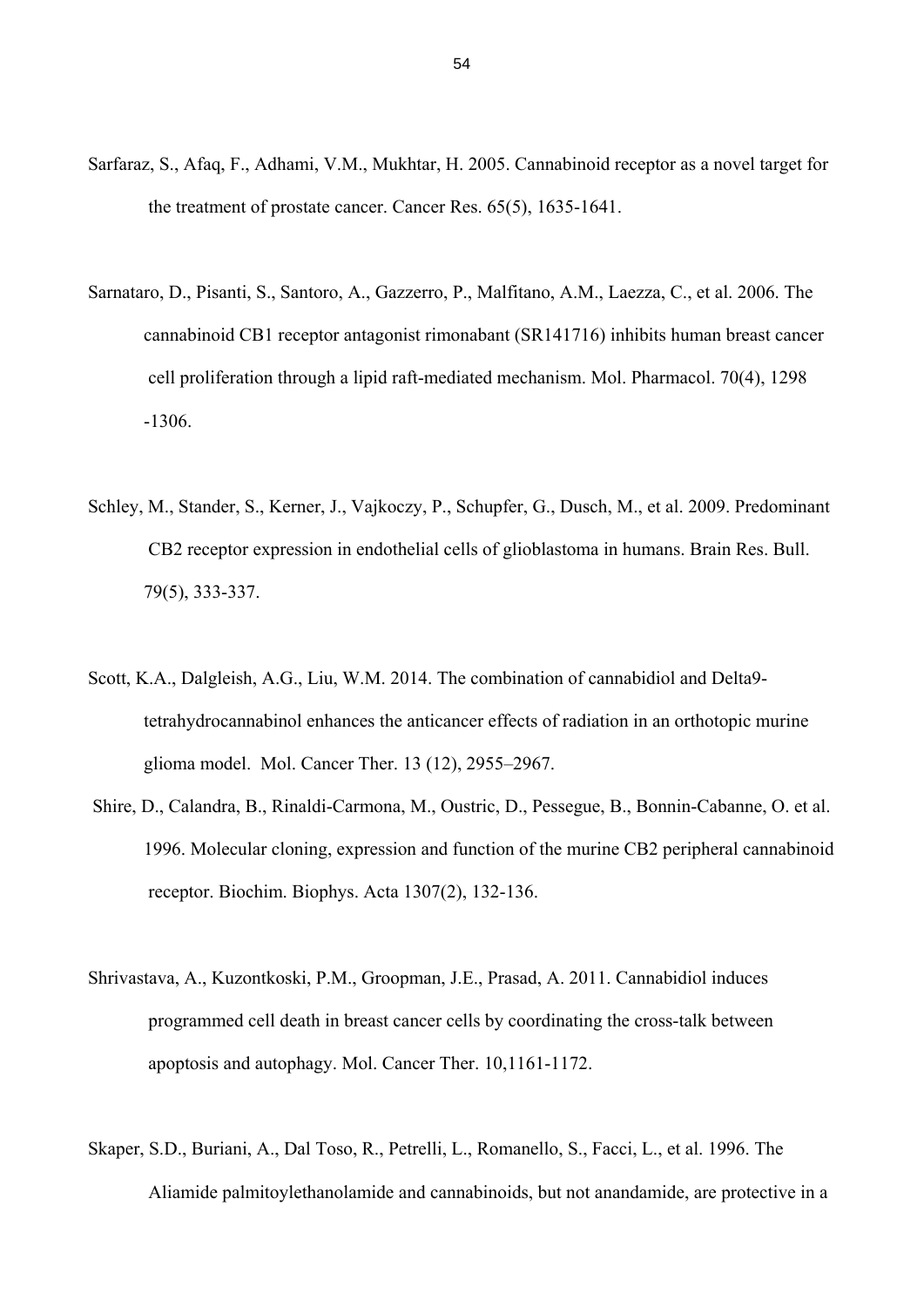- Sarfaraz, S., Afaq, F., Adhami, V.M., Mukhtar, H. 2005. Cannabinoid receptor as a novel target for the treatment of prostate cancer. Cancer Res. 65(5), 1635-1641.
- Sarnataro, D., Pisanti, S., Santoro, A., Gazzerro, P., Malfitano, A.M., Laezza, C., et al. 2006. The cannabinoid CB1 receptor antagonist rimonabant (SR141716) inhibits human breast cancer cell proliferation through a lipid raft-mediated mechanism. Mol. Pharmacol. 70(4), 1298 -1306.
- Schley, M., Stander, S., Kerner, J., Vajkoczy, P., Schupfer, G., Dusch, M., et al. 2009. Predominant CB2 receptor expression in endothelial cells of glioblastoma in humans. Brain Res. Bull. 79(5), 333-337.
- Scott, K.A., Dalgleish, A.G., Liu, W.M. 2014. The combination of cannabidiol and Delta9 tetrahydrocannabinol enhances the anticancer effects of radiation in an orthotopic murine glioma model. Mol. Cancer Ther. 13 (12), 2955–2967.
- Shire, D., Calandra, B., Rinaldi-Carmona, M., Oustric, D., Pessegue, B., Bonnin-Cabanne, O. et al. 1996. Molecular cloning, expression and function of the murine CB2 peripheral cannabinoid receptor. Biochim. Biophys. Acta 1307(2), 132-136.
- Shrivastava, A., Kuzontkoski, P.M., Groopman, J.E., Prasad, A. 2011. Cannabidiol induces programmed cell death in breast cancer cells by coordinating the cross-talk between apoptosis and autophagy. Mol. Cancer Ther. 10,1161-1172.
- Skaper, S.D., Buriani, A., Dal Toso, R., Petrelli, L., Romanello, S., Facci, L., et al. 1996. The Aliamide palmitoylethanolamide and cannabinoids, but not anandamide, are protective in a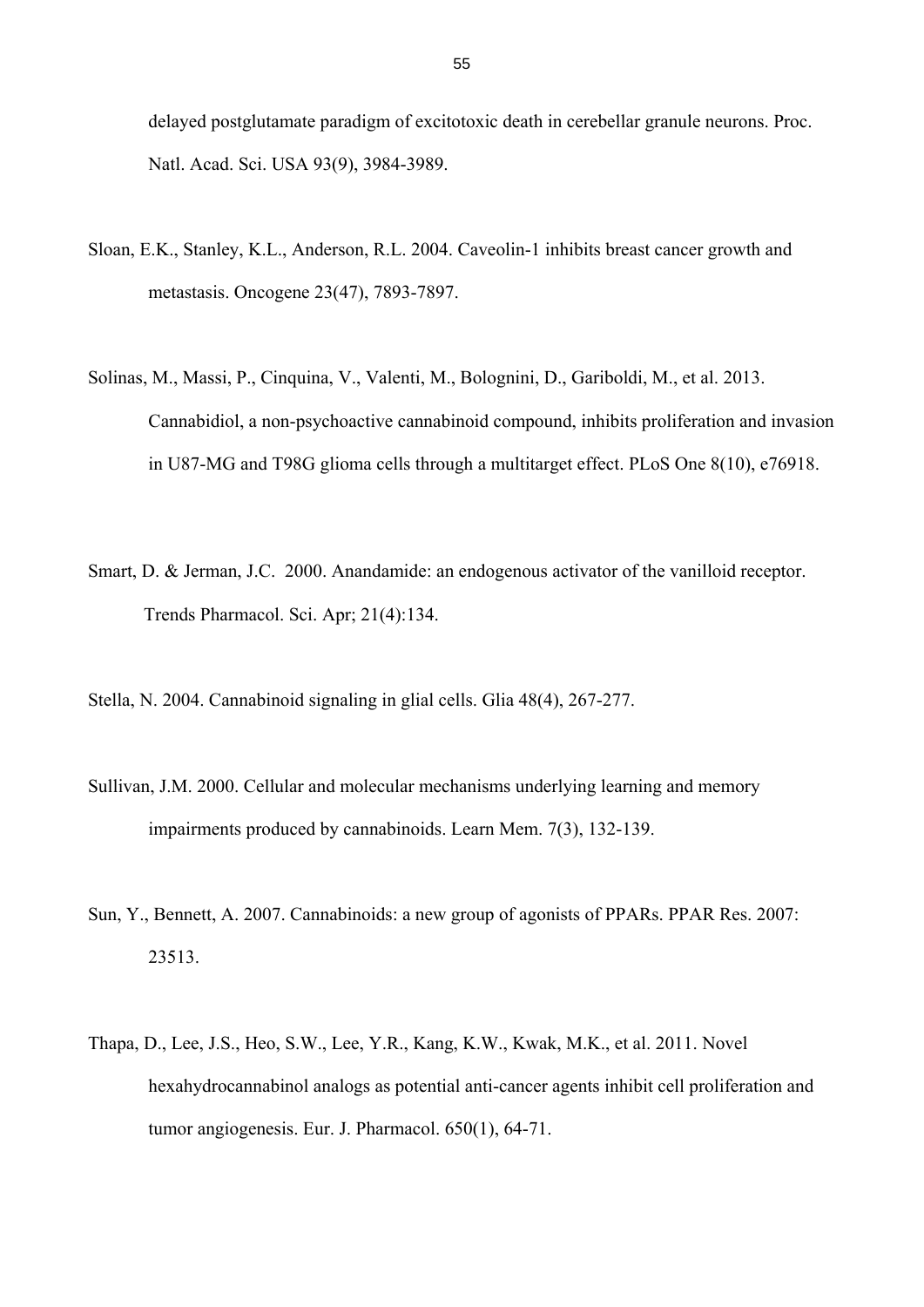delayed postglutamate paradigm of excitotoxic death in cerebellar granule neurons. Proc. Natl. Acad. Sci. USA 93(9), 3984-3989.

- Sloan, E.K., Stanley, K.L., Anderson, R.L. 2004. Caveolin-1 inhibits breast cancer growth and metastasis. Oncogene 23(47), 7893-7897.
- Solinas, M., Massi, P., Cinquina, V., Valenti, M., Bolognini, D., Gariboldi, M., et al. 2013. Cannabidiol, a non-psychoactive cannabinoid compound, inhibits proliferation and invasion in U87-MG and T98G glioma cells through a multitarget effect. PLoS One 8(10), e76918.
- Smart, D. & Jerman, J.C. 2000. Anandamide: an endogenous activator of the vanilloid receptor. Trends Pharmacol. Sci. Apr; 21(4):134.
- Stella, N. 2004. Cannabinoid signaling in glial cells. Glia 48(4), 267-277.
- Sullivan, J.M. 2000. Cellular and molecular mechanisms underlying learning and memory impairments produced by cannabinoids. Learn Mem. 7(3), 132-139.
- Sun, Y., Bennett, A. 2007. Cannabinoids: a new group of agonists of PPARs. PPAR Res. 2007: 23513.
- Thapa, D., Lee, J.S., Heo, S.W., Lee, Y.R., Kang, K.W., Kwak, M.K., et al. 2011. Novel hexahydrocannabinol analogs as potential anti-cancer agents inhibit cell proliferation and tumor angiogenesis. Eur. J. Pharmacol. 650(1), 64-71.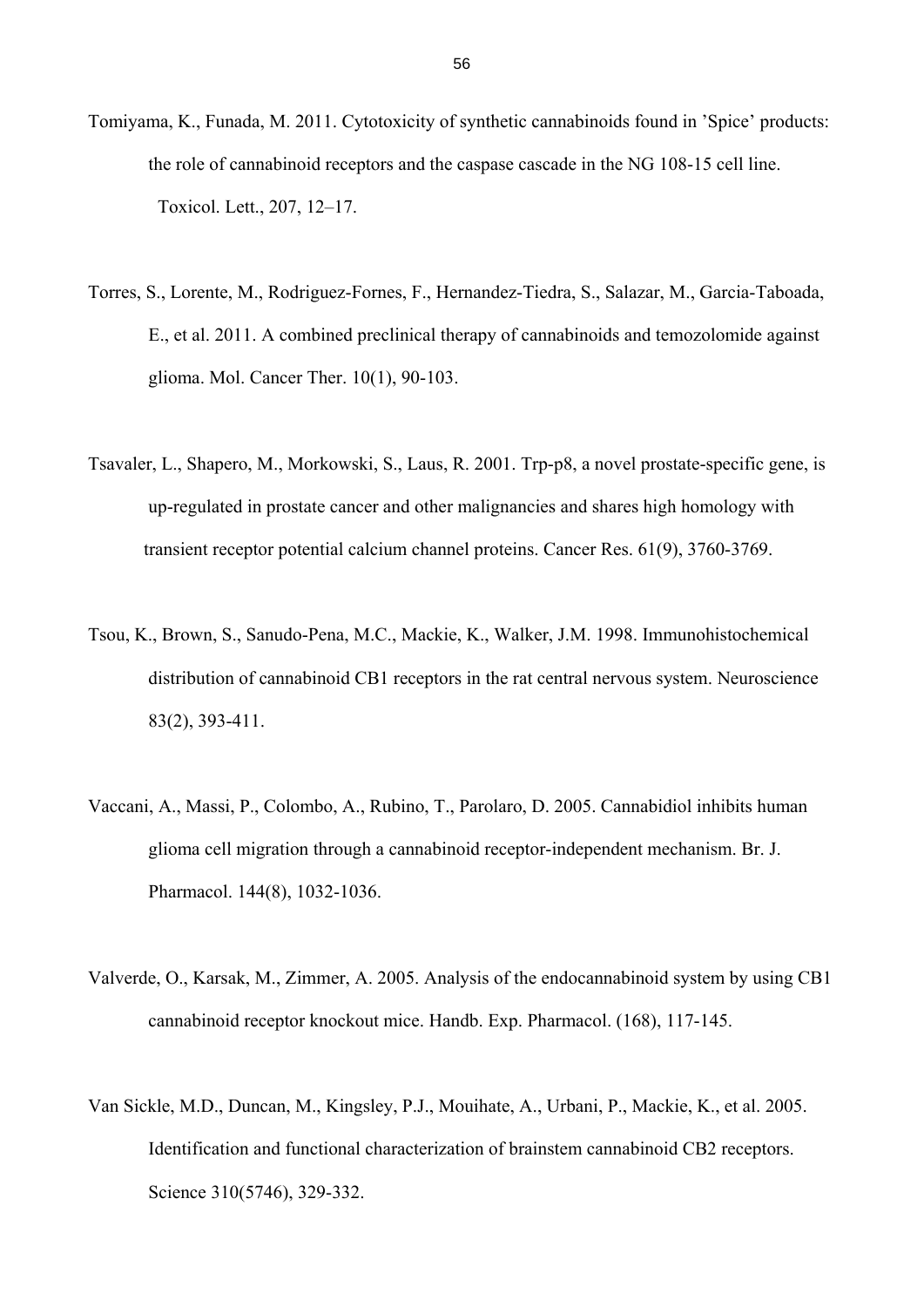- Tomiyama, K., Funada, M. 2011. Cytotoxicity of synthetic cannabinoids found in 'Spice' products: the role of cannabinoid receptors and the caspase cascade in the NG 108-15 cell line. Toxicol. Lett., 207, 12–17.
- Torres, S., Lorente, M., Rodriguez-Fornes, F., Hernandez-Tiedra, S., Salazar, M., Garcia-Taboada, E., et al. 2011. A combined preclinical therapy of cannabinoids and temozolomide against glioma. Mol. Cancer Ther. 10(1), 90-103.
- Tsavaler, L., Shapero, M., Morkowski, S., Laus, R. 2001. Trp-p8, a novel prostate-specific gene, is up-regulated in prostate cancer and other malignancies and shares high homology with transient receptor potential calcium channel proteins. Cancer Res. 61(9), 3760-3769.
- Tsou, K., Brown, S., Sanudo-Pena, M.C., Mackie, K., Walker, J.M. 1998. Immunohistochemical distribution of cannabinoid CB1 receptors in the rat central nervous system. Neuroscience 83(2), 393-411.
- Vaccani, A., Massi, P., Colombo, A., Rubino, T., Parolaro, D. 2005. Cannabidiol inhibits human glioma cell migration through a cannabinoid receptor-independent mechanism. Br. J. Pharmacol. 144(8), 1032-1036.
- Valverde, O., Karsak, M., Zimmer, A. 2005. Analysis of the endocannabinoid system by using CB1 cannabinoid receptor knockout mice. Handb. Exp. Pharmacol. (168), 117-145.
- Van Sickle, M.D., Duncan, M., Kingsley, P.J., Mouihate, A., Urbani, P., Mackie, K., et al. 2005. Identification and functional characterization of brainstem cannabinoid CB2 receptors. Science 310(5746), 329-332.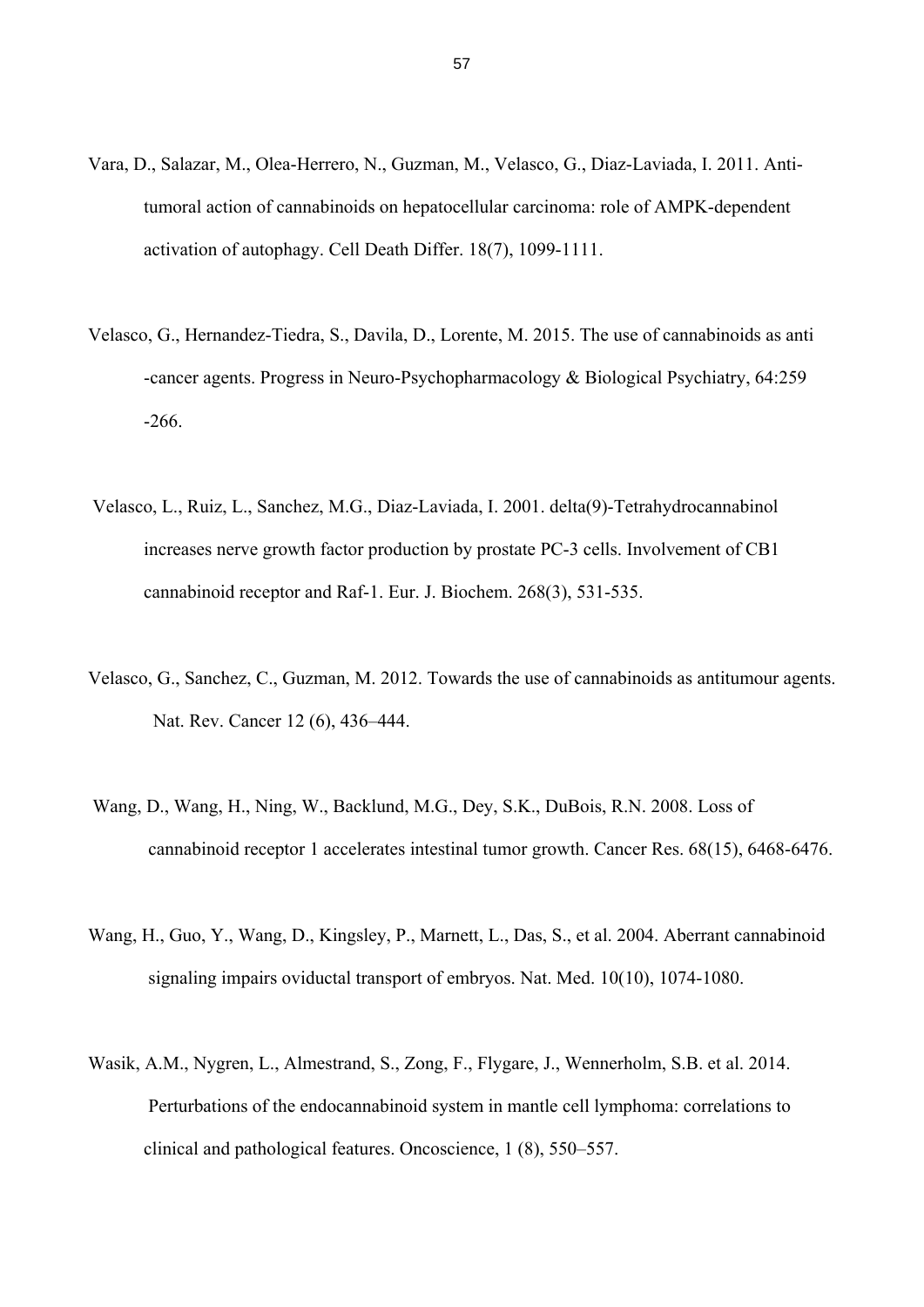- Vara, D., Salazar, M., Olea-Herrero, N., Guzman, M., Velasco, G., Diaz-Laviada, I. 2011. Anti tumoral action of cannabinoids on hepatocellular carcinoma: role of AMPK-dependent activation of autophagy. Cell Death Differ. 18(7), 1099-1111.
- Velasco, G., Hernandez-Tiedra, S., Davila, D., Lorente, M. 2015. The use of cannabinoids as anti -cancer agents. Progress in Neuro-Psychopharmacology & Biological Psychiatry, 64:259 -266.
- Velasco, L., Ruiz, L., Sanchez, M.G., Diaz-Laviada, I. 2001. delta(9)-Tetrahydrocannabinol increases nerve growth factor production by prostate PC-3 cells. Involvement of CB1 cannabinoid receptor and Raf-1. Eur. J. Biochem. 268(3), 531-535.
- Velasco, G., Sanchez, C., Guzman, M. 2012. Towards the use of cannabinoids as antitumour agents. Nat. Rev. Cancer 12 (6), 436–444.
- Wang, D., Wang, H., Ning, W., Backlund, M.G., Dey, S.K., DuBois, R.N. 2008. Loss of cannabinoid receptor 1 accelerates intestinal tumor growth. Cancer Res. 68(15), 6468-6476.
- Wang, H., Guo, Y., Wang, D., Kingsley, P., Marnett, L., Das, S., et al. 2004. Aberrant cannabinoid signaling impairs oviductal transport of embryos. Nat. Med. 10(10), 1074-1080.
- Wasik, A.M., Nygren, L., Almestrand, S., Zong, F., Flygare, J., Wennerholm, S.B. et al. 2014. Perturbations of the endocannabinoid system in mantle cell lymphoma: correlations to clinical and pathological features. Oncoscience, 1 (8), 550–557.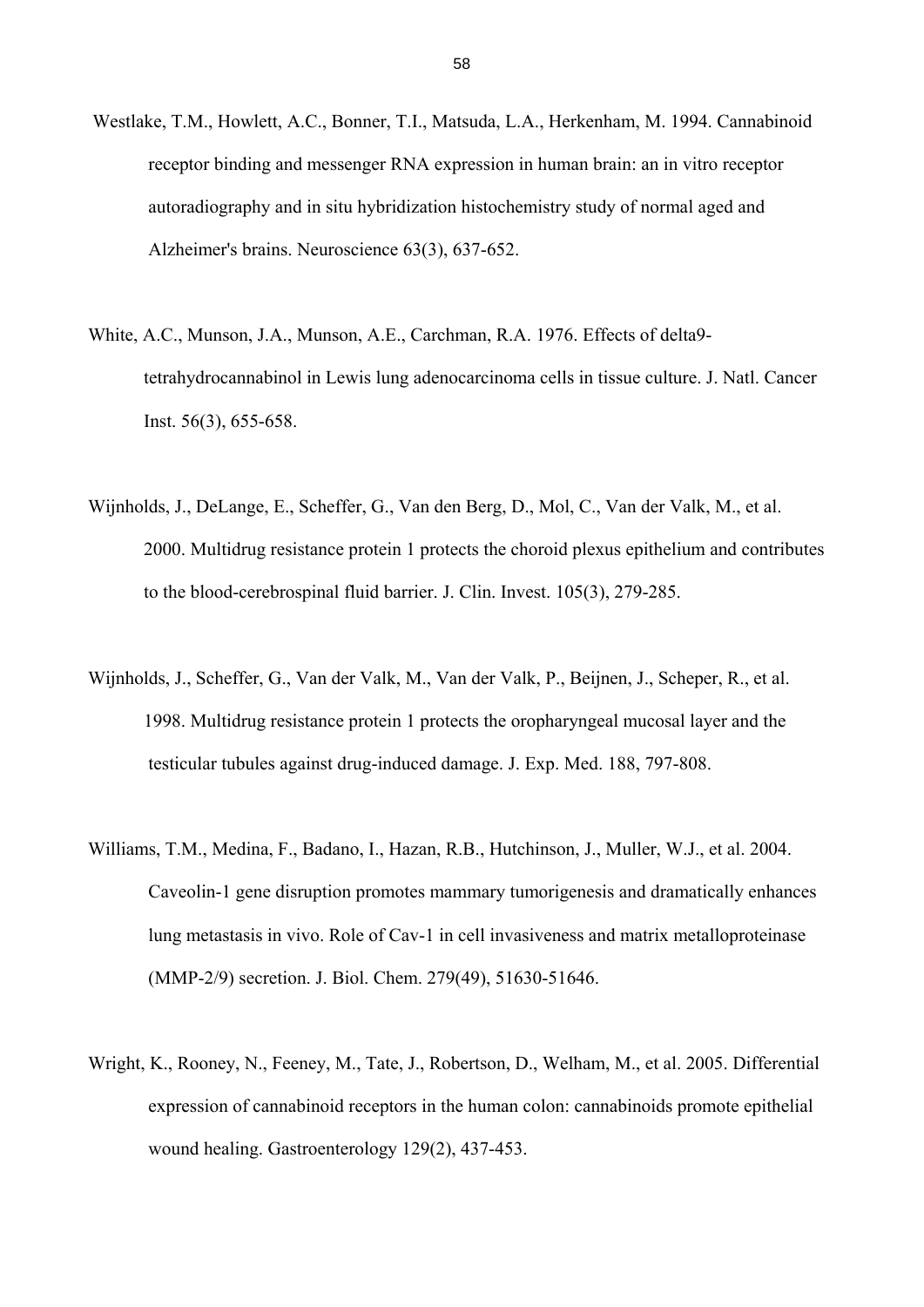- Westlake, T.M., Howlett, A.C., Bonner, T.I., Matsuda, L.A., Herkenham, M. 1994. Cannabinoid receptor binding and messenger RNA expression in human brain: an in vitro receptor autoradiography and in situ hybridization histochemistry study of normal aged and Alzheimer's brains. Neuroscience 63(3), 637-652.
- White, A.C., Munson, J.A., Munson, A.E., Carchman, R.A. 1976. Effects of delta9 tetrahydrocannabinol in Lewis lung adenocarcinoma cells in tissue culture. J. Natl. Cancer Inst. 56(3), 655-658.
- Wijnholds, J., DeLange, E., Scheffer, G., Van den Berg, D., Mol, C., Van der Valk, M., et al. 2000. Multidrug resistance protein 1 protects the choroid plexus epithelium and contributes to the blood-cerebrospinal fluid barrier. J. Clin. Invest. 105(3), 279-285.
- Wijnholds, J., Scheffer, G., Van der Valk, M., Van der Valk, P., Beijnen, J., Scheper, R., et al. 1998. Multidrug resistance protein 1 protects the oropharyngeal mucosal layer and the testicular tubules against drug-induced damage. J. Exp. Med. 188, 797-808.
- Williams, T.M., Medina, F., Badano, I., Hazan, R.B., Hutchinson, J., Muller, W.J., et al. 2004. Caveolin-1 gene disruption promotes mammary tumorigenesis and dramatically enhances lung metastasis in vivo. Role of Cav-1 in cell invasiveness and matrix metalloproteinase (MMP-2/9) secretion. J. Biol. Chem. 279(49), 51630-51646.
- Wright, K., Rooney, N., Feeney, M., Tate, J., Robertson, D., Welham, M., et al. 2005. Differential expression of cannabinoid receptors in the human colon: cannabinoids promote epithelial wound healing. Gastroenterology 129(2), 437-453.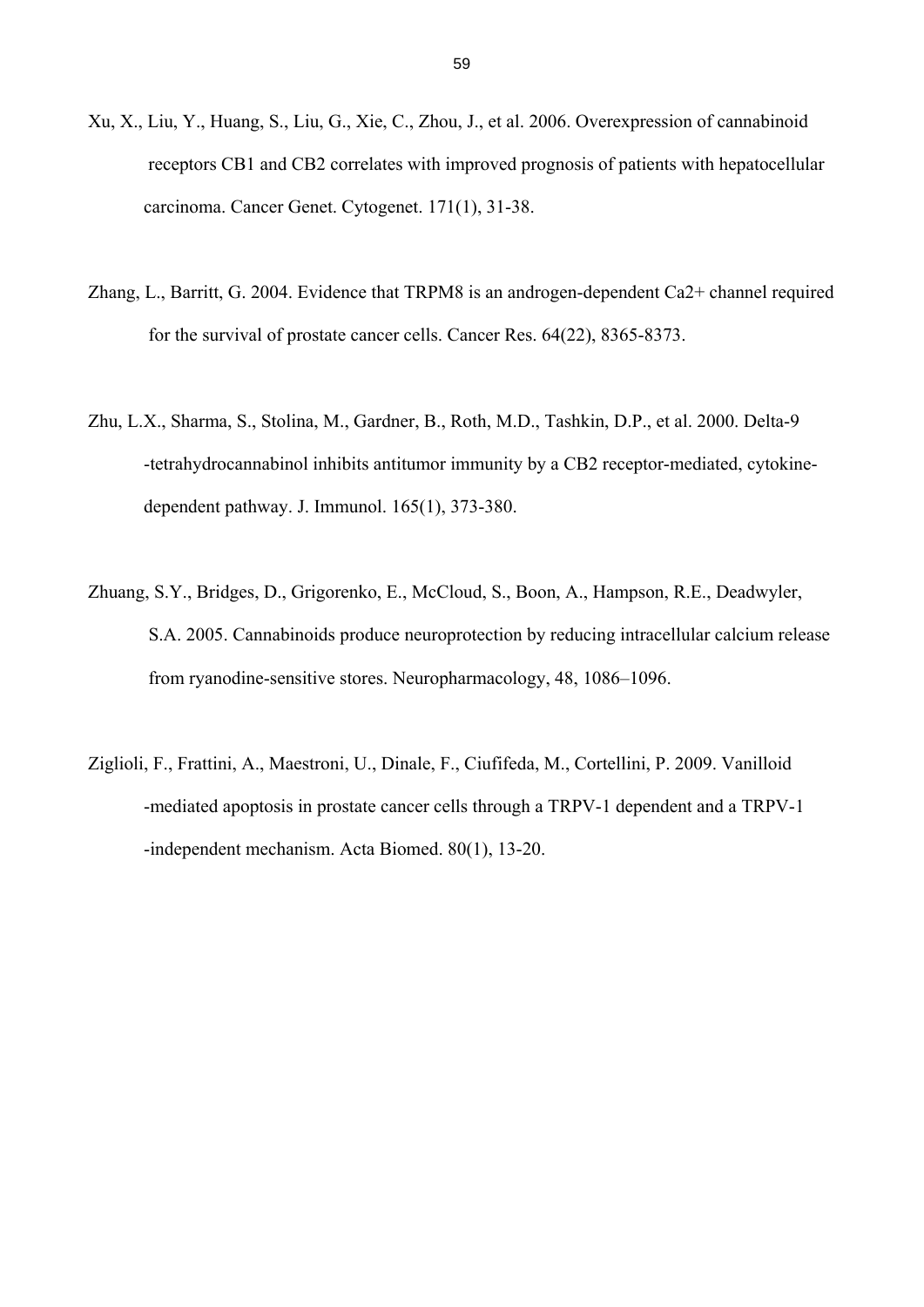- Xu, X., Liu, Y., Huang, S., Liu, G., Xie, C., Zhou, J., et al. 2006. Overexpression of cannabinoid receptors CB1 and CB2 correlates with improved prognosis of patients with hepatocellular carcinoma. Cancer Genet. Cytogenet. 171(1), 31-38.
- Zhang, L., Barritt, G. 2004. Evidence that TRPM8 is an androgen-dependent Ca2+ channel required for the survival of prostate cancer cells. Cancer Res. 64(22), 8365-8373.
- Zhu, L.X., Sharma, S., Stolina, M., Gardner, B., Roth, M.D., Tashkin, D.P., et al. 2000. Delta-9 -tetrahydrocannabinol inhibits antitumor immunity by a CB2 receptor-mediated, cytokine dependent pathway. J. Immunol. 165(1), 373-380.
- Zhuang, S.Y., Bridges, D., Grigorenko, E., McCloud, S., Boon, A., Hampson, R.E., Deadwyler, S.A. 2005. Cannabinoids produce neuroprotection by reducing intracellular calcium release from ryanodine-sensitive stores. Neuropharmacology, 48, 1086–1096.
- Ziglioli, F., Frattini, A., Maestroni, U., Dinale, F., Ciufifeda, M., Cortellini, P. 2009. Vanilloid -mediated apoptosis in prostate cancer cells through a TRPV-1 dependent and a TRPV-1 -independent mechanism. Acta Biomed. 80(1), 13-20.